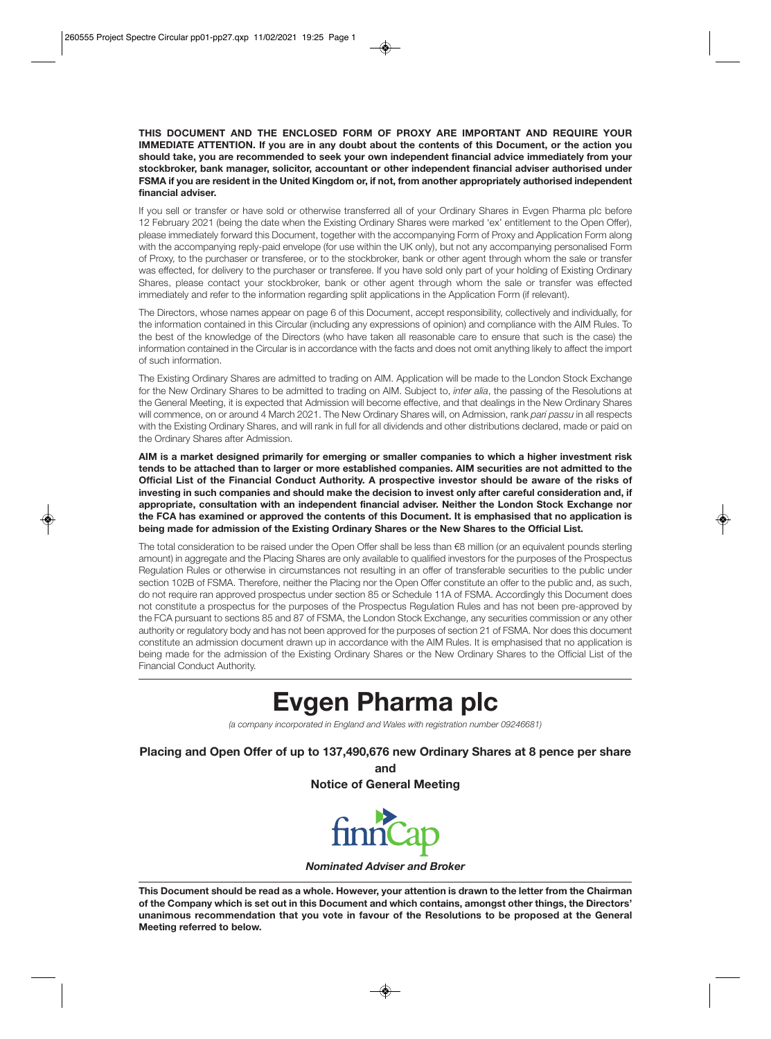**THIS DOCUMENT AND THE ENCLOSED FORM OF PROXY ARE IMPORTANT AND REQUIRE YOUR IMMEDIATE ATTENTION. If you are in any doubt about the contents of this Document, or the action you should take, you are recommended to seek your own independent financial advice immediately from your stockbroker, bank manager, solicitor, accountant or other independent financial adviser authorised under FSMA if you are resident in the United Kingdom or, if not, from another appropriately authorised independent financial adviser.** 

If you sell or transfer or have sold or otherwise transferred all of your Ordinary Shares in Evgen Pharma plc before 12 February 2021 (being the date when the Existing Ordinary Shares were marked 'ex' entitlement to the Open Offer), please immediately forward this Document, together with the accompanying Form of Proxy and Application Form along with the accompanying reply-paid envelope (for use within the UK only), but not any accompanying personalised Form of Proxy, to the purchaser or transferee, or to the stockbroker, bank or other agent through whom the sale or transfer was effected, for delivery to the purchaser or transferee. If you have sold only part of your holding of Existing Ordinary Shares, please contact your stockbroker, bank or other agent through whom the sale or transfer was effected immediately and refer to the information regarding split applications in the Application Form (if relevant).

The Directors, whose names appear on page 6 of this Document, accept responsibility, collectively and individually, for the information contained in this Circular (including any expressions of opinion) and compliance with the AIM Rules. To the best of the knowledge of the Directors (who have taken all reasonable care to ensure that such is the case) the information contained in the Circular is in accordance with the facts and does not omit anything likely to affect the import of such information.

The Existing Ordinary Shares are admitted to trading on AIM. Application will be made to the London Stock Exchange for the New Ordinary Shares to be admitted to trading on AIM. Subject to, *inter alia*, the passing of the Resolutions at the General Meeting, it is expected that Admission will become effective, and that dealings in the New Ordinary Shares will commence, on or around 4 March 2021. The New Ordinary Shares will, on Admission, rank *pari passu* in all respects with the Existing Ordinary Shares, and will rank in full for all dividends and other distributions declared, made or paid on the Ordinary Shares after Admission.

**AIM is a market designed primarily for emerging or smaller companies to which a higher investment risk tends to be attached than to larger or more established companies. AIM securities are not admitted to the Official List of the Financial Conduct Authority. A prospective investor should be aware of the risks of investing in such companies and should make the decision to invest only after careful consideration and, if appropriate, consultation with an independent financial adviser. Neither the London Stock Exchange nor the FCA has examined or approved the contents of this Document. It is emphasised that no application is being made for admission of the Existing Ordinary Shares or the New Shares to the Official List.** 

The total consideration to be raised under the Open Offer shall be less than €8 million (or an equivalent pounds sterling amount) in aggregate and the Placing Shares are only available to qualified investors for the purposes of the Prospectus Regulation Rules or otherwise in circumstances not resulting in an offer of transferable securities to the public under section 102B of FSMA. Therefore, neither the Placing nor the Open Offer constitute an offer to the public and, as such, do not require ran approved prospectus under section 85 or Schedule 11A of FSMA. Accordingly this Document does not constitute a prospectus for the purposes of the Prospectus Regulation Rules and has not been pre-approved by the FCA pursuant to sections 85 and 87 of FSMA, the London Stock Exchange, any securities commission or any other authority or regulatory body and has not been approved for the purposes of section 21 of FSMA. Nor does this document constitute an admission document drawn up in accordance with the AIM Rules. It is emphasised that no application is being made for the admission of the Existing Ordinary Shares or the New Ordinary Shares to the Official List of the Financial Conduct Authority.

**Evgen Pharma plc** 

*(a company incorporated in England and Wales with registration number 09246681)* 

**Placing and Open Offer of up to 137,490,676 new Ordinary Shares at 8 pence per share** 

**and Notice of General Meeting** 



*Nominated Adviser and Broker* 

**This Document should be read as a whole. However, your attention is drawn to the letter from the Chairman of the Company which is set out in this Document and which contains, amongst other things, the Directors' unanimous recommendation that you vote in favour of the Resolutions to be proposed at the General Meeting referred to below.**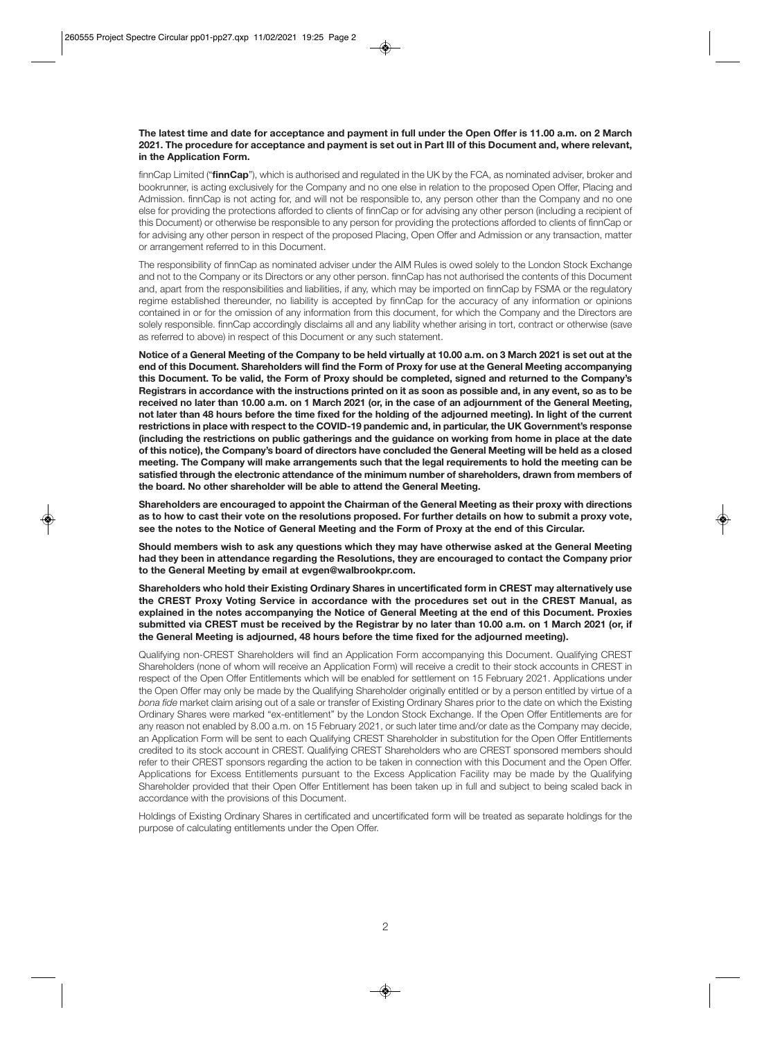#### **The latest time and date for acceptance and payment in full under the Open Offer is 11.00 a.m. on 2 March 2021. The procedure for acceptance and payment is set out in Part III of this Document and, where relevant, in the Application Form.**

finnCap Limited ("**finnCap**"), which is authorised and regulated in the UK by the FCA, as nominated adviser, broker and bookrunner, is acting exclusively for the Company and no one else in relation to the proposed Open Offer, Placing and Admission. finnCap is not acting for, and will not be responsible to, any person other than the Company and no one else for providing the protections afforded to clients of finnCap or for advising any other person (including a recipient of this Document) or otherwise be responsible to any person for providing the protections afforded to clients of finnCap or for advising any other person in respect of the proposed Placing, Open Offer and Admission or any transaction, matter or arrangement referred to in this Document.

The responsibility of finnCap as nominated adviser under the AIM Rules is owed solely to the London Stock Exchange and not to the Company or its Directors or any other person. finnCap has not authorised the contents of this Document and, apart from the responsibilities and liabilities, if any, which may be imported on finnCap by FSMA or the regulatory regime established thereunder, no liability is accepted by finnCap for the accuracy of any information or opinions contained in or for the omission of any information from this document, for which the Company and the Directors are solely responsible. finnCap accordingly disclaims all and any liability whether arising in tort, contract or otherwise (save as referred to above) in respect of this Document or any such statement.

**Notice of a General Meeting of the Company to be held virtually at 10.00 a.m. on 3 March 2021 is set out at the end of this Document. Shareholders will find the Form of Proxy for use at the General Meeting accompanying this Document. To be valid, the Form of Proxy should be completed, signed and returned to the Company's Registrars in accordance with the instructions printed on it as soon as possible and, in any event, so as to be received no later than 10.00 a.m. on 1 March 2021 (or, in the case of an adjournment of the General Meeting, not later than 48 hours before the time fixed for the holding of the adjourned meeting). In light of the current restrictions in place with respect to the COVID-19 pandemic and, in particular, the UK Government's response (including the restrictions on public gatherings and the guidance on working from home in place at the date of this notice), the Company's board of directors have concluded the General Meeting will be held as a closed meeting. The Company will make arrangements such that the legal requirements to hold the meeting can be satisfied through the electronic attendance of the minimum number of shareholders, drawn from members of the board. No other shareholder will be able to attend the General Meeting.** 

**Shareholders are encouraged to appoint the Chairman of the General Meeting as their proxy with directions as to how to cast their vote on the resolutions proposed. For further details on how to submit a proxy vote, see the notes to the Notice of General Meeting and the Form of Proxy at the end of this Circular.** 

**Should members wish to ask any questions which they may have otherwise asked at the General Meeting had they been in attendance regarding the Resolutions, they are encouraged to contact the Company prior to the General Meeting by email at evgen@walbrookpr.com.** 

**Shareholders who hold their Existing Ordinary Shares in uncertificated form in CREST may alternatively use the CREST Proxy Voting Service in accordance with the procedures set out in the CREST Manual, as explained in the notes accompanying the Notice of General Meeting at the end of this Document. Proxies submitted via CREST must be received by the Registrar by no later than 10.00 a.m. on 1 March 2021 (or, if the General Meeting is adjourned, 48 hours before the time fixed for the adjourned meeting).** 

Qualifying non-CREST Shareholders will find an Application Form accompanying this Document. Qualifying CREST Shareholders (none of whom will receive an Application Form) will receive a credit to their stock accounts in CREST in respect of the Open Offer Entitlements which will be enabled for settlement on 15 February 2021. Applications under the Open Offer may only be made by the Qualifying Shareholder originally entitled or by a person entitled by virtue of a *bona fide* market claim arising out of a sale or transfer of Existing Ordinary Shares prior to the date on which the Existing Ordinary Shares were marked "ex-entitlement" by the London Stock Exchange. If the Open Offer Entitlements are for any reason not enabled by 8.00 a.m. on 15 February 2021, or such later time and/or date as the Company may decide, an Application Form will be sent to each Qualifying CREST Shareholder in substitution for the Open Offer Entitlements credited to its stock account in CREST. Qualifying CREST Shareholders who are CREST sponsored members should refer to their CREST sponsors regarding the action to be taken in connection with this Document and the Open Offer. Applications for Excess Entitlements pursuant to the Excess Application Facility may be made by the Qualifying Shareholder provided that their Open Offer Entitlement has been taken up in full and subject to being scaled back in accordance with the provisions of this Document.

Holdings of Existing Ordinary Shares in certificated and uncertificated form will be treated as separate holdings for the purpose of calculating entitlements under the Open Offer.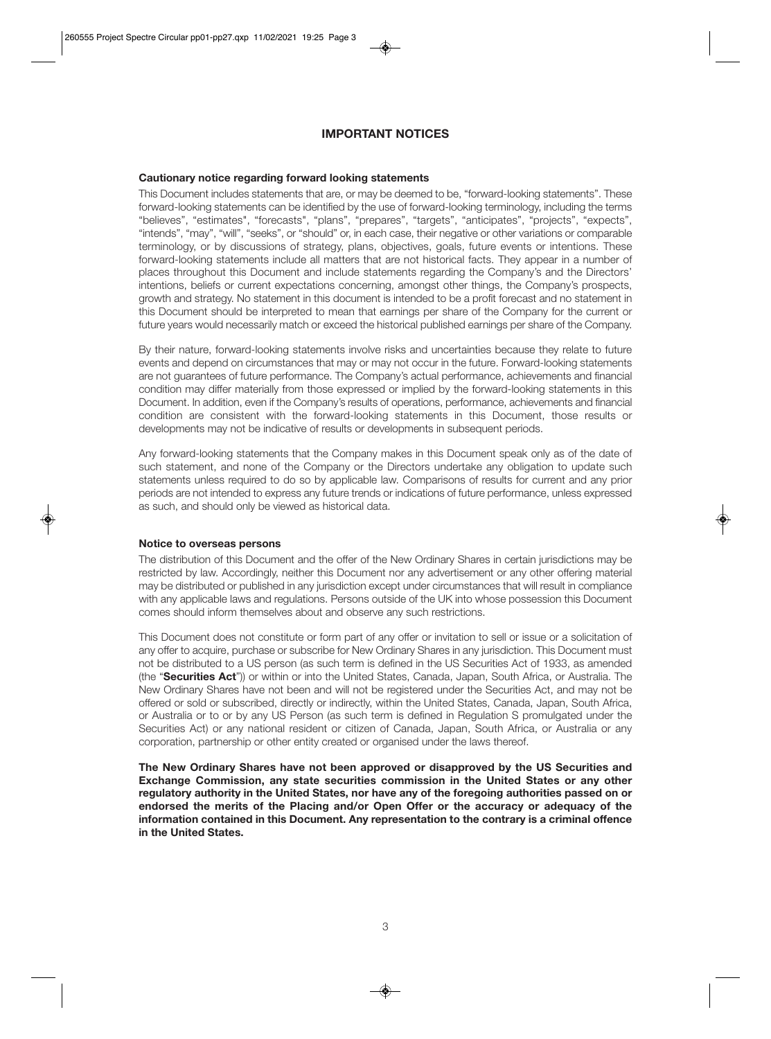# **IMPORTANT NOTICES**

#### **Cautionary notice regarding forward looking statements**

This Document includes statements that are, or may be deemed to be, "forward-looking statements". These forward-looking statements can be identified by the use of forward-looking terminology, including the terms "believes", "estimates", "forecasts", "plans", "prepares", "targets", "anticipates", "projects", "expects", "intends", "may", "will", "seeks", or "should" or, in each case, their negative or other variations or comparable terminology, or by discussions of strategy, plans, objectives, goals, future events or intentions. These forward-looking statements include all matters that are not historical facts. They appear in a number of places throughout this Document and include statements regarding the Company's and the Directors' intentions, beliefs or current expectations concerning, amongst other things, the Company's prospects, growth and strategy. No statement in this document is intended to be a profit forecast and no statement in this Document should be interpreted to mean that earnings per share of the Company for the current or future years would necessarily match or exceed the historical published earnings per share of the Company.

By their nature, forward-looking statements involve risks and uncertainties because they relate to future events and depend on circumstances that may or may not occur in the future. Forward-looking statements are not guarantees of future performance. The Company's actual performance, achievements and financial condition may differ materially from those expressed or implied by the forward-looking statements in this Document. In addition, even if the Company's results of operations, performance, achievements and financial condition are consistent with the forward-looking statements in this Document, those results or developments may not be indicative of results or developments in subsequent periods.

Any forward-looking statements that the Company makes in this Document speak only as of the date of such statement, and none of the Company or the Directors undertake any obligation to update such statements unless required to do so by applicable law. Comparisons of results for current and any prior periods are not intended to express any future trends or indications of future performance, unless expressed as such, and should only be viewed as historical data.

#### **Notice to overseas persons**

The distribution of this Document and the offer of the New Ordinary Shares in certain jurisdictions may be restricted by law. Accordingly, neither this Document nor any advertisement or any other offering material may be distributed or published in any jurisdiction except under circumstances that will result in compliance with any applicable laws and regulations. Persons outside of the UK into whose possession this Document comes should inform themselves about and observe any such restrictions.

This Document does not constitute or form part of any offer or invitation to sell or issue or a solicitation of any offer to acquire, purchase or subscribe for New Ordinary Shares in any jurisdiction. This Document must not be distributed to a US person (as such term is defined in the US Securities Act of 1933, as amended (the "**Securities Act**")) or within or into the United States, Canada, Japan, South Africa, or Australia. The New Ordinary Shares have not been and will not be registered under the Securities Act, and may not be offered or sold or subscribed, directly or indirectly, within the United States, Canada, Japan, South Africa, or Australia or to or by any US Person (as such term is defined in Regulation S promulgated under the Securities Act) or any national resident or citizen of Canada, Japan, South Africa, or Australia or any corporation, partnership or other entity created or organised under the laws thereof.

**The New Ordinary Shares have not been approved or disapproved by the US Securities and Exchange Commission, any state securities commission in the United States or any other regulatory authority in the United States, nor have any of the foregoing authorities passed on or endorsed the merits of the Placing and/or Open Offer or the accuracy or adequacy of the information contained in this Document. Any representation to the contrary is a criminal offence in the United States.**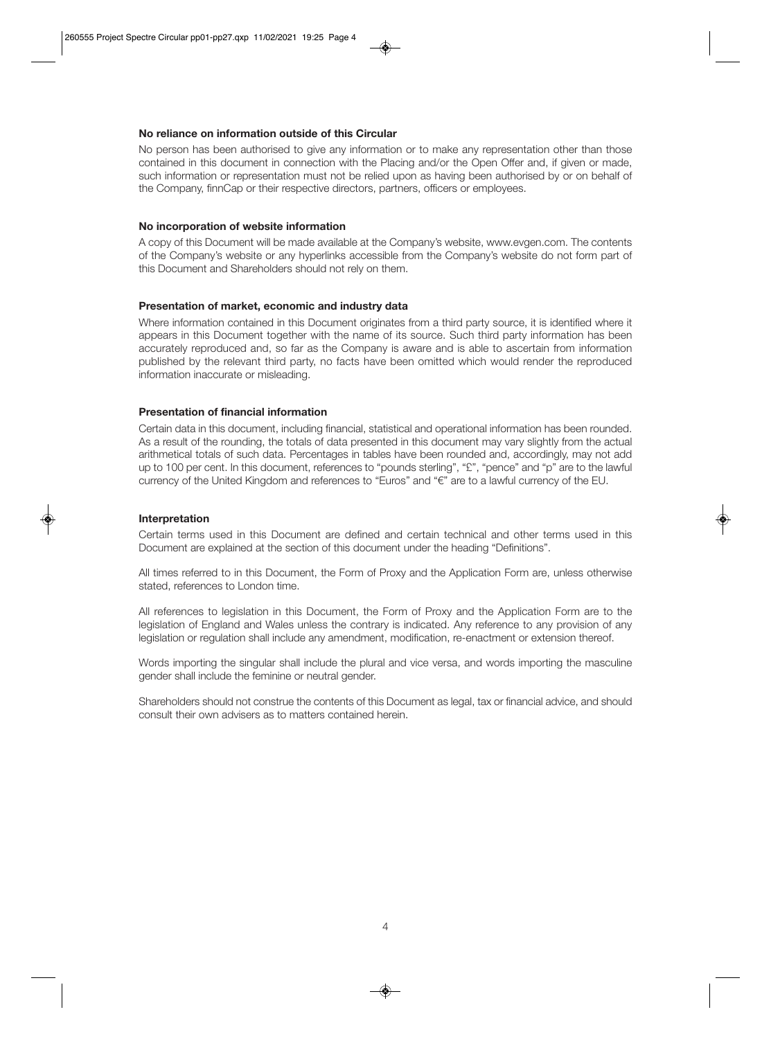#### **No reliance on information outside of this Circular**

No person has been authorised to give any information or to make any representation other than those contained in this document in connection with the Placing and/or the Open Offer and, if given or made, such information or representation must not be relied upon as having been authorised by or on behalf of the Company, finnCap or their respective directors, partners, officers or employees.

#### **No incorporation of website information**

A copy of this Document will be made available at the Company's website, www.evgen.com. The contents of the Company's website or any hyperlinks accessible from the Company's website do not form part of this Document and Shareholders should not rely on them.

# **Presentation of market, economic and industry data**

Where information contained in this Document originates from a third party source, it is identified where it appears in this Document together with the name of its source. Such third party information has been accurately reproduced and, so far as the Company is aware and is able to ascertain from information published by the relevant third party, no facts have been omitted which would render the reproduced information inaccurate or misleading.

#### **Presentation of financial information**

Certain data in this document, including financial, statistical and operational information has been rounded. As a result of the rounding, the totals of data presented in this document may vary slightly from the actual arithmetical totals of such data. Percentages in tables have been rounded and, accordingly, may not add up to 100 per cent. In this document, references to "pounds sterling", "£", "pence" and "p" are to the lawful currency of the United Kingdom and references to "Euros" and "€" are to a lawful currency of the EU.

#### **Interpretation**

Certain terms used in this Document are defined and certain technical and other terms used in this Document are explained at the section of this document under the heading "Definitions".

All times referred to in this Document, the Form of Proxy and the Application Form are, unless otherwise stated, references to London time.

All references to legislation in this Document, the Form of Proxy and the Application Form are to the legislation of England and Wales unless the contrary is indicated. Any reference to any provision of any legislation or regulation shall include any amendment, modification, re-enactment or extension thereof.

Words importing the singular shall include the plural and vice versa, and words importing the masculine gender shall include the feminine or neutral gender.

Shareholders should not construe the contents of this Document as legal, tax or financial advice, and should consult their own advisers as to matters contained herein.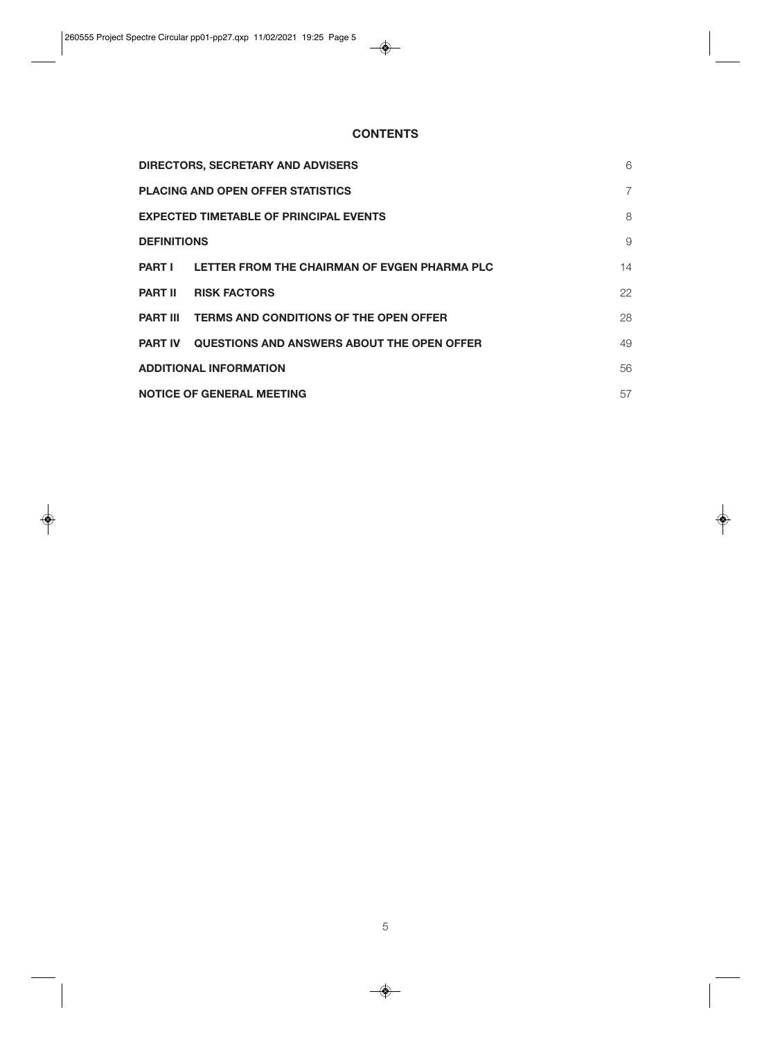# **CONTENTS**

|                                               | <b>DIRECTORS, SECRETARY AND ADVISERS</b>               | 6              |
|-----------------------------------------------|--------------------------------------------------------|----------------|
|                                               | <b>PLACING AND OPEN OFFER STATISTICS</b>               | $\overline{7}$ |
| <b>EXPECTED TIMETABLE OF PRINCIPAL EVENTS</b> |                                                        | 8              |
| <b>DEFINITIONS</b>                            |                                                        | 9              |
| <b>PART I</b>                                 | LETTER FROM THE CHAIRMAN OF EVGEN PHARMA PLC           | 14             |
| <b>PART II</b>                                | <b>RISK FACTORS</b>                                    | 22             |
|                                               | <b>PART III TERMS AND CONDITIONS OF THE OPEN OFFER</b> | 28             |
| <b>PART IV</b>                                | <b>QUESTIONS AND ANSWERS ABOUT THE OPEN OFFER</b>      | 49             |
| <b>ADDITIONAL INFORMATION</b>                 |                                                        | 56             |
| <b>NOTICE OF GENERAL MEETING</b>              |                                                        | 57             |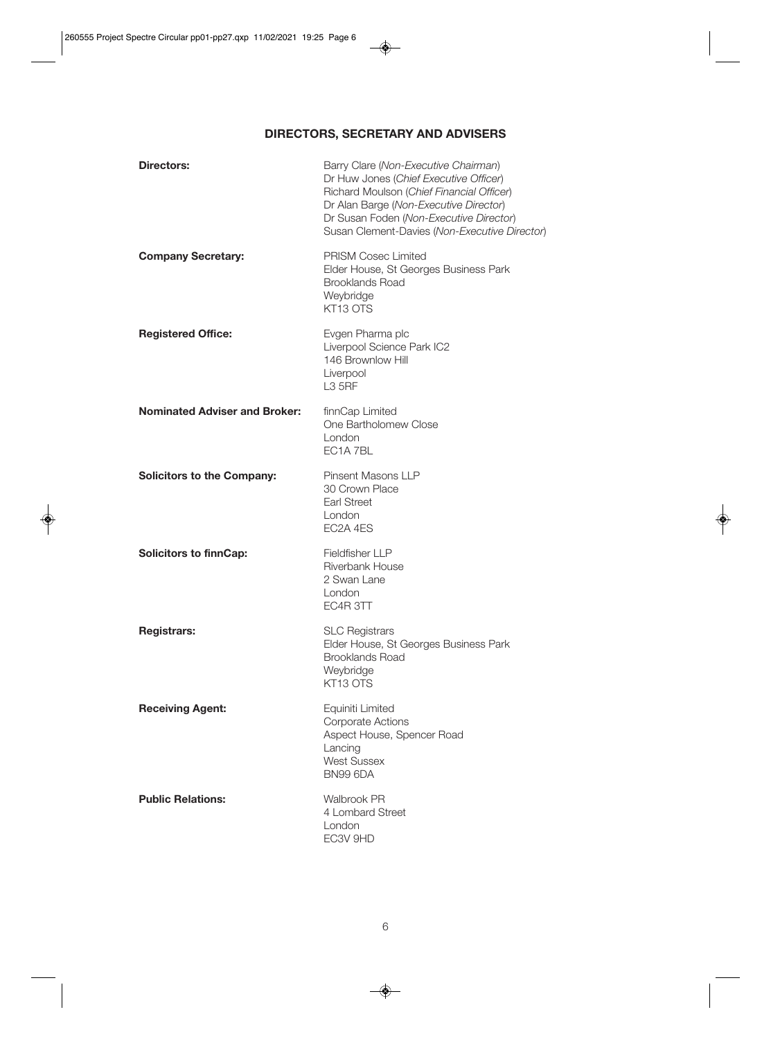# **DIRECTORS, SECRETARY AND ADVISERS**

| <b>Directors:</b>                    | Barry Clare (Non-Executive Chairman)<br>Dr Huw Jones (Chief Executive Officer)<br>Richard Moulson (Chief Financial Officer)<br>Dr Alan Barge (Non-Executive Director)<br>Dr Susan Foden (Non-Executive Director)<br>Susan Clement-Davies (Non-Executive Director) |
|--------------------------------------|-------------------------------------------------------------------------------------------------------------------------------------------------------------------------------------------------------------------------------------------------------------------|
| <b>Company Secretary:</b>            | <b>PRISM Cosec Limited</b><br>Elder House, St Georges Business Park<br><b>Brooklands Road</b><br>Weybridge<br>KT13 OTS                                                                                                                                            |
| <b>Registered Office:</b>            | Evgen Pharma plc<br>Liverpool Science Park IC2<br>146 Brownlow Hill<br>Liverpool<br><b>L3 5RF</b>                                                                                                                                                                 |
| <b>Nominated Adviser and Broker:</b> | finnCap Limited<br>One Bartholomew Close<br>London<br>EC1A 7BL                                                                                                                                                                                                    |
| <b>Solicitors to the Company:</b>    | <b>Pinsent Masons LLP</b><br>30 Crown Place<br><b>Earl Street</b><br>London<br>EC2A 4ES                                                                                                                                                                           |
| <b>Solicitors to finnCap:</b>        | <b>Fieldfisher LLP</b><br>Riverbank House<br>2 Swan Lane<br>London<br>EC4R 3TT                                                                                                                                                                                    |
| <b>Registrars:</b>                   | <b>SLC Registrars</b><br>Elder House, St Georges Business Park<br><b>Brooklands Road</b><br>Weybridge<br>KT13 OTS                                                                                                                                                 |
| <b>Receiving Agent:</b>              | Equiniti Limited<br><b>Corporate Actions</b><br>Aspect House, Spencer Road<br>Lancing<br><b>West Sussex</b><br><b>BN99 6DA</b>                                                                                                                                    |
| <b>Public Relations:</b>             | <b>Walbrook PR</b><br>4 Lombard Street<br>London<br>EC3V 9HD                                                                                                                                                                                                      |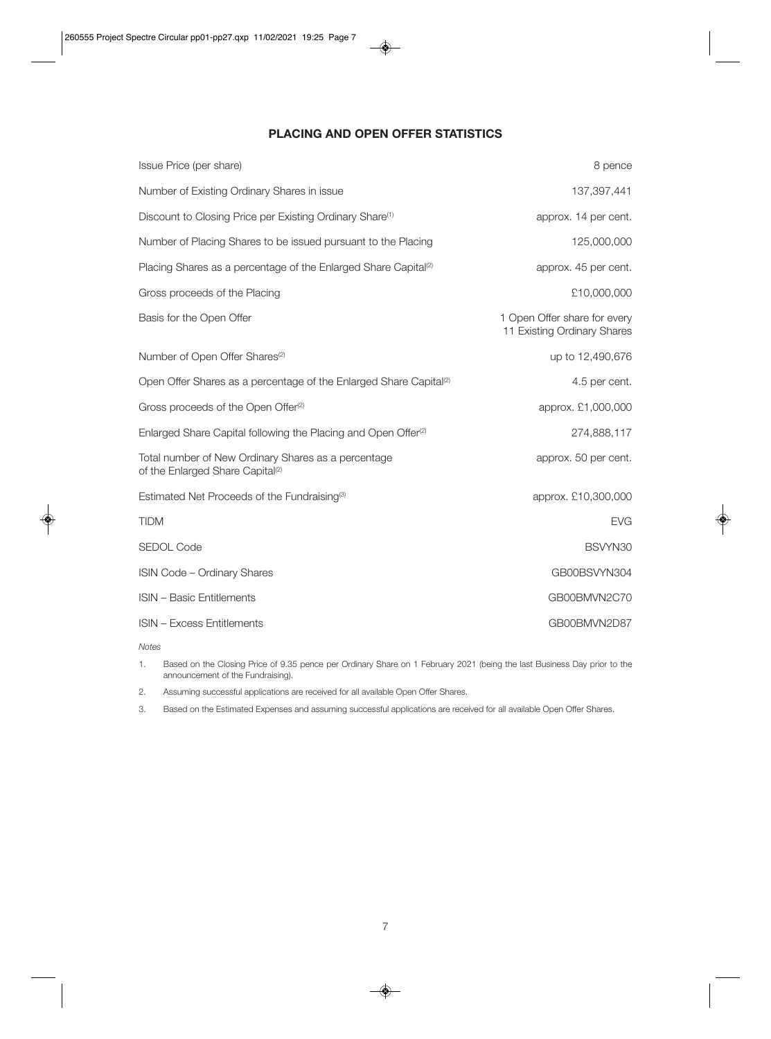# **PLACING AND OPEN OFFER STATISTICS**

| Issue Price (per share)                                                                             | 8 pence                                                     |
|-----------------------------------------------------------------------------------------------------|-------------------------------------------------------------|
| Number of Existing Ordinary Shares in issue                                                         | 137, 397, 441                                               |
| Discount to Closing Price per Existing Ordinary Share <sup>(1)</sup>                                | approx. 14 per cent.                                        |
| Number of Placing Shares to be issued pursuant to the Placing                                       | 125,000,000                                                 |
| Placing Shares as a percentage of the Enlarged Share Capital <sup>(2)</sup>                         | approx. 45 per cent.                                        |
| Gross proceeds of the Placing                                                                       | £10,000,000                                                 |
| Basis for the Open Offer                                                                            | 1 Open Offer share for every<br>11 Existing Ordinary Shares |
| Number of Open Offer Shares <sup>(2)</sup>                                                          | up to 12,490,676                                            |
| Open Offer Shares as a percentage of the Enlarged Share Capital <sup>(2)</sup>                      | 4.5 per cent.                                               |
| Gross proceeds of the Open Offer <sup>(2)</sup>                                                     | approx. £1,000,000                                          |
| Enlarged Share Capital following the Placing and Open Offer <sup>(2)</sup>                          | 274,888,117                                                 |
| Total number of New Ordinary Shares as a percentage<br>of the Enlarged Share Capital <sup>(2)</sup> | approx. 50 per cent.                                        |
| Estimated Net Proceeds of the Fundraising <sup>(3)</sup>                                            | approx. £10,300,000                                         |
| <b>TIDM</b>                                                                                         | <b>EVG</b>                                                  |
| <b>SEDOL Code</b>                                                                                   | BSVYN30                                                     |
| <b>ISIN Code - Ordinary Shares</b>                                                                  | GB00BSVYN304                                                |
| <b>ISIN - Basic Entitlements</b>                                                                    | GB00BMVN2C70                                                |
| <b>ISIN - Excess Entitlements</b>                                                                   | GB00BMVN2D87                                                |

*Notes* 

1. Based on the Closing Price of 9.35 pence per Ordinary Share on 1 February 2021 (being the last Business Day prior to the announcement of the Fundraising).

2. Assuming successful applications are received for all available Open Offer Shares.

3. Based on the Estimated Expenses and assuming successful applications are received for all available Open Offer Shares.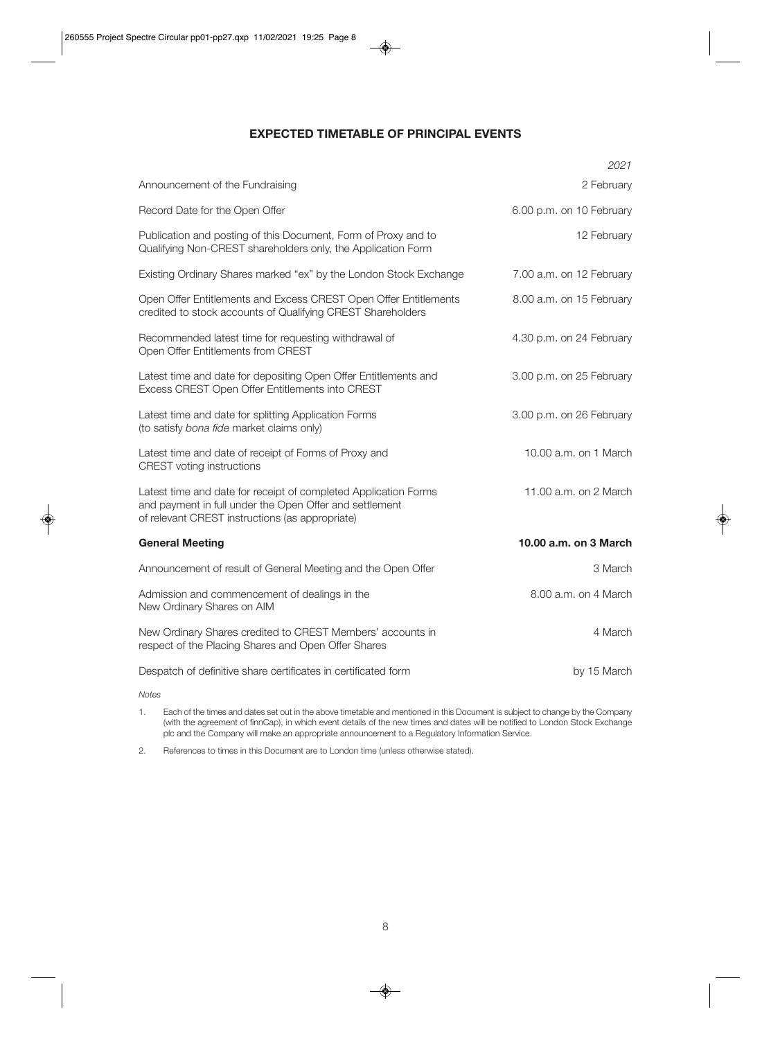# **EXPECTED TIMETABLE OF PRINCIPAL EVENTS**

|                                                                                                                                                                               | 2021                     |
|-------------------------------------------------------------------------------------------------------------------------------------------------------------------------------|--------------------------|
| Announcement of the Fundraising                                                                                                                                               | 2 February               |
| Record Date for the Open Offer                                                                                                                                                | 6.00 p.m. on 10 February |
| Publication and posting of this Document, Form of Proxy and to<br>Qualifying Non-CREST shareholders only, the Application Form                                                | 12 February              |
| Existing Ordinary Shares marked "ex" by the London Stock Exchange                                                                                                             | 7.00 a.m. on 12 February |
| Open Offer Entitlements and Excess CREST Open Offer Entitlements<br>credited to stock accounts of Qualifying CREST Shareholders                                               | 8.00 a.m. on 15 February |
| Recommended latest time for requesting withdrawal of<br>Open Offer Entitlements from CREST                                                                                    | 4.30 p.m. on 24 February |
| Latest time and date for depositing Open Offer Entitlements and<br>Excess CREST Open Offer Entitlements into CREST                                                            | 3.00 p.m. on 25 February |
| Latest time and date for splitting Application Forms<br>(to satisfy bona fide market claims only)                                                                             | 3.00 p.m. on 26 February |
| Latest time and date of receipt of Forms of Proxy and<br><b>CREST</b> voting instructions                                                                                     | 10.00 a.m. on 1 March    |
| Latest time and date for receipt of completed Application Forms<br>and payment in full under the Open Offer and settlement<br>of relevant CREST instructions (as appropriate) | 11.00 a.m. on 2 March    |
| <b>General Meeting</b>                                                                                                                                                        | 10.00 a.m. on 3 March    |
| Announcement of result of General Meeting and the Open Offer                                                                                                                  | 3 March                  |
| Admission and commencement of dealings in the<br>New Ordinary Shares on AIM                                                                                                   | 8.00 a.m. on 4 March     |
| New Ordinary Shares credited to CREST Members' accounts in<br>respect of the Placing Shares and Open Offer Shares                                                             | 4 March                  |
| Despatch of definitive share certificates in certificated form                                                                                                                | by 15 March              |

*Notes* 

1. Each of the times and dates set out in the above timetable and mentioned in this Document is subject to change by the Company (with the agreement of finnCap), in which event details of the new times and dates will be notified to London Stock Exchange plc and the Company will make an appropriate announcement to a Regulatory Information Service.

2. References to times in this Document are to London time (unless otherwise stated).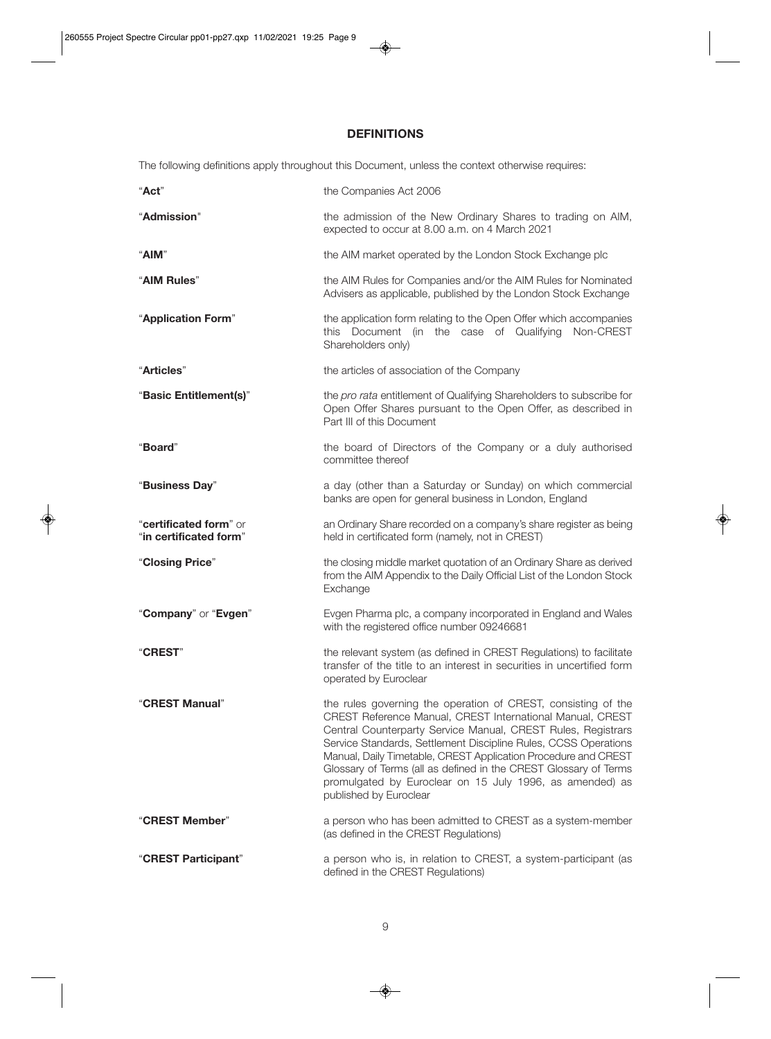# **DEFINITIONS**

The following definitions apply throughout this Document, unless the context otherwise requires:

| "Act"                                            | the Companies Act 2006                                                                                                                                                                                                                                                                                                                                                                                                                                                                    |  |
|--------------------------------------------------|-------------------------------------------------------------------------------------------------------------------------------------------------------------------------------------------------------------------------------------------------------------------------------------------------------------------------------------------------------------------------------------------------------------------------------------------------------------------------------------------|--|
| "Admission"                                      | the admission of the New Ordinary Shares to trading on AIM,<br>expected to occur at 8.00 a.m. on 4 March 2021                                                                                                                                                                                                                                                                                                                                                                             |  |
| "AIM"                                            | the AIM market operated by the London Stock Exchange plc                                                                                                                                                                                                                                                                                                                                                                                                                                  |  |
| "AIM Rules"                                      | the AIM Rules for Companies and/or the AIM Rules for Nominated<br>Advisers as applicable, published by the London Stock Exchange                                                                                                                                                                                                                                                                                                                                                          |  |
| "Application Form"                               | the application form relating to the Open Offer which accompanies<br>this Document (in the case of Qualifying<br>Non-CREST<br>Shareholders only)                                                                                                                                                                                                                                                                                                                                          |  |
| "Articles"                                       | the articles of association of the Company                                                                                                                                                                                                                                                                                                                                                                                                                                                |  |
| "Basic Entitlement(s)"                           | the pro rata entitlement of Qualifying Shareholders to subscribe for<br>Open Offer Shares pursuant to the Open Offer, as described in<br>Part III of this Document                                                                                                                                                                                                                                                                                                                        |  |
| "Board"                                          | the board of Directors of the Company or a duly authorised<br>committee thereof                                                                                                                                                                                                                                                                                                                                                                                                           |  |
| "Business Day"                                   | a day (other than a Saturday or Sunday) on which commercial<br>banks are open for general business in London, England                                                                                                                                                                                                                                                                                                                                                                     |  |
| "certificated form" or<br>"in certificated form" | an Ordinary Share recorded on a company's share register as being<br>held in certificated form (namely, not in CREST)                                                                                                                                                                                                                                                                                                                                                                     |  |
| "Closing Price"                                  | the closing middle market quotation of an Ordinary Share as derived<br>from the AIM Appendix to the Daily Official List of the London Stock<br>Exchange                                                                                                                                                                                                                                                                                                                                   |  |
| "Company" or "Evgen"                             | Evgen Pharma plc, a company incorporated in England and Wales<br>with the registered office number 09246681                                                                                                                                                                                                                                                                                                                                                                               |  |
| "CREST"                                          | the relevant system (as defined in CREST Regulations) to facilitate<br>transfer of the title to an interest in securities in uncertified form<br>operated by Euroclear                                                                                                                                                                                                                                                                                                                    |  |
| "CREST Manual"                                   | the rules governing the operation of CREST, consisting of the<br>CREST Reference Manual, CREST International Manual, CREST<br>Central Counterparty Service Manual, CREST Rules, Registrars<br>Service Standards, Settlement Discipline Rules, CCSS Operations<br>Manual, Daily Timetable, CREST Application Procedure and CREST<br>Glossary of Terms (all as defined in the CREST Glossary of Terms<br>promulgated by Euroclear on 15 July 1996, as amended) as<br>published by Euroclear |  |
| "CREST Member"                                   | a person who has been admitted to CREST as a system-member<br>(as defined in the CREST Regulations)                                                                                                                                                                                                                                                                                                                                                                                       |  |
| "CREST Participant"                              | a person who is, in relation to CREST, a system-participant (as<br>defined in the CREST Regulations)                                                                                                                                                                                                                                                                                                                                                                                      |  |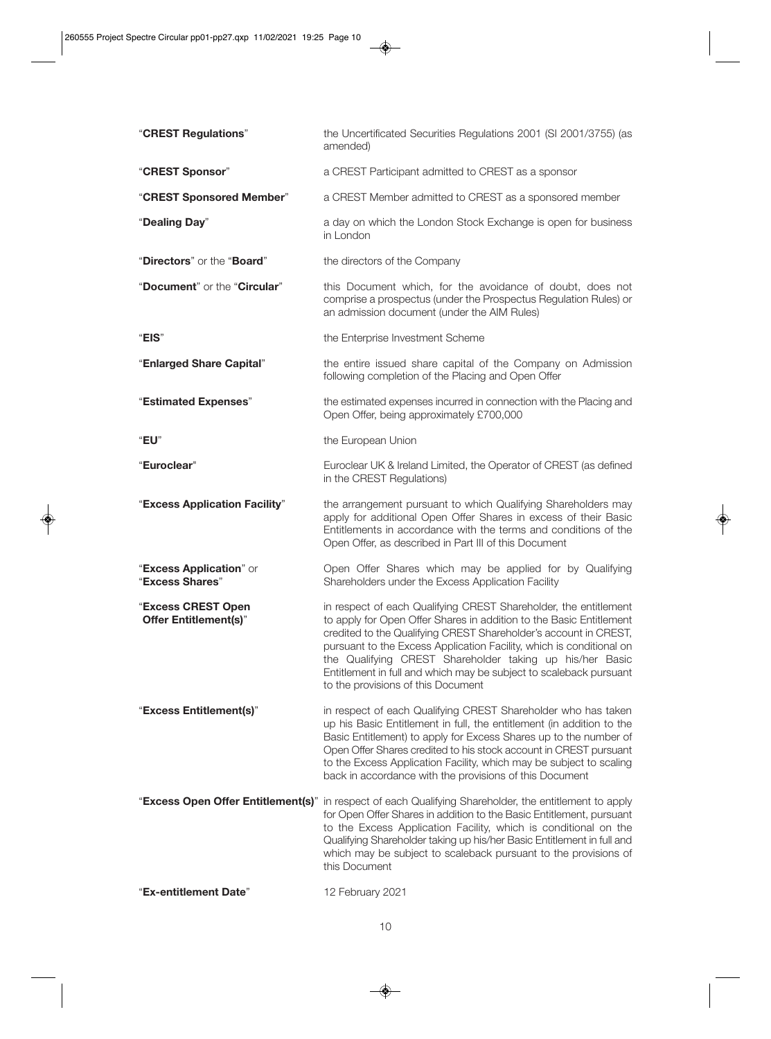| "CREST Regulations"                                | the Uncertificated Securities Regulations 2001 (SI 2001/3755) (as<br>amended)                                                                                                                                                                                                                                                                                                                                                                               |  |
|----------------------------------------------------|-------------------------------------------------------------------------------------------------------------------------------------------------------------------------------------------------------------------------------------------------------------------------------------------------------------------------------------------------------------------------------------------------------------------------------------------------------------|--|
| "CREST Sponsor"                                    | a CREST Participant admitted to CREST as a sponsor                                                                                                                                                                                                                                                                                                                                                                                                          |  |
| "CREST Sponsored Member"                           | a CREST Member admitted to CREST as a sponsored member                                                                                                                                                                                                                                                                                                                                                                                                      |  |
| "Dealing Day"                                      | a day on which the London Stock Exchange is open for business<br>in London                                                                                                                                                                                                                                                                                                                                                                                  |  |
| "Directors" or the "Board"                         | the directors of the Company                                                                                                                                                                                                                                                                                                                                                                                                                                |  |
| "Document" or the "Circular"                       | this Document which, for the avoidance of doubt, does not<br>comprise a prospectus (under the Prospectus Regulation Rules) or<br>an admission document (under the AIM Rules)                                                                                                                                                                                                                                                                                |  |
| "EIS"                                              | the Enterprise Investment Scheme                                                                                                                                                                                                                                                                                                                                                                                                                            |  |
| "Enlarged Share Capital"                           | the entire issued share capital of the Company on Admission<br>following completion of the Placing and Open Offer                                                                                                                                                                                                                                                                                                                                           |  |
| "Estimated Expenses"                               | the estimated expenses incurred in connection with the Placing and<br>Open Offer, being approximately £700,000                                                                                                                                                                                                                                                                                                                                              |  |
| "EU"                                               | the European Union                                                                                                                                                                                                                                                                                                                                                                                                                                          |  |
| "Euroclear"                                        | Euroclear UK & Ireland Limited, the Operator of CREST (as defined<br>in the CREST Regulations)                                                                                                                                                                                                                                                                                                                                                              |  |
| "Excess Application Facility"                      | the arrangement pursuant to which Qualifying Shareholders may<br>apply for additional Open Offer Shares in excess of their Basic<br>Entitlements in accordance with the terms and conditions of the<br>Open Offer, as described in Part III of this Document                                                                                                                                                                                                |  |
| "Excess Application" or<br>"Excess Shares"         | Open Offer Shares which may be applied for by Qualifying<br>Shareholders under the Excess Application Facility                                                                                                                                                                                                                                                                                                                                              |  |
| "Excess CREST Open<br><b>Offer Entitlement(s)"</b> | in respect of each Qualifying CREST Shareholder, the entitlement<br>to apply for Open Offer Shares in addition to the Basic Entitlement<br>credited to the Qualifying CREST Shareholder's account in CREST,<br>pursuant to the Excess Application Facility, which is conditional on<br>the Qualifying CREST Shareholder taking up his/her Basic<br>Entitlement in full and which may be subject to scaleback pursuant<br>to the provisions of this Document |  |
| "Excess Entitlement(s)"                            | in respect of each Qualifying CREST Shareholder who has taken<br>up his Basic Entitlement in full, the entitlement (in addition to the<br>Basic Entitlement) to apply for Excess Shares up to the number of<br>Open Offer Shares credited to his stock account in CREST pursuant<br>to the Excess Application Facility, which may be subject to scaling<br>back in accordance with the provisions of this Document                                          |  |
|                                                    | "Excess Open Offer Entitlement(s)" in respect of each Qualifying Shareholder, the entitlement to apply<br>for Open Offer Shares in addition to the Basic Entitlement, pursuant<br>to the Excess Application Facility, which is conditional on the<br>Qualifying Shareholder taking up his/her Basic Entitlement in full and<br>which may be subject to scaleback pursuant to the provisions of<br>this Document                                             |  |
| "Ex-entitlement Date"                              | 12 February 2021                                                                                                                                                                                                                                                                                                                                                                                                                                            |  |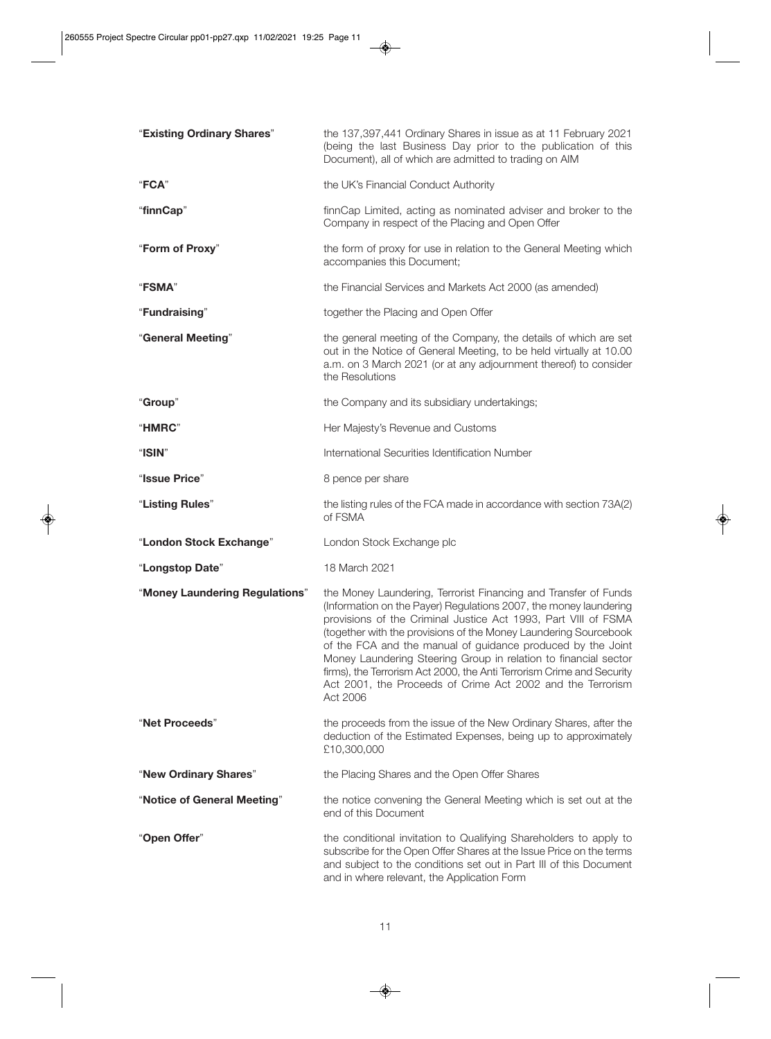| "Existing Ordinary Shares"     | the 137,397,441 Ordinary Shares in issue as at 11 February 2021<br>(being the last Business Day prior to the publication of this<br>Document), all of which are admitted to trading on AIM                                                                                                                                                                                                                                                                                                                                                                      |  |  |
|--------------------------------|-----------------------------------------------------------------------------------------------------------------------------------------------------------------------------------------------------------------------------------------------------------------------------------------------------------------------------------------------------------------------------------------------------------------------------------------------------------------------------------------------------------------------------------------------------------------|--|--|
| "FCA"                          | the UK's Financial Conduct Authority                                                                                                                                                                                                                                                                                                                                                                                                                                                                                                                            |  |  |
| "finnCap"                      | finnCap Limited, acting as nominated adviser and broker to the<br>Company in respect of the Placing and Open Offer                                                                                                                                                                                                                                                                                                                                                                                                                                              |  |  |
| "Form of Proxy"                | the form of proxy for use in relation to the General Meeting which<br>accompanies this Document;                                                                                                                                                                                                                                                                                                                                                                                                                                                                |  |  |
| <b>"FSMA"</b>                  | the Financial Services and Markets Act 2000 (as amended)                                                                                                                                                                                                                                                                                                                                                                                                                                                                                                        |  |  |
| "Fundraising"                  | together the Placing and Open Offer                                                                                                                                                                                                                                                                                                                                                                                                                                                                                                                             |  |  |
| "General Meeting"              | the general meeting of the Company, the details of which are set<br>out in the Notice of General Meeting, to be held virtually at 10.00<br>a.m. on 3 March 2021 (or at any adjournment thereof) to consider<br>the Resolutions                                                                                                                                                                                                                                                                                                                                  |  |  |
| "Group"                        | the Company and its subsidiary undertakings;                                                                                                                                                                                                                                                                                                                                                                                                                                                                                                                    |  |  |
| "HMRC"                         | Her Majesty's Revenue and Customs                                                                                                                                                                                                                                                                                                                                                                                                                                                                                                                               |  |  |
| "ISIN"                         | International Securities Identification Number                                                                                                                                                                                                                                                                                                                                                                                                                                                                                                                  |  |  |
| "Issue Price"                  | 8 pence per share                                                                                                                                                                                                                                                                                                                                                                                                                                                                                                                                               |  |  |
| "Listing Rules"                | the listing rules of the FCA made in accordance with section 73A(2)<br>of FSMA                                                                                                                                                                                                                                                                                                                                                                                                                                                                                  |  |  |
| "London Stock Exchange"        | London Stock Exchange plc                                                                                                                                                                                                                                                                                                                                                                                                                                                                                                                                       |  |  |
| "Longstop Date"                | 18 March 2021                                                                                                                                                                                                                                                                                                                                                                                                                                                                                                                                                   |  |  |
| "Money Laundering Regulations" | the Money Laundering, Terrorist Financing and Transfer of Funds<br>(Information on the Payer) Regulations 2007, the money laundering<br>provisions of the Criminal Justice Act 1993, Part VIII of FSMA<br>(together with the provisions of the Money Laundering Sourcebook<br>of the FCA and the manual of guidance produced by the Joint<br>Money Laundering Steering Group in relation to financial sector<br>firms), the Terrorism Act 2000, the Anti Terrorism Crime and Security<br>Act 2001, the Proceeds of Crime Act 2002 and the Terrorism<br>Act 2006 |  |  |
| "Net Proceeds"                 | the proceeds from the issue of the New Ordinary Shares, after the<br>deduction of the Estimated Expenses, being up to approximately<br>£10,300,000                                                                                                                                                                                                                                                                                                                                                                                                              |  |  |
| "New Ordinary Shares"          | the Placing Shares and the Open Offer Shares                                                                                                                                                                                                                                                                                                                                                                                                                                                                                                                    |  |  |
| "Notice of General Meeting"    | the notice convening the General Meeting which is set out at the<br>end of this Document                                                                                                                                                                                                                                                                                                                                                                                                                                                                        |  |  |
| "Open Offer"                   | the conditional invitation to Qualifying Shareholders to apply to<br>subscribe for the Open Offer Shares at the Issue Price on the terms<br>and subject to the conditions set out in Part III of this Document<br>and in where relevant, the Application Form                                                                                                                                                                                                                                                                                                   |  |  |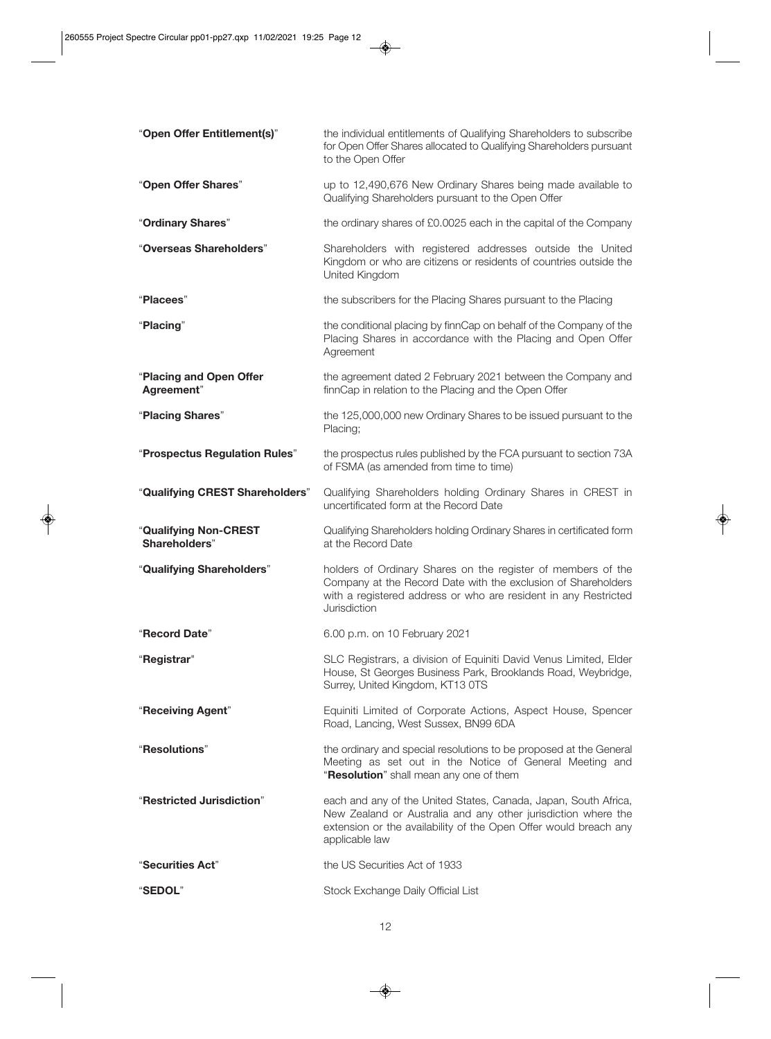| "Open Offer Entitlement(s)"            | the individual entitlements of Qualifying Shareholders to subscribe<br>for Open Offer Shares allocated to Qualifying Shareholders pursuant<br>to the Open Offer                                                        |
|----------------------------------------|------------------------------------------------------------------------------------------------------------------------------------------------------------------------------------------------------------------------|
| "Open Offer Shares"                    | up to 12,490,676 New Ordinary Shares being made available to<br>Qualifying Shareholders pursuant to the Open Offer                                                                                                     |
| "Ordinary Shares"                      | the ordinary shares of £0.0025 each in the capital of the Company                                                                                                                                                      |
| "Overseas Shareholders"                | Shareholders with registered addresses outside the United<br>Kingdom or who are citizens or residents of countries outside the<br>United Kingdom                                                                       |
| "Placees"                              | the subscribers for the Placing Shares pursuant to the Placing                                                                                                                                                         |
| "Placing"                              | the conditional placing by finnCap on behalf of the Company of the<br>Placing Shares in accordance with the Placing and Open Offer<br>Agreement                                                                        |
| "Placing and Open Offer<br>Agreement"  | the agreement dated 2 February 2021 between the Company and<br>finnCap in relation to the Placing and the Open Offer                                                                                                   |
| "Placing Shares"                       | the 125,000,000 new Ordinary Shares to be issued pursuant to the<br>Placing;                                                                                                                                           |
| "Prospectus Regulation Rules"          | the prospectus rules published by the FCA pursuant to section 73A<br>of FSMA (as amended from time to time)                                                                                                            |
| "Qualifying CREST Shareholders"        | Qualifying Shareholders holding Ordinary Shares in CREST in<br>uncertificated form at the Record Date                                                                                                                  |
| "Qualifying Non-CREST<br>Shareholders" | Qualifying Shareholders holding Ordinary Shares in certificated form<br>at the Record Date                                                                                                                             |
| "Qualifying Shareholders"              | holders of Ordinary Shares on the register of members of the<br>Company at the Record Date with the exclusion of Shareholders                                                                                          |
|                                        | with a registered address or who are resident in any Restricted<br>Jurisdiction                                                                                                                                        |
| "Record Date"                          | 6.00 p.m. on 10 February 2021                                                                                                                                                                                          |
| "Registrar"                            | SLC Registrars, a division of Equiniti David Venus Limited, Elder<br>House, St Georges Business Park, Brooklands Road, Weybridge,<br>Surrey, United Kingdom, KT13 0TS                                                  |
| "Receiving Agent"                      | Equiniti Limited of Corporate Actions, Aspect House, Spencer<br>Road, Lancing, West Sussex, BN99 6DA                                                                                                                   |
| "Resolutions"                          | the ordinary and special resolutions to be proposed at the General<br>Meeting as set out in the Notice of General Meeting and<br>"Resolution" shall mean any one of them                                               |
| "Restricted Jurisdiction"              | each and any of the United States, Canada, Japan, South Africa,<br>New Zealand or Australia and any other jurisdiction where the<br>extension or the availability of the Open Offer would breach any<br>applicable law |
| "Securities Act"                       | the US Securities Act of 1933                                                                                                                                                                                          |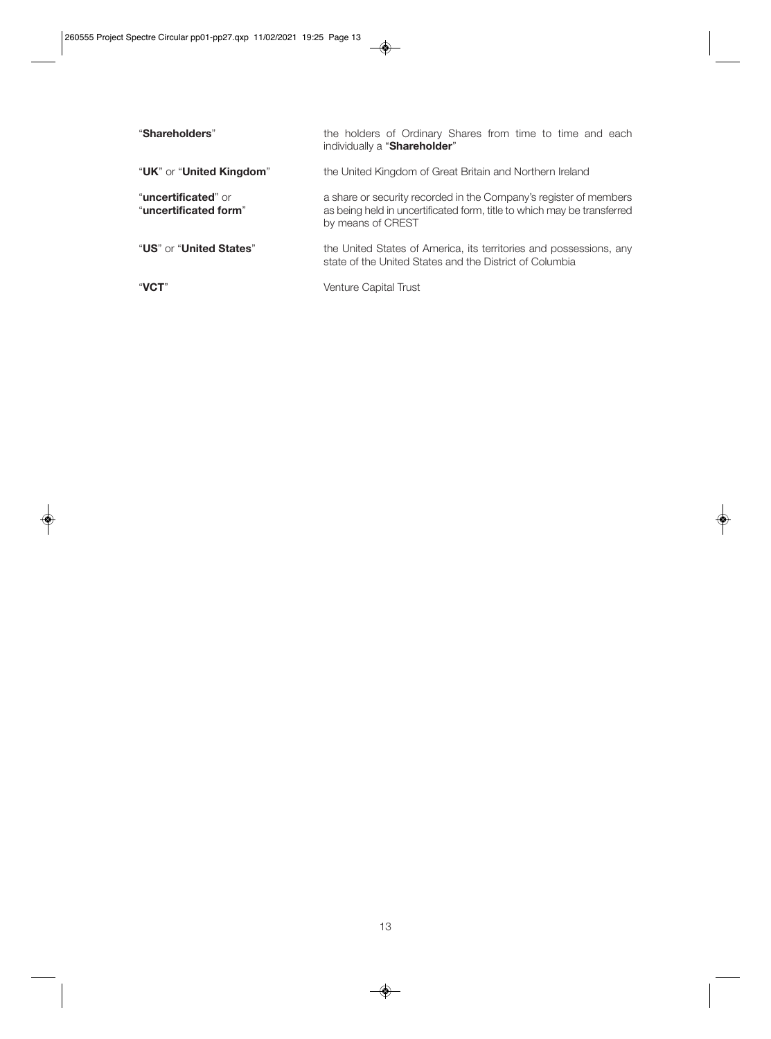| "Shareholders"                                        | the holders of Ordinary Shares from time to time and each<br>individually a "Shareholder"                                                                         |
|-------------------------------------------------------|-------------------------------------------------------------------------------------------------------------------------------------------------------------------|
| "UK" or "United Kingdom"                              | the United Kingdom of Great Britain and Northern Ireland                                                                                                          |
| " <b>uncertificated</b> " or<br>"uncertificated form" | a share or security recorded in the Company's register of members<br>as being held in uncertificated form, title to which may be transferred<br>by means of CREST |
| "US" or "United States"                               | the United States of America, its territories and possessions, any<br>state of the United States and the District of Columbia                                     |
| "VCT"                                                 | Venture Capital Trust                                                                                                                                             |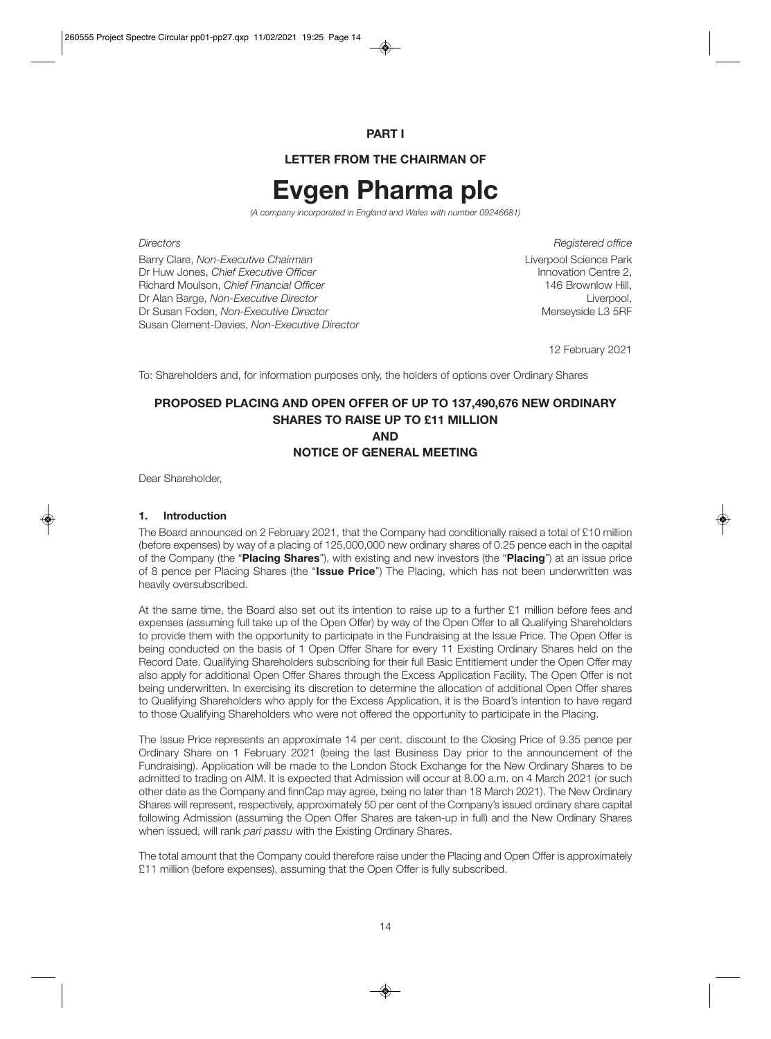# **PART I**

# **LETTER FROM THE CHAIRMAN OF**

# **Evgen Pharma plc**

*(A company incorporated in England and Wales with number 09246681)* 

Barry Clare, *Non-Executive Chairman* Liverpool Science Park Dr Huw Jones, *Chief Executive Officer* Innovation Centre 2, **Richard Moulson,** *Chief Financial Officer* Dr Alan Barge, *Non-Executive Director*<br>Dr Susan Foden, *Non-Executive Director* Liverpool, Dr Susan Foden, *Non-Executive Director* Dr Susan Foden, *Non-Executive Director* Susan Clement-Davies, *Non-Executive Director*

**Directors** Registered office

12 February 2021

To: Shareholders and, for information purposes only, the holders of options over Ordinary Shares

# **PROPOSED PLACING AND OPEN OFFER OF UP TO 137,490,676 NEW ORDINARY SHARES TO RAISE UP TO £11 MILLION AND NOTICE OF GENERAL MEETING**

Dear Shareholder,

#### **1. Introduction**

The Board announced on 2 February 2021, that the Company had conditionally raised a total of £10 million (before expenses) by way of a placing of 125,000,000 new ordinary shares of 0.25 pence each in the capital of the Company (the "**Placing Shares**"), with existing and new investors (the "**Placing**") at an issue price of 8 pence per Placing Shares (the "**Issue Price**") The Placing, which has not been underwritten was heavily oversubscribed.

At the same time, the Board also set out its intention to raise up to a further £1 million before fees and expenses (assuming full take up of the Open Offer) by way of the Open Offer to all Qualifying Shareholders to provide them with the opportunity to participate in the Fundraising at the Issue Price. The Open Offer is being conducted on the basis of 1 Open Offer Share for every 11 Existing Ordinary Shares held on the Record Date. Qualifying Shareholders subscribing for their full Basic Entitlement under the Open Offer may also apply for additional Open Offer Shares through the Excess Application Facility. The Open Offer is not being underwritten. In exercising its discretion to determine the allocation of additional Open Offer shares to Qualifying Shareholders who apply for the Excess Application, it is the Board's intention to have regard to those Qualifying Shareholders who were not offered the opportunity to participate in the Placing.

The Issue Price represents an approximate 14 per cent. discount to the Closing Price of 9.35 pence per Ordinary Share on 1 February 2021 (being the last Business Day prior to the announcement of the Fundraising). Application will be made to the London Stock Exchange for the New Ordinary Shares to be admitted to trading on AIM. It is expected that Admission will occur at 8.00 a.m. on 4 March 2021 (or such other date as the Company and finnCap may agree, being no later than 18 March 2021). The New Ordinary Shares will represent, respectively, approximately 50 per cent of the Company's issued ordinary share capital following Admission (assuming the Open Offer Shares are taken-up in full) and the New Ordinary Shares when issued, will rank *pari passu* with the Existing Ordinary Shares.

The total amount that the Company could therefore raise under the Placing and Open Offer is approximately £11 million (before expenses), assuming that the Open Offer is fully subscribed.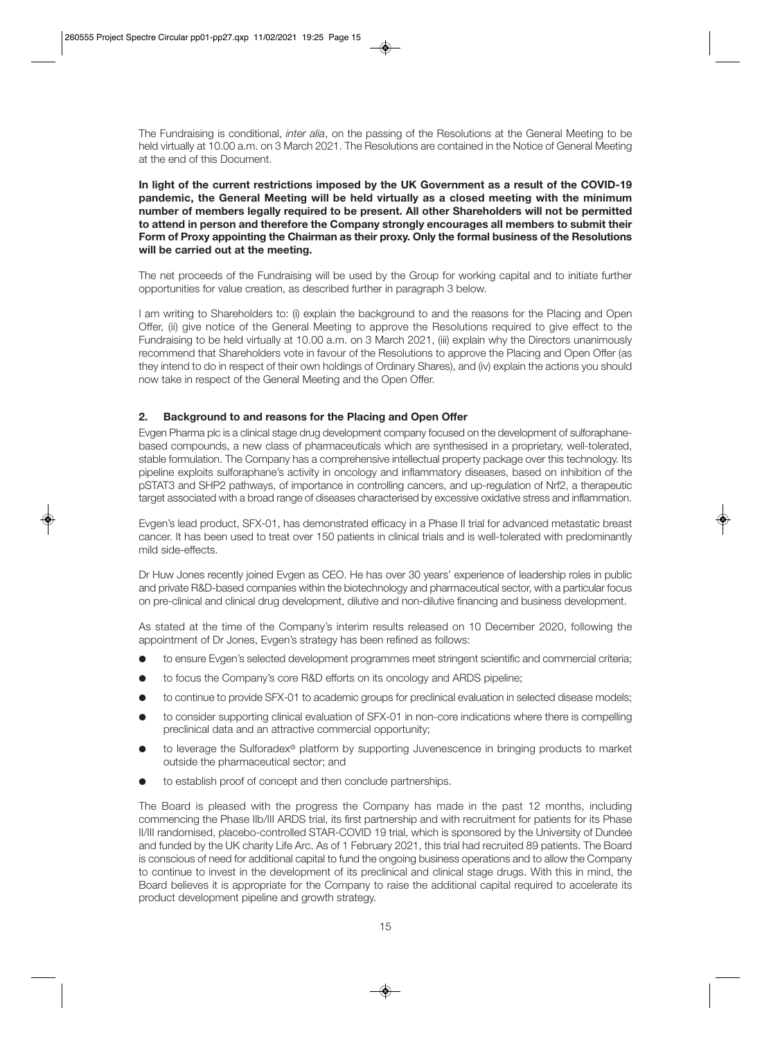The Fundraising is conditional, *inter alia*, on the passing of the Resolutions at the General Meeting to be held virtually at 10.00 a.m. on 3 March 2021. The Resolutions are contained in the Notice of General Meeting at the end of this Document.

**In light of the current restrictions imposed by the UK Government as a result of the COVID-19 pandemic, the General Meeting will be held virtually as a closed meeting with the minimum number of members legally required to be present. All other Shareholders will not be permitted to attend in person and therefore the Company strongly encourages all members to submit their Form of Proxy appointing the Chairman as their proxy. Only the formal business of the Resolutions will be carried out at the meeting.** 

The net proceeds of the Fundraising will be used by the Group for working capital and to initiate further opportunities for value creation, as described further in paragraph 3 below.

I am writing to Shareholders to: (i) explain the background to and the reasons for the Placing and Open Offer, (ii) give notice of the General Meeting to approve the Resolutions required to give effect to the Fundraising to be held virtually at 10.00 a.m. on 3 March 2021, (iii) explain why the Directors unanimously recommend that Shareholders vote in favour of the Resolutions to approve the Placing and Open Offer (as they intend to do in respect of their own holdings of Ordinary Shares), and (iv) explain the actions you should now take in respect of the General Meeting and the Open Offer.

# **2. Background to and reasons for the Placing and Open Offer**

Evgen Pharma plc is a clinical stage drug development company focused on the development of sulforaphanebased compounds, a new class of pharmaceuticals which are synthesised in a proprietary, well-tolerated, stable formulation. The Company has a comprehensive intellectual property package over this technology. Its pipeline exploits sulforaphane's activity in oncology and inflammatory diseases, based on inhibition of the pSTAT3 and SHP2 pathways, of importance in controlling cancers, and up-regulation of Nrf2, a therapeutic target associated with a broad range of diseases characterised by excessive oxidative stress and inflammation.

Evgen's lead product, SFX-01, has demonstrated efficacy in a Phase II trial for advanced metastatic breast cancer. It has been used to treat over 150 patients in clinical trials and is well-tolerated with predominantly mild side-effects.

Dr Huw Jones recently joined Evgen as CEO. He has over 30 years' experience of leadership roles in public and private R&D-based companies within the biotechnology and pharmaceutical sector, with a particular focus on pre-clinical and clinical drug development, dilutive and non-dilutive financing and business development.

As stated at the time of the Company's interim results released on 10 December 2020, following the appointment of Dr Jones, Evgen's strategy has been refined as follows:

- $\bullet$  to ensure Evgen's selected development programmes meet stringent scientific and commercial criteria;
- $\bullet$  to focus the Company's core R&D efforts on its oncology and ARDS pipeline;
- $\bullet$  to continue to provide SFX-01 to academic groups for preclinical evaluation in selected disease models;
- $\bullet$  to consider supporting clinical evaluation of SFX-01 in non-core indications where there is compelling preclinical data and an attractive commercial opportunity;
- to leverage the Sulforadex® platform by supporting Juvenescence in bringing products to market outside the pharmaceutical sector; and
- to establish proof of concept and then conclude partnerships.

The Board is pleased with the progress the Company has made in the past 12 months, including commencing the Phase IIb/III ARDS trial, its first partnership and with recruitment for patients for its Phase II/III randomised, placebo-controlled STAR-COVID 19 trial, which is sponsored by the University of Dundee and funded by the UK charity Life Arc. As of 1 February 2021, this trial had recruited 89 patients. The Board is conscious of need for additional capital to fund the ongoing business operations and to allow the Company to continue to invest in the development of its preclinical and clinical stage drugs. With this in mind, the Board believes it is appropriate for the Company to raise the additional capital required to accelerate its product development pipeline and growth strategy.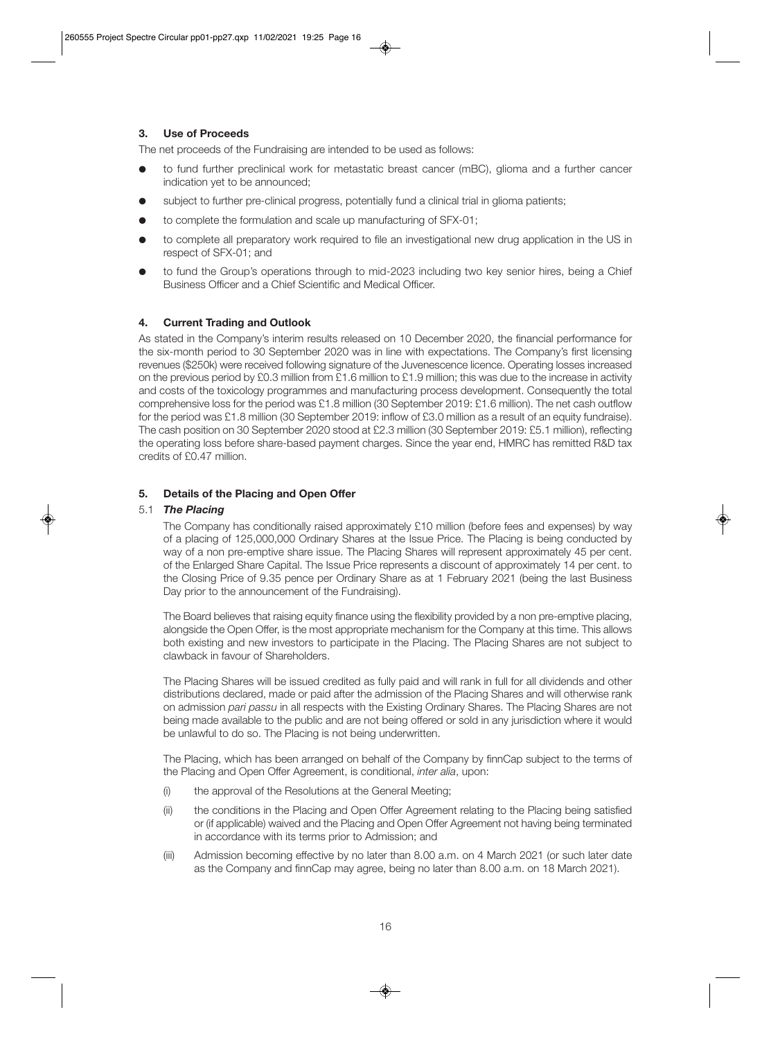# **3. Use of Proceeds**

The net proceeds of the Fundraising are intended to be used as follows:

- to fund further preclinical work for metastatic breast cancer (mBC), glioma and a further cancer indication yet to be announced;
- subject to further pre-clinical progress, potentially fund a clinical trial in glioma patients;
- to complete the formulation and scale up manufacturing of SFX-01;
- $\bullet$  to complete all preparatory work required to file an investigational new drug application in the US in respect of SFX-01; and
- to fund the Group's operations through to mid-2023 including two key senior hires, being a Chief Business Officer and a Chief Scientific and Medical Officer.

# **4. Current Trading and Outlook**

As stated in the Company's interim results released on 10 December 2020, the financial performance for the six-month period to 30 September 2020 was in line with expectations. The Company's first licensing revenues (\$250k) were received following signature of the Juvenescence licence. Operating losses increased on the previous period by £0.3 million from £1.6 million to £1.9 million; this was due to the increase in activity and costs of the toxicology programmes and manufacturing process development. Consequently the total comprehensive loss for the period was £1.8 million (30 September 2019: £1.6 million). The net cash outflow for the period was £1.8 million (30 September 2019: inflow of £3.0 million as a result of an equity fundraise). The cash position on 30 September 2020 stood at £2.3 million (30 September 2019: £5.1 million), reflecting the operating loss before share-based payment charges. Since the year end, HMRC has remitted R&D tax credits of £0.47 million.

# **5. Details of the Placing and Open Offer**

#### 5.1 *The Placing*

 The Company has conditionally raised approximately £10 million (before fees and expenses) by way of a placing of 125,000,000 Ordinary Shares at the Issue Price. The Placing is being conducted by way of a non pre-emptive share issue. The Placing Shares will represent approximately 45 per cent. of the Enlarged Share Capital. The Issue Price represents a discount of approximately 14 per cent. to the Closing Price of 9.35 pence per Ordinary Share as at 1 February 2021 (being the last Business Day prior to the announcement of the Fundraising).

 The Board believes that raising equity finance using the flexibility provided by a non pre-emptive placing, alongside the Open Offer, is the most appropriate mechanism for the Company at this time. This allows both existing and new investors to participate in the Placing. The Placing Shares are not subject to clawback in favour of Shareholders.

 The Placing Shares will be issued credited as fully paid and will rank in full for all dividends and other distributions declared, made or paid after the admission of the Placing Shares and will otherwise rank on admission *pari passu* in all respects with the Existing Ordinary Shares. The Placing Shares are not being made available to the public and are not being offered or sold in any jurisdiction where it would be unlawful to do so. The Placing is not being underwritten.

 The Placing, which has been arranged on behalf of the Company by finnCap subject to the terms of the Placing and Open Offer Agreement, is conditional, *inter alia*, upon:

- (i) the approval of the Resolutions at the General Meeting;
- (ii) the conditions in the Placing and Open Offer Agreement relating to the Placing being satisfied or (if applicable) waived and the Placing and Open Offer Agreement not having being terminated in accordance with its terms prior to Admission; and
- (iii) Admission becoming effective by no later than 8.00 a.m. on 4 March 2021 (or such later date as the Company and finnCap may agree, being no later than 8.00 a.m. on 18 March 2021).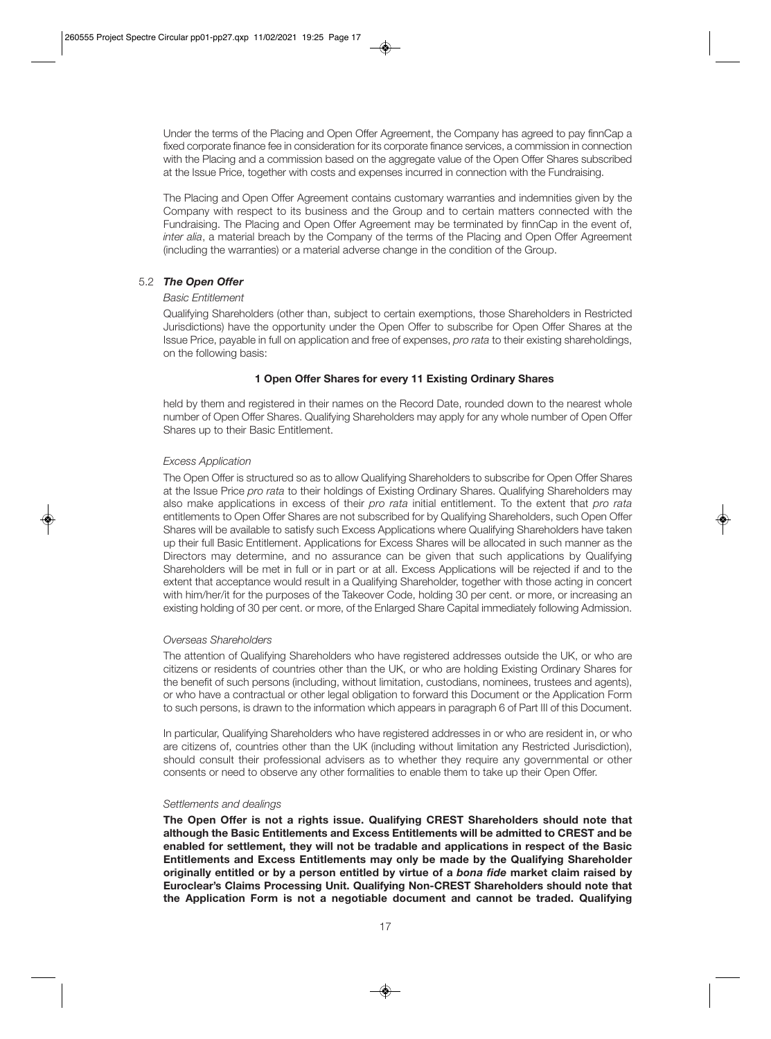Under the terms of the Placing and Open Offer Agreement, the Company has agreed to pay finnCap a fixed corporate finance fee in consideration for its corporate finance services, a commission in connection with the Placing and a commission based on the aggregate value of the Open Offer Shares subscribed at the Issue Price, together with costs and expenses incurred in connection with the Fundraising.

 The Placing and Open Offer Agreement contains customary warranties and indemnities given by the Company with respect to its business and the Group and to certain matters connected with the Fundraising. The Placing and Open Offer Agreement may be terminated by finnCap in the event of, *inter alia*, a material breach by the Company of the terms of the Placing and Open Offer Agreement (including the warranties) or a material adverse change in the condition of the Group.

# 5.2 *The Open Offer*

#### *Basic Entitlement*

 Qualifying Shareholders (other than, subject to certain exemptions, those Shareholders in Restricted Jurisdictions) have the opportunity under the Open Offer to subscribe for Open Offer Shares at the Issue Price, payable in full on application and free of expenses, *pro rata* to their existing shareholdings, on the following basis:

# **1 Open Offer Shares for every 11 Existing Ordinary Shares**

 held by them and registered in their names on the Record Date, rounded down to the nearest whole number of Open Offer Shares. Qualifying Shareholders may apply for any whole number of Open Offer Shares up to their Basic Entitlement.

# *Excess Application*

 The Open Offer is structured so as to allow Qualifying Shareholders to subscribe for Open Offer Shares at the Issue Price *pro rata* to their holdings of Existing Ordinary Shares. Qualifying Shareholders may also make applications in excess of their *pro rata* initial entitlement. To the extent that *pro rata* entitlements to Open Offer Shares are not subscribed for by Qualifying Shareholders, such Open Offer Shares will be available to satisfy such Excess Applications where Qualifying Shareholders have taken up their full Basic Entitlement. Applications for Excess Shares will be allocated in such manner as the Directors may determine, and no assurance can be given that such applications by Qualifying Shareholders will be met in full or in part or at all. Excess Applications will be rejected if and to the extent that acceptance would result in a Qualifying Shareholder, together with those acting in concert with him/her/it for the purposes of the Takeover Code, holding 30 per cent. or more, or increasing an existing holding of 30 per cent. or more, of the Enlarged Share Capital immediately following Admission.

# *Overseas Shareholders*

 The attention of Qualifying Shareholders who have registered addresses outside the UK, or who are citizens or residents of countries other than the UK, or who are holding Existing Ordinary Shares for the benefit of such persons (including, without limitation, custodians, nominees, trustees and agents), or who have a contractual or other legal obligation to forward this Document or the Application Form to such persons, is drawn to the information which appears in paragraph 6 of Part III of this Document.

 In particular, Qualifying Shareholders who have registered addresses in or who are resident in, or who are citizens of, countries other than the UK (including without limitation any Restricted Jurisdiction), should consult their professional advisers as to whether they require any governmental or other consents or need to observe any other formalities to enable them to take up their Open Offer.

# *Settlements and dealings*

 **The Open Offer is not a rights issue. Qualifying CREST Shareholders should note that although the Basic Entitlements and Excess Entitlements will be admitted to CREST and be enabled for settlement, they will not be tradable and applications in respect of the Basic Entitlements and Excess Entitlements may only be made by the Qualifying Shareholder originally entitled or by a person entitled by virtue of a** *bona fide* **market claim raised by Euroclear's Claims Processing Unit. Qualifying Non-CREST Shareholders should note that the Application Form is not a negotiable document and cannot be traded. Qualifying**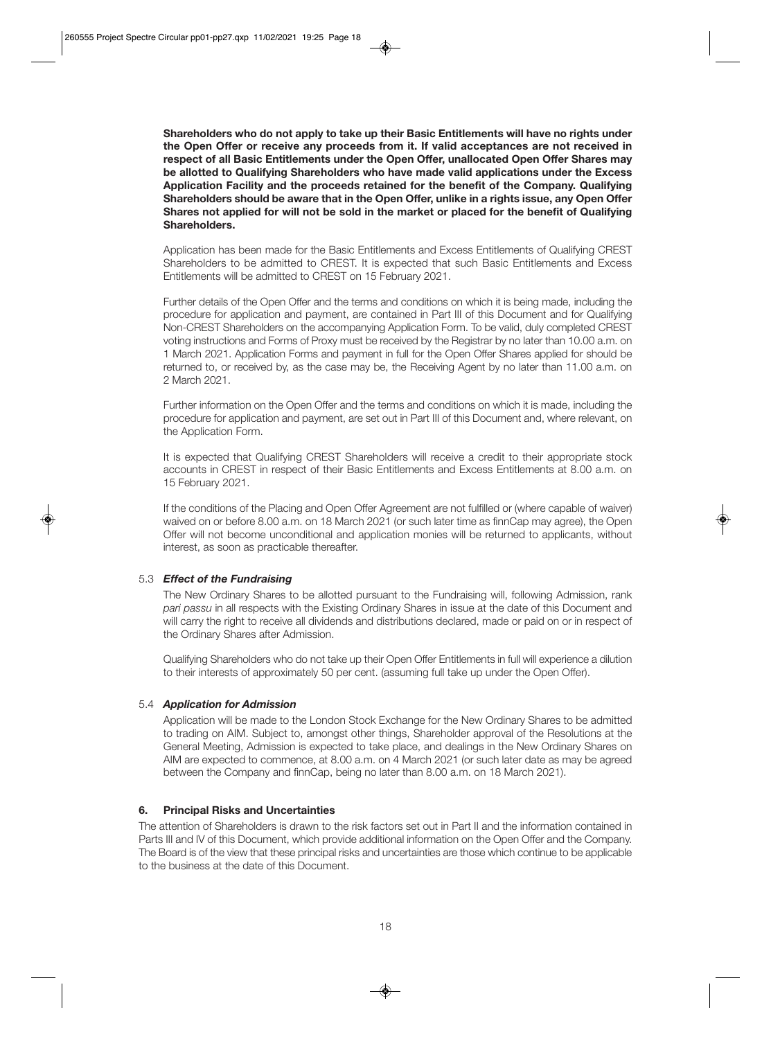**Shareholders who do not apply to take up their Basic Entitlements will have no rights under the Open Offer or receive any proceeds from it. If valid acceptances are not received in respect of all Basic Entitlements under the Open Offer, unallocated Open Offer Shares may be allotted to Qualifying Shareholders who have made valid applications under the Excess Application Facility and the proceeds retained for the benefit of the Company. Qualifying Shareholders should be aware that in the Open Offer, unlike in a rights issue, any Open Offer Shares not applied for will not be sold in the market or placed for the benefit of Qualifying Shareholders.** 

 Application has been made for the Basic Entitlements and Excess Entitlements of Qualifying CREST Shareholders to be admitted to CREST. It is expected that such Basic Entitlements and Excess Entitlements will be admitted to CREST on 15 February 2021.

 Further details of the Open Offer and the terms and conditions on which it is being made, including the procedure for application and payment, are contained in Part III of this Document and for Qualifying Non-CREST Shareholders on the accompanying Application Form. To be valid, duly completed CREST voting instructions and Forms of Proxy must be received by the Registrar by no later than 10.00 a.m. on 1 March 2021. Application Forms and payment in full for the Open Offer Shares applied for should be returned to, or received by, as the case may be, the Receiving Agent by no later than 11.00 a.m. on 2 March 2021.

 Further information on the Open Offer and the terms and conditions on which it is made, including the procedure for application and payment, are set out in Part III of this Document and, where relevant, on the Application Form.

 It is expected that Qualifying CREST Shareholders will receive a credit to their appropriate stock accounts in CREST in respect of their Basic Entitlements and Excess Entitlements at 8.00 a.m. on 15 February 2021.

 If the conditions of the Placing and Open Offer Agreement are not fulfilled or (where capable of waiver) waived on or before 8.00 a.m. on 18 March 2021 (or such later time as finnCap may agree), the Open Offer will not become unconditional and application monies will be returned to applicants, without interest, as soon as practicable thereafter.

# 5.3 *Effect of the Fundraising*

 The New Ordinary Shares to be allotted pursuant to the Fundraising will, following Admission, rank *pari passu* in all respects with the Existing Ordinary Shares in issue at the date of this Document and will carry the right to receive all dividends and distributions declared, made or paid on or in respect of the Ordinary Shares after Admission.

 Qualifying Shareholders who do not take up their Open Offer Entitlements in full will experience a dilution to their interests of approximately 50 per cent. (assuming full take up under the Open Offer).

# 5.4 *Application for Admission*

 Application will be made to the London Stock Exchange for the New Ordinary Shares to be admitted to trading on AIM. Subject to, amongst other things, Shareholder approval of the Resolutions at the General Meeting, Admission is expected to take place, and dealings in the New Ordinary Shares on AIM are expected to commence, at 8.00 a.m. on 4 March 2021 (or such later date as may be agreed between the Company and finnCap, being no later than 8.00 a.m. on 18 March 2021).

# **6. Principal Risks and Uncertainties**

The attention of Shareholders is drawn to the risk factors set out in Part II and the information contained in Parts III and IV of this Document, which provide additional information on the Open Offer and the Company. The Board is of the view that these principal risks and uncertainties are those which continue to be applicable to the business at the date of this Document.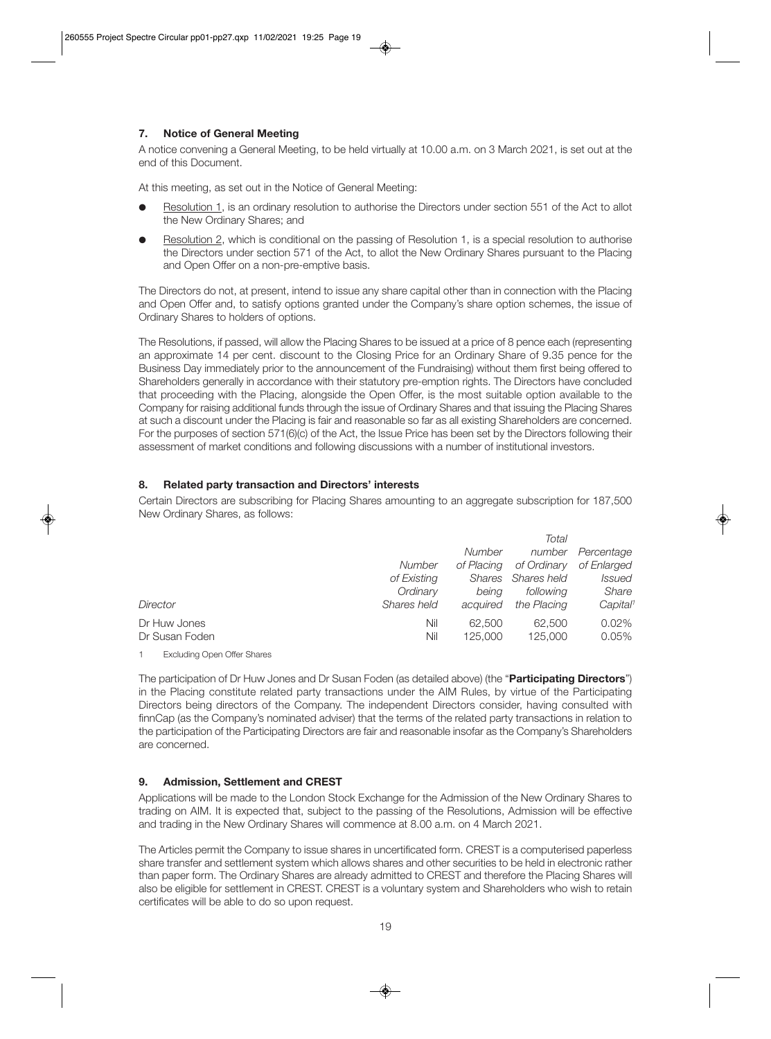# **7. Notice of General Meeting**

A notice convening a General Meeting, to be held virtually at 10.00 a.m. on 3 March 2021, is set out at the end of this Document.

At this meeting, as set out in the Notice of General Meeting:

- Resolution 1, is an ordinary resolution to authorise the Directors under section 551 of the Act to allot the New Ordinary Shares; and
- Resolution 2, which is conditional on the passing of Resolution 1, is a special resolution to authorise the Directors under section 571 of the Act, to allot the New Ordinary Shares pursuant to the Placing and Open Offer on a non-pre-emptive basis.

The Directors do not, at present, intend to issue any share capital other than in connection with the Placing and Open Offer and, to satisfy options granted under the Company's share option schemes, the issue of Ordinary Shares to holders of options.

The Resolutions, if passed, will allow the Placing Shares to be issued at a price of 8 pence each (representing an approximate 14 per cent. discount to the Closing Price for an Ordinary Share of 9.35 pence for the Business Day immediately prior to the announcement of the Fundraising) without them first being offered to Shareholders generally in accordance with their statutory pre-emption rights. The Directors have concluded that proceeding with the Placing, alongside the Open Offer, is the most suitable option available to the Company for raising additional funds through the issue of Ordinary Shares and that issuing the Placing Shares at such a discount under the Placing is fair and reasonable so far as all existing Shareholders are concerned. For the purposes of section 571(6)(c) of the Act, the Issue Price has been set by the Directors following their assessment of market conditions and following discussions with a number of institutional investors.

# **8. Related party transaction and Directors' interests**

Certain Directors are subscribing for Placing Shares amounting to an aggregate subscription for 187,500 New Ordinary Shares, as follows:

|                                |               |                   | Total             |                      |
|--------------------------------|---------------|-------------------|-------------------|----------------------|
|                                |               | <b>Number</b>     | number            | Percentage           |
|                                | <b>Number</b> | of Placing        | of Ordinary       | of Enlarged          |
|                                | of Existing   | Shares            | Shares held       | Issued               |
|                                | Ordinary      | being             | following         | Share                |
| Director                       | Shares held   | acquired          | the Placing       | Capital <sup>1</sup> |
| Dr Huw Jones<br>Dr Susan Foden | Nil<br>Nil    | 62,500<br>125,000 | 62,500<br>125,000 | 0.02%<br>0.05%       |
|                                |               |                   |                   |                      |

1 Excluding Open Offer Shares

The participation of Dr Huw Jones and Dr Susan Foden (as detailed above) (the "**Participating Directors**") in the Placing constitute related party transactions under the AIM Rules, by virtue of the Participating Directors being directors of the Company. The independent Directors consider, having consulted with finnCap (as the Company's nominated adviser) that the terms of the related party transactions in relation to the participation of the Participating Directors are fair and reasonable insofar as the Company's Shareholders are concerned.

# **9. Admission, Settlement and CREST**

Applications will be made to the London Stock Exchange for the Admission of the New Ordinary Shares to trading on AIM. It is expected that, subject to the passing of the Resolutions, Admission will be effective and trading in the New Ordinary Shares will commence at 8.00 a.m. on 4 March 2021.

The Articles permit the Company to issue shares in uncertificated form. CREST is a computerised paperless share transfer and settlement system which allows shares and other securities to be held in electronic rather than paper form. The Ordinary Shares are already admitted to CREST and therefore the Placing Shares will also be eligible for settlement in CREST. CREST is a voluntary system and Shareholders who wish to retain certificates will be able to do so upon request.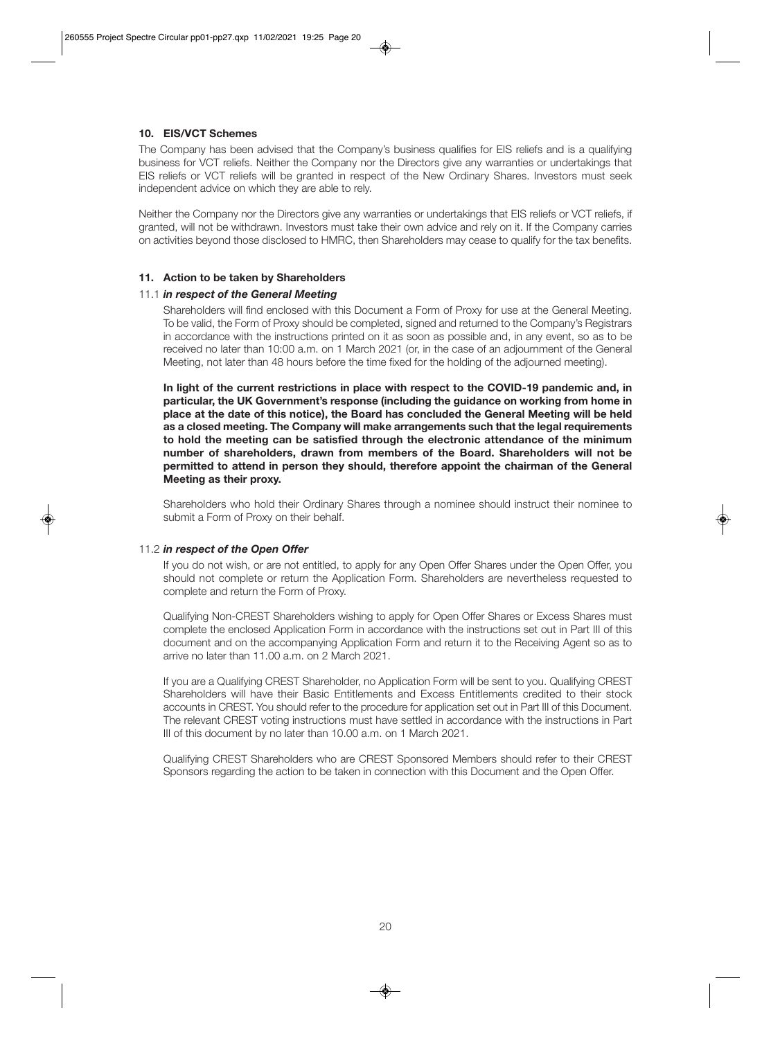# **10. EIS/VCT Schemes**

The Company has been advised that the Company's business qualifies for EIS reliefs and is a qualifying business for VCT reliefs. Neither the Company nor the Directors give any warranties or undertakings that EIS reliefs or VCT reliefs will be granted in respect of the New Ordinary Shares. Investors must seek independent advice on which they are able to rely.

Neither the Company nor the Directors give any warranties or undertakings that EIS reliefs or VCT reliefs, if granted, will not be withdrawn. Investors must take their own advice and rely on it. If the Company carries on activities beyond those disclosed to HMRC, then Shareholders may cease to qualify for the tax benefits.

#### **11. Action to be taken by Shareholders**

# 11.1 *in respect of the General Meeting*

 Shareholders will find enclosed with this Document a Form of Proxy for use at the General Meeting. To be valid, the Form of Proxy should be completed, signed and returned to the Company's Registrars in accordance with the instructions printed on it as soon as possible and, in any event, so as to be received no later than 10:00 a.m. on 1 March 2021 (or, in the case of an adjournment of the General Meeting, not later than 48 hours before the time fixed for the holding of the adjourned meeting).

 **In light of the current restrictions in place with respect to the COVID-19 pandemic and, in particular, the UK Government's response (including the guidance on working from home in place at the date of this notice), the Board has concluded the General Meeting will be held as a closed meeting. The Company will make arrangements such that the legal requirements to hold the meeting can be satisfied through the electronic attendance of the minimum number of shareholders, drawn from members of the Board. Shareholders will not be permitted to attend in person they should, therefore appoint the chairman of the General Meeting as their proxy.** 

 Shareholders who hold their Ordinary Shares through a nominee should instruct their nominee to submit a Form of Proxy on their behalf.

#### 11.2 *in respect of the Open Offer*

 If you do not wish, or are not entitled, to apply for any Open Offer Shares under the Open Offer, you should not complete or return the Application Form. Shareholders are nevertheless requested to complete and return the Form of Proxy.

 Qualifying Non-CREST Shareholders wishing to apply for Open Offer Shares or Excess Shares must complete the enclosed Application Form in accordance with the instructions set out in Part III of this document and on the accompanying Application Form and return it to the Receiving Agent so as to arrive no later than 11.00 a.m. on 2 March 2021.

 If you are a Qualifying CREST Shareholder, no Application Form will be sent to you. Qualifying CREST Shareholders will have their Basic Entitlements and Excess Entitlements credited to their stock accounts in CREST. You should refer to the procedure for application set out in Part III of this Document. The relevant CREST voting instructions must have settled in accordance with the instructions in Part III of this document by no later than 10.00 a.m. on 1 March 2021.

 Qualifying CREST Shareholders who are CREST Sponsored Members should refer to their CREST Sponsors regarding the action to be taken in connection with this Document and the Open Offer.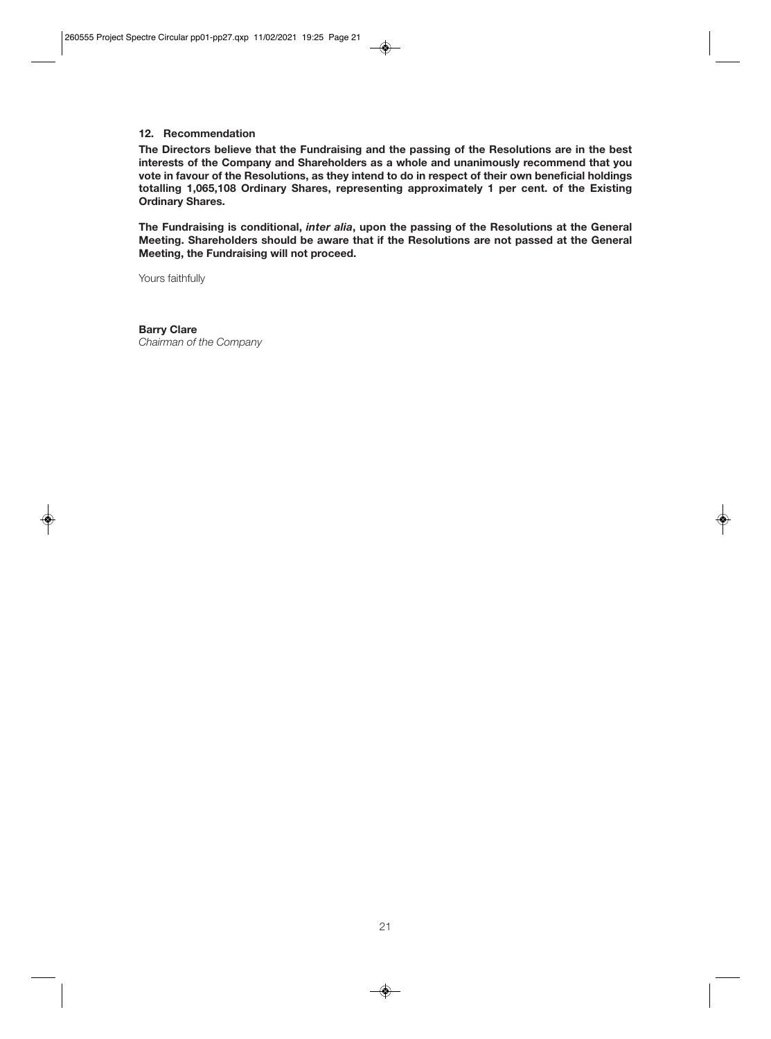#### **12. Recommendation**

**The Directors believe that the Fundraising and the passing of the Resolutions are in the best interests of the Company and Shareholders as a whole and unanimously recommend that you vote in favour of the Resolutions, as they intend to do in respect of their own beneficial holdings totalling 1,065,108 Ordinary Shares, representing approximately 1 per cent. of the Existing Ordinary Shares.** 

**The Fundraising is conditional,** *inter alia***, upon the passing of the Resolutions at the General Meeting. Shareholders should be aware that if the Resolutions are not passed at the General Meeting, the Fundraising will not proceed.** 

Yours faithfully

**Barry Clare**  *Chairman of the Company*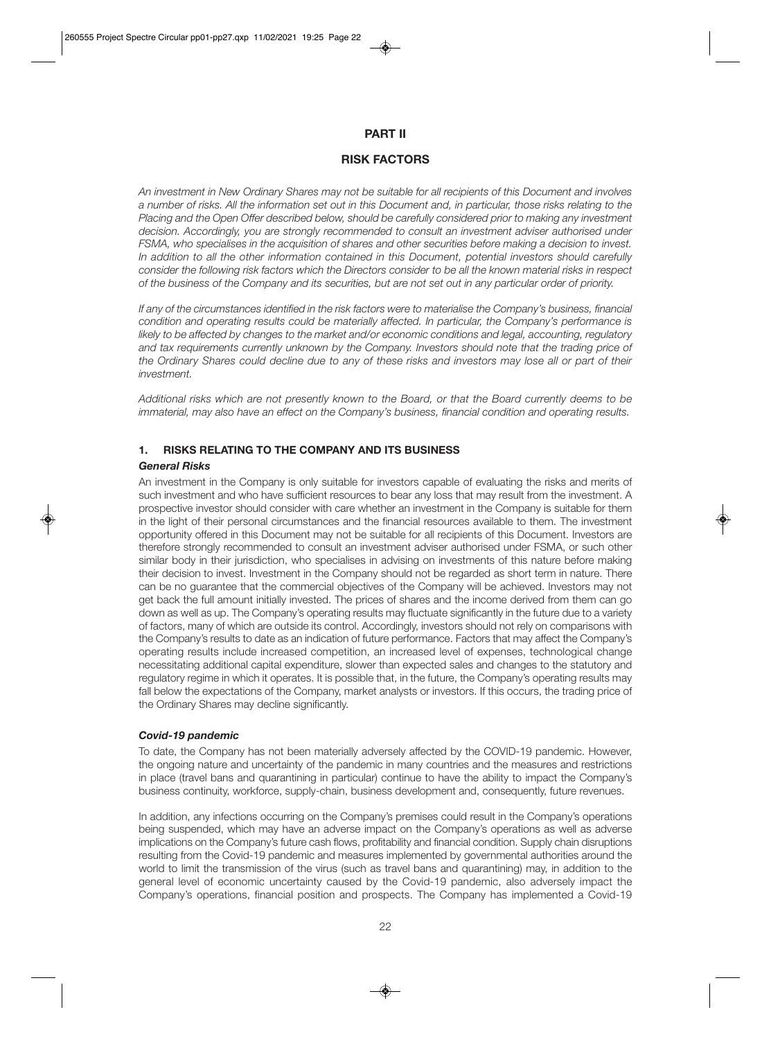# **PART II**

# **RISK FACTORS**

*An investment in New Ordinary Shares may not be suitable for all recipients of this Document and involves a number of risks. All the information set out in this Document and, in particular, those risks relating to the Placing and the Open Offer described below, should be carefully considered prior to making any investment decision. Accordingly, you are strongly recommended to consult an investment adviser authorised under FSMA, who specialises in the acquisition of shares and other securities before making a decision to invest. In addition to all the other information contained in this Document, potential investors should carefully consider the following risk factors which the Directors consider to be all the known material risks in respect of the business of the Company and its securities, but are not set out in any particular order of priority.* 

*If any of the circumstances identified in the risk factors were to materialise the Company's business, financial condition and operating results could be materially affected. In particular, the Company's performance is likely to be affected by changes to the market and/or economic conditions and legal, accounting, regulatory and tax requirements currently unknown by the Company. Investors should note that the trading price of the Ordinary Shares could decline due to any of these risks and investors may lose all or part of their investment.* 

*Additional risks which are not presently known to the Board, or that the Board currently deems to be immaterial, may also have an effect on the Company's business, financial condition and operating results.* 

# **1. RISKS RELATING TO THE COMPANY AND ITS BUSINESS**

# *General Risks*

An investment in the Company is only suitable for investors capable of evaluating the risks and merits of such investment and who have sufficient resources to bear any loss that may result from the investment. A prospective investor should consider with care whether an investment in the Company is suitable for them in the light of their personal circumstances and the financial resources available to them. The investment opportunity offered in this Document may not be suitable for all recipients of this Document. Investors are therefore strongly recommended to consult an investment adviser authorised under FSMA, or such other similar body in their jurisdiction, who specialises in advising on investments of this nature before making their decision to invest. Investment in the Company should not be regarded as short term in nature. There can be no guarantee that the commercial objectives of the Company will be achieved. Investors may not get back the full amount initially invested. The prices of shares and the income derived from them can go down as well as up. The Company's operating results may fluctuate significantly in the future due to a variety of factors, many of which are outside its control. Accordingly, investors should not rely on comparisons with the Company's results to date as an indication of future performance. Factors that may affect the Company's operating results include increased competition, an increased level of expenses, technological change necessitating additional capital expenditure, slower than expected sales and changes to the statutory and regulatory regime in which it operates. It is possible that, in the future, the Company's operating results may fall below the expectations of the Company, market analysts or investors. If this occurs, the trading price of the Ordinary Shares may decline significantly.

# *Covid-19 pandemic*

To date, the Company has not been materially adversely affected by the COVID-19 pandemic. However, the ongoing nature and uncertainty of the pandemic in many countries and the measures and restrictions in place (travel bans and quarantining in particular) continue to have the ability to impact the Company's business continuity, workforce, supply-chain, business development and, consequently, future revenues.

In addition, any infections occurring on the Company's premises could result in the Company's operations being suspended, which may have an adverse impact on the Company's operations as well as adverse implications on the Company's future cash flows, profitability and financial condition. Supply chain disruptions resulting from the Covid-19 pandemic and measures implemented by governmental authorities around the world to limit the transmission of the virus (such as travel bans and quarantining) may, in addition to the general level of economic uncertainty caused by the Covid-19 pandemic, also adversely impact the Company's operations, financial position and prospects. The Company has implemented a Covid-19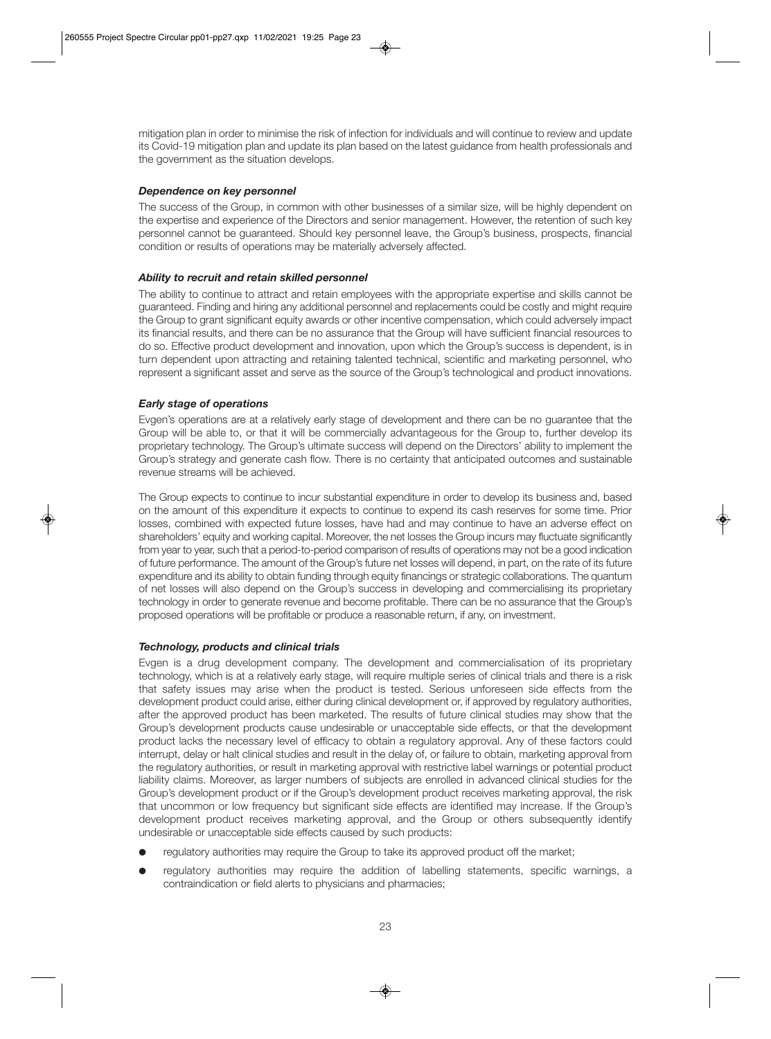mitigation plan in order to minimise the risk of infection for individuals and will continue to review and update its Covid-19 mitigation plan and update its plan based on the latest guidance from health professionals and the government as the situation develops.

# *Dependence on key personnel*

The success of the Group, in common with other businesses of a similar size, will be highly dependent on the expertise and experience of the Directors and senior management. However, the retention of such key personnel cannot be guaranteed. Should key personnel leave, the Group's business, prospects, financial condition or results of operations may be materially adversely affected.

# *Ability to recruit and retain skilled personnel*

The ability to continue to attract and retain employees with the appropriate expertise and skills cannot be guaranteed. Finding and hiring any additional personnel and replacements could be costly and might require the Group to grant significant equity awards or other incentive compensation, which could adversely impact its financial results, and there can be no assurance that the Group will have sufficient financial resources to do so. Effective product development and innovation, upon which the Group's success is dependent, is in turn dependent upon attracting and retaining talented technical, scientific and marketing personnel, who represent a significant asset and serve as the source of the Group's technological and product innovations.

# *Early stage of operations*

Evgen's operations are at a relatively early stage of development and there can be no guarantee that the Group will be able to, or that it will be commercially advantageous for the Group to, further develop its proprietary technology. The Group's ultimate success will depend on the Directors' ability to implement the Group's strategy and generate cash flow. There is no certainty that anticipated outcomes and sustainable revenue streams will be achieved.

The Group expects to continue to incur substantial expenditure in order to develop its business and, based on the amount of this expenditure it expects to continue to expend its cash reserves for some time. Prior losses, combined with expected future losses, have had and may continue to have an adverse effect on shareholders' equity and working capital. Moreover, the net losses the Group incurs may fluctuate significantly from year to year, such that a period-to-period comparison of results of operations may not be a good indication of future performance. The amount of the Group's future net losses will depend, in part, on the rate of its future expenditure and its ability to obtain funding through equity financings or strategic collaborations. The quantum of net losses will also depend on the Group's success in developing and commercialising its proprietary technology in order to generate revenue and become profitable. There can be no assurance that the Group's proposed operations will be profitable or produce a reasonable return, if any, on investment.

# *Technology, products and clinical trials*

Evgen is a drug development company. The development and commercialisation of its proprietary technology, which is at a relatively early stage, will require multiple series of clinical trials and there is a risk that safety issues may arise when the product is tested. Serious unforeseen side effects from the development product could arise, either during clinical development or, if approved by regulatory authorities, after the approved product has been marketed. The results of future clinical studies may show that the Group's development products cause undesirable or unacceptable side effects, or that the development product lacks the necessary level of efficacy to obtain a regulatory approval. Any of these factors could interrupt, delay or halt clinical studies and result in the delay of, or failure to obtain, marketing approval from the regulatory authorities, or result in marketing approval with restrictive label warnings or potential product liability claims. Moreover, as larger numbers of subjects are enrolled in advanced clinical studies for the Group's development product or if the Group's development product receives marketing approval, the risk that uncommon or low frequency but significant side effects are identified may increase. If the Group's development product receives marketing approval, and the Group or others subsequently identify undesirable or unacceptable side effects caused by such products:

- regulatory authorities may require the Group to take its approved product off the market;
- regulatory authorities may require the addition of labelling statements, specific warnings, a contraindication or field alerts to physicians and pharmacies;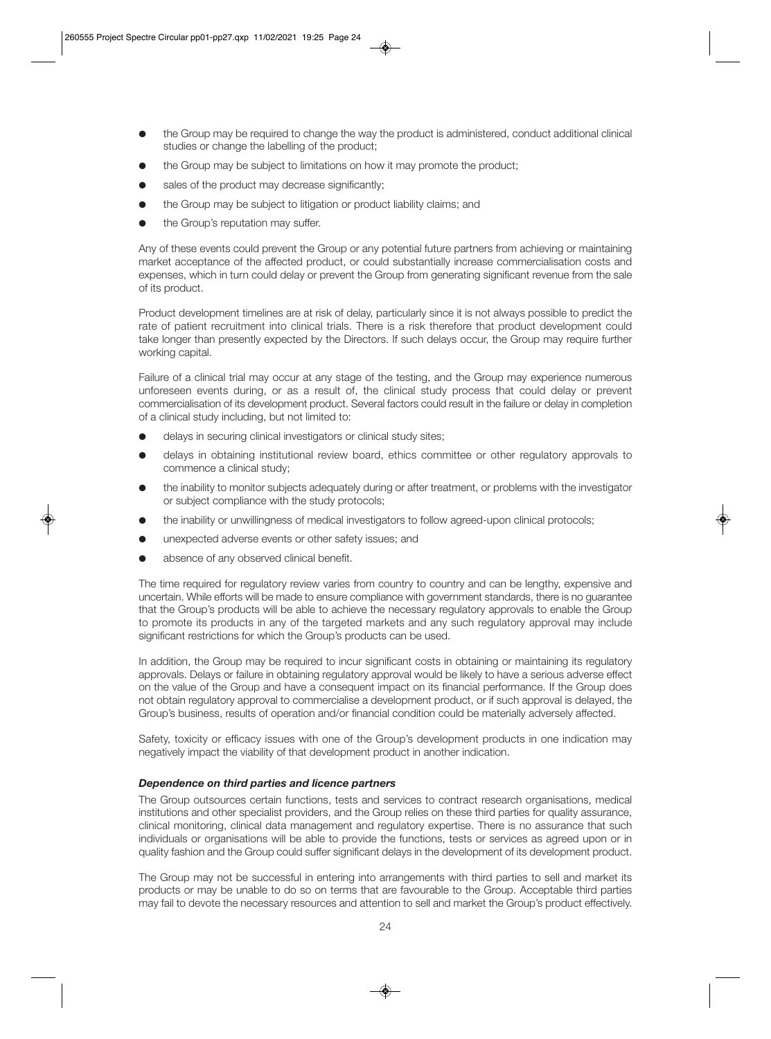- $\bullet$  the Group may be required to change the way the product is administered, conduct additional clinical studies or change the labelling of the product;
- the Group may be subject to limitations on how it may promote the product;
- sales of the product may decrease significantly;
- $\bullet$  the Group may be subject to litigation or product liability claims; and
- the Group's reputation may suffer.

Any of these events could prevent the Group or any potential future partners from achieving or maintaining market acceptance of the affected product, or could substantially increase commercialisation costs and expenses, which in turn could delay or prevent the Group from generating significant revenue from the sale of its product.

Product development timelines are at risk of delay, particularly since it is not always possible to predict the rate of patient recruitment into clinical trials. There is a risk therefore that product development could take longer than presently expected by the Directors. If such delays occur, the Group may require further working capital.

Failure of a clinical trial may occur at any stage of the testing, and the Group may experience numerous unforeseen events during, or as a result of, the clinical study process that could delay or prevent commercialisation of its development product. Several factors could result in the failure or delay in completion of a clinical study including, but not limited to:

- delays in securing clinical investigators or clinical study sites;
- delays in obtaining institutional review board, ethics committee or other regulatory approvals to commence a clinical study;
- the inability to monitor subjects adequately during or after treatment, or problems with the investigator or subject compliance with the study protocols;
- the inability or unwillingness of medical investigators to follow agreed-upon clinical protocols;
- unexpected adverse events or other safety issues; and
- absence of any observed clinical benefit.

The time required for regulatory review varies from country to country and can be lengthy, expensive and uncertain. While efforts will be made to ensure compliance with government standards, there is no guarantee that the Group's products will be able to achieve the necessary regulatory approvals to enable the Group to promote its products in any of the targeted markets and any such regulatory approval may include significant restrictions for which the Group's products can be used.

In addition, the Group may be required to incur significant costs in obtaining or maintaining its regulatory approvals. Delays or failure in obtaining regulatory approval would be likely to have a serious adverse effect on the value of the Group and have a consequent impact on its financial performance. If the Group does not obtain regulatory approval to commercialise a development product, or if such approval is delayed, the Group's business, results of operation and/or financial condition could be materially adversely affected.

Safety, toxicity or efficacy issues with one of the Group's development products in one indication may negatively impact the viability of that development product in another indication.

# *Dependence on third parties and licence partners*

The Group outsources certain functions, tests and services to contract research organisations, medical institutions and other specialist providers, and the Group relies on these third parties for quality assurance, clinical monitoring, clinical data management and regulatory expertise. There is no assurance that such individuals or organisations will be able to provide the functions, tests or services as agreed upon or in quality fashion and the Group could suffer significant delays in the development of its development product.

The Group may not be successful in entering into arrangements with third parties to sell and market its products or may be unable to do so on terms that are favourable to the Group. Acceptable third parties may fail to devote the necessary resources and attention to sell and market the Group's product effectively.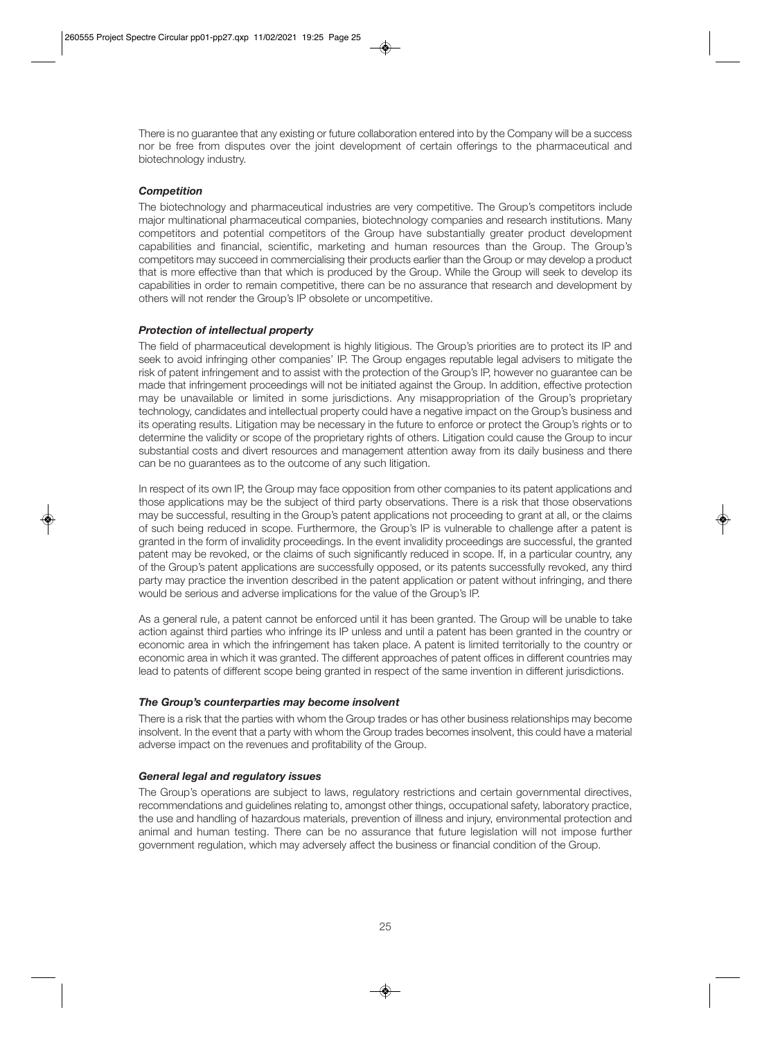There is no guarantee that any existing or future collaboration entered into by the Company will be a success nor be free from disputes over the joint development of certain offerings to the pharmaceutical and biotechnology industry.

# *Competition*

The biotechnology and pharmaceutical industries are very competitive. The Group's competitors include major multinational pharmaceutical companies, biotechnology companies and research institutions. Many competitors and potential competitors of the Group have substantially greater product development capabilities and financial, scientific, marketing and human resources than the Group. The Group's competitors may succeed in commercialising their products earlier than the Group or may develop a product that is more effective than that which is produced by the Group. While the Group will seek to develop its capabilities in order to remain competitive, there can be no assurance that research and development by others will not render the Group's IP obsolete or uncompetitive.

# *Protection of intellectual property*

The field of pharmaceutical development is highly litigious. The Group's priorities are to protect its IP and seek to avoid infringing other companies' IP. The Group engages reputable legal advisers to mitigate the risk of patent infringement and to assist with the protection of the Group's IP, however no guarantee can be made that infringement proceedings will not be initiated against the Group. In addition, effective protection may be unavailable or limited in some jurisdictions. Any misappropriation of the Group's proprietary technology, candidates and intellectual property could have a negative impact on the Group's business and its operating results. Litigation may be necessary in the future to enforce or protect the Group's rights or to determine the validity or scope of the proprietary rights of others. Litigation could cause the Group to incur substantial costs and divert resources and management attention away from its daily business and there can be no guarantees as to the outcome of any such litigation.

In respect of its own IP, the Group may face opposition from other companies to its patent applications and those applications may be the subject of third party observations. There is a risk that those observations may be successful, resulting in the Group's patent applications not proceeding to grant at all, or the claims of such being reduced in scope. Furthermore, the Group's IP is vulnerable to challenge after a patent is granted in the form of invalidity proceedings. In the event invalidity proceedings are successful, the granted patent may be revoked, or the claims of such significantly reduced in scope. If, in a particular country, any of the Group's patent applications are successfully opposed, or its patents successfully revoked, any third party may practice the invention described in the patent application or patent without infringing, and there would be serious and adverse implications for the value of the Group's IP.

As a general rule, a patent cannot be enforced until it has been granted. The Group will be unable to take action against third parties who infringe its IP unless and until a patent has been granted in the country or economic area in which the infringement has taken place. A patent is limited territorially to the country or economic area in which it was granted. The different approaches of patent offices in different countries may lead to patents of different scope being granted in respect of the same invention in different jurisdictions.

# *The Group's counterparties may become insolvent*

There is a risk that the parties with whom the Group trades or has other business relationships may become insolvent. In the event that a party with whom the Group trades becomes insolvent, this could have a material adverse impact on the revenues and profitability of the Group.

# *General legal and regulatory issues*

The Group's operations are subject to laws, regulatory restrictions and certain governmental directives, recommendations and guidelines relating to, amongst other things, occupational safety, laboratory practice, the use and handling of hazardous materials, prevention of illness and injury, environmental protection and animal and human testing. There can be no assurance that future legislation will not impose further government regulation, which may adversely affect the business or financial condition of the Group.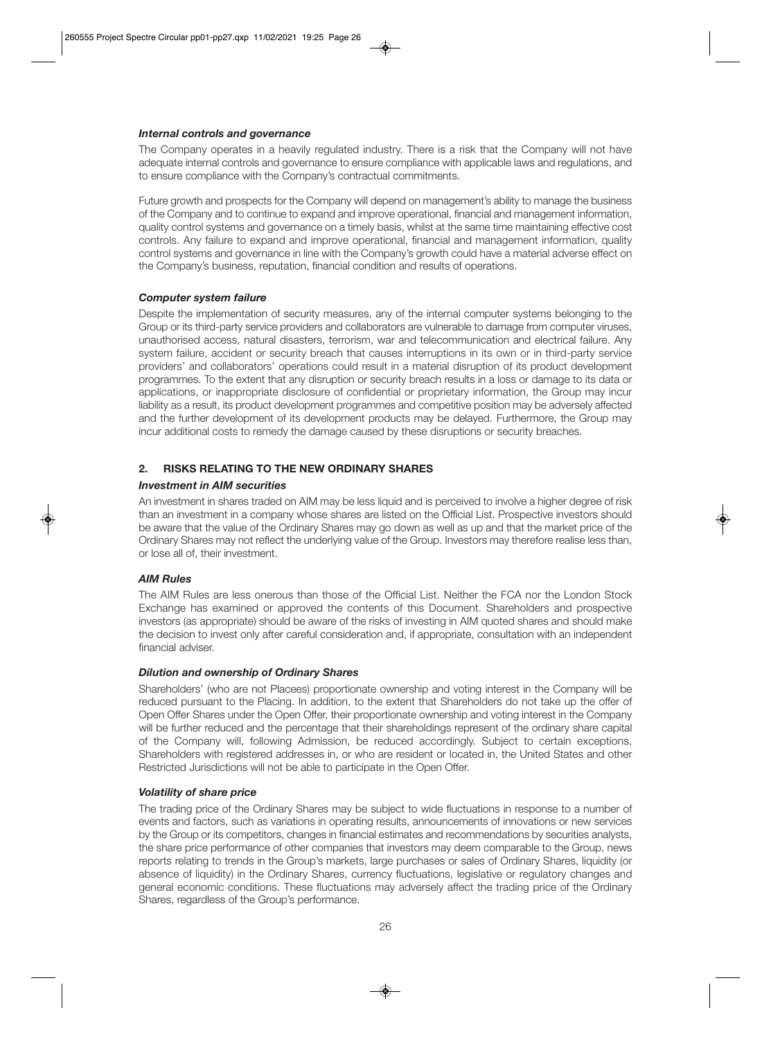# *Internal controls and governance*

The Company operates in a heavily regulated industry. There is a risk that the Company will not have adequate internal controls and governance to ensure compliance with applicable laws and regulations, and to ensure compliance with the Company's contractual commitments.

Future growth and prospects for the Company will depend on management's ability to manage the business of the Company and to continue to expand and improve operational, financial and management information, quality control systems and governance on a timely basis, whilst at the same time maintaining effective cost controls. Any failure to expand and improve operational, financial and management information, quality control systems and governance in line with the Company's growth could have a material adverse effect on the Company's business, reputation, financial condition and results of operations.

# *Computer system failure*

Despite the implementation of security measures, any of the internal computer systems belonging to the Group or its third-party service providers and collaborators are vulnerable to damage from computer viruses, unauthorised access, natural disasters, terrorism, war and telecommunication and electrical failure. Any system failure, accident or security breach that causes interruptions in its own or in third-party service providers' and collaborators' operations could result in a material disruption of its product development programmes. To the extent that any disruption or security breach results in a loss or damage to its data or applications, or inappropriate disclosure of confidential or proprietary information, the Group may incur liability as a result, its product development programmes and competitive position may be adversely affected and the further development of its development products may be delayed. Furthermore, the Group may incur additional costs to remedy the damage caused by these disruptions or security breaches.

# **2. RISKS RELATING TO THE NEW ORDINARY SHARES**

# *Investment in AIM securities*

An investment in shares traded on AIM may be less liquid and is perceived to involve a higher degree of risk than an investment in a company whose shares are listed on the Official List. Prospective investors should be aware that the value of the Ordinary Shares may go down as well as up and that the market price of the Ordinary Shares may not reflect the underlying value of the Group. Investors may therefore realise less than, or lose all of, their investment.

# *AIM Rules*

The AIM Rules are less onerous than those of the Official List. Neither the FCA nor the London Stock Exchange has examined or approved the contents of this Document. Shareholders and prospective investors (as appropriate) should be aware of the risks of investing in AIM quoted shares and should make the decision to invest only after careful consideration and, if appropriate, consultation with an independent financial adviser.

# *Dilution and ownership of Ordinary Shares*

Shareholders' (who are not Placees) proportionate ownership and voting interest in the Company will be reduced pursuant to the Placing. In addition, to the extent that Shareholders do not take up the offer of Open Offer Shares under the Open Offer, their proportionate ownership and voting interest in the Company will be further reduced and the percentage that their shareholdings represent of the ordinary share capital of the Company will, following Admission, be reduced accordingly. Subject to certain exceptions, Shareholders with registered addresses in, or who are resident or located in, the United States and other Restricted Jurisdictions will not be able to participate in the Open Offer.

# *Volatility of share price*

The trading price of the Ordinary Shares may be subject to wide fluctuations in response to a number of events and factors, such as variations in operating results, announcements of innovations or new services by the Group or its competitors, changes in financial estimates and recommendations by securities analysts, the share price performance of other companies that investors may deem comparable to the Group, news reports relating to trends in the Group's markets, large purchases or sales of Ordinary Shares, liquidity (or absence of liquidity) in the Ordinary Shares, currency fluctuations, legislative or regulatory changes and general economic conditions. These fluctuations may adversely affect the trading price of the Ordinary Shares, regardless of the Group's performance.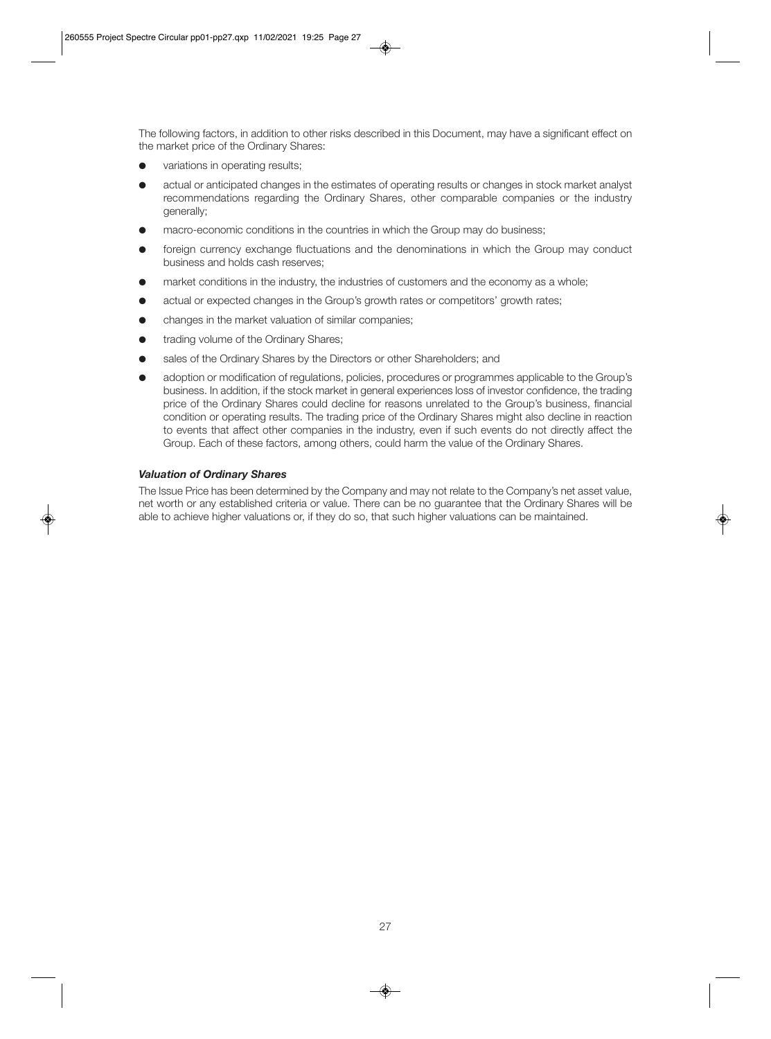The following factors, in addition to other risks described in this Document, may have a significant effect on the market price of the Ordinary Shares:

- $\bullet$  variations in operating results:
- actual or anticipated changes in the estimates of operating results or changes in stock market analyst recommendations regarding the Ordinary Shares, other comparable companies or the industry generally;
- macro-economic conditions in the countries in which the Group may do business;
- **•** foreign currency exchange fluctuations and the denominations in which the Group may conduct business and holds cash reserves;
- $\bullet$  market conditions in the industry, the industries of customers and the economy as a whole;
- actual or expected changes in the Group's growth rates or competitors' growth rates;
- changes in the market valuation of similar companies;
- **•** trading volume of the Ordinary Shares;
- sales of the Ordinary Shares by the Directors or other Shareholders; and
- adoption or modification of regulations, policies, procedures or programmes applicable to the Group's business. In addition, if the stock market in general experiences loss of investor confidence, the trading price of the Ordinary Shares could decline for reasons unrelated to the Group's business, financial condition or operating results. The trading price of the Ordinary Shares might also decline in reaction to events that affect other companies in the industry, even if such events do not directly affect the Group. Each of these factors, among others, could harm the value of the Ordinary Shares.

#### *Valuation of Ordinary Shares*

The Issue Price has been determined by the Company and may not relate to the Company's net asset value, net worth or any established criteria or value. There can be no guarantee that the Ordinary Shares will be able to achieve higher valuations or, if they do so, that such higher valuations can be maintained.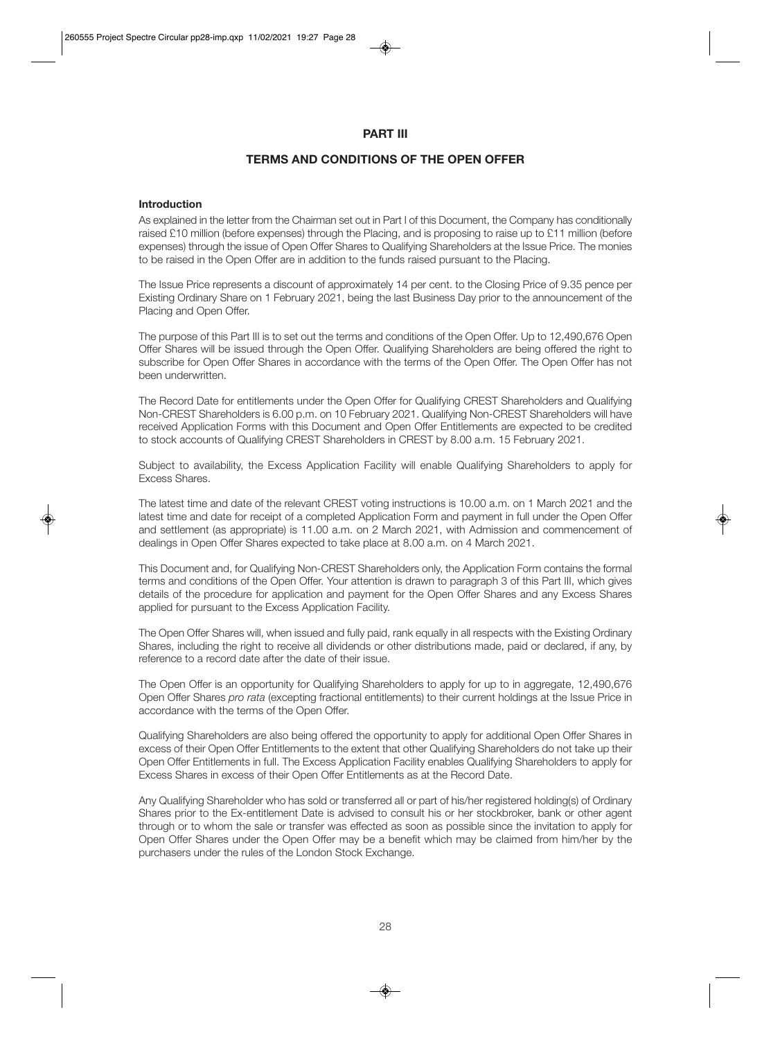# **PART III**

# **TERMS AND CONDITIONS OF THE OPEN OFFER**

#### **Introduction**

As explained in the letter from the Chairman set out in Part I of this Document, the Company has conditionally raised £10 million (before expenses) through the Placing, and is proposing to raise up to £11 million (before expenses) through the issue of Open Offer Shares to Qualifying Shareholders at the Issue Price. The monies to be raised in the Open Offer are in addition to the funds raised pursuant to the Placing.

The Issue Price represents a discount of approximately 14 per cent. to the Closing Price of 9.35 pence per Existing Ordinary Share on 1 February 2021, being the last Business Day prior to the announcement of the Placing and Open Offer.

The purpose of this Part III is to set out the terms and conditions of the Open Offer. Up to 12,490,676 Open Offer Shares will be issued through the Open Offer. Qualifying Shareholders are being offered the right to subscribe for Open Offer Shares in accordance with the terms of the Open Offer. The Open Offer has not been underwritten.

The Record Date for entitlements under the Open Offer for Qualifying CREST Shareholders and Qualifying Non-CREST Shareholders is 6.00 p.m. on 10 February 2021. Qualifying Non-CREST Shareholders will have received Application Forms with this Document and Open Offer Entitlements are expected to be credited to stock accounts of Qualifying CREST Shareholders in CREST by 8.00 a.m. 15 February 2021.

Subject to availability, the Excess Application Facility will enable Qualifying Shareholders to apply for Excess Shares.

The latest time and date of the relevant CREST voting instructions is 10.00 a.m. on 1 March 2021 and the latest time and date for receipt of a completed Application Form and payment in full under the Open Offer and settlement (as appropriate) is 11.00 a.m. on 2 March 2021, with Admission and commencement of dealings in Open Offer Shares expected to take place at 8.00 a.m. on 4 March 2021.

This Document and, for Qualifying Non-CREST Shareholders only, the Application Form contains the formal terms and conditions of the Open Offer. Your attention is drawn to paragraph 3 of this Part III, which gives details of the procedure for application and payment for the Open Offer Shares and any Excess Shares applied for pursuant to the Excess Application Facility.

The Open Offer Shares will, when issued and fully paid, rank equally in all respects with the Existing Ordinary Shares, including the right to receive all dividends or other distributions made, paid or declared, if any, by reference to a record date after the date of their issue.

The Open Offer is an opportunity for Qualifying Shareholders to apply for up to in aggregate, 12,490,676 Open Offer Shares *pro rata* (excepting fractional entitlements) to their current holdings at the Issue Price in accordance with the terms of the Open Offer.

Qualifying Shareholders are also being offered the opportunity to apply for additional Open Offer Shares in excess of their Open Offer Entitlements to the extent that other Qualifying Shareholders do not take up their Open Offer Entitlements in full. The Excess Application Facility enables Qualifying Shareholders to apply for Excess Shares in excess of their Open Offer Entitlements as at the Record Date.

Any Qualifying Shareholder who has sold or transferred all or part of his/her registered holding(s) of Ordinary Shares prior to the Ex-entitlement Date is advised to consult his or her stockbroker, bank or other agent through or to whom the sale or transfer was effected as soon as possible since the invitation to apply for Open Offer Shares under the Open Offer may be a benefit which may be claimed from him/her by the purchasers under the rules of the London Stock Exchange.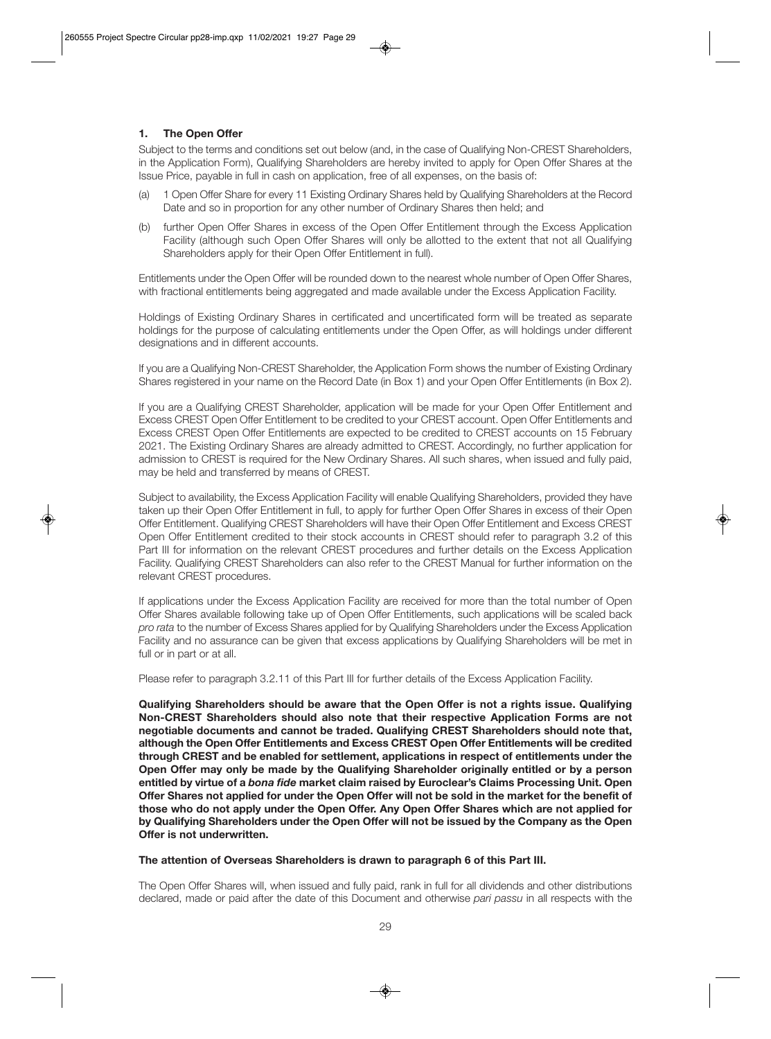# **1. The Open Offer**

Subject to the terms and conditions set out below (and, in the case of Qualifying Non-CREST Shareholders, in the Application Form), Qualifying Shareholders are hereby invited to apply for Open Offer Shares at the Issue Price, payable in full in cash on application, free of all expenses, on the basis of:

- (a) 1 Open Offer Share for every 11 Existing Ordinary Shares held by Qualifying Shareholders at the Record Date and so in proportion for any other number of Ordinary Shares then held; and
- (b) further Open Offer Shares in excess of the Open Offer Entitlement through the Excess Application Facility (although such Open Offer Shares will only be allotted to the extent that not all Qualifying Shareholders apply for their Open Offer Entitlement in full).

Entitlements under the Open Offer will be rounded down to the nearest whole number of Open Offer Shares, with fractional entitlements being aggregated and made available under the Excess Application Facility.

Holdings of Existing Ordinary Shares in certificated and uncertificated form will be treated as separate holdings for the purpose of calculating entitlements under the Open Offer, as will holdings under different designations and in different accounts.

If you are a Qualifying Non-CREST Shareholder, the Application Form shows the number of Existing Ordinary Shares registered in your name on the Record Date (in Box 1) and your Open Offer Entitlements (in Box 2).

If you are a Qualifying CREST Shareholder, application will be made for your Open Offer Entitlement and Excess CREST Open Offer Entitlement to be credited to your CREST account. Open Offer Entitlements and Excess CREST Open Offer Entitlements are expected to be credited to CREST accounts on 15 February 2021. The Existing Ordinary Shares are already admitted to CREST. Accordingly, no further application for admission to CREST is required for the New Ordinary Shares. All such shares, when issued and fully paid, may be held and transferred by means of CREST.

Subject to availability, the Excess Application Facility will enable Qualifying Shareholders, provided they have taken up their Open Offer Entitlement in full, to apply for further Open Offer Shares in excess of their Open Offer Entitlement. Qualifying CREST Shareholders will have their Open Offer Entitlement and Excess CREST Open Offer Entitlement credited to their stock accounts in CREST should refer to paragraph 3.2 of this Part III for information on the relevant CREST procedures and further details on the Excess Application Facility. Qualifying CREST Shareholders can also refer to the CREST Manual for further information on the relevant CREST procedures.

If applications under the Excess Application Facility are received for more than the total number of Open Offer Shares available following take up of Open Offer Entitlements, such applications will be scaled back *pro rata* to the number of Excess Shares applied for by Qualifying Shareholders under the Excess Application Facility and no assurance can be given that excess applications by Qualifying Shareholders will be met in full or in part or at all.

Please refer to paragraph 3.2.11 of this Part III for further details of the Excess Application Facility.

**Qualifying Shareholders should be aware that the Open Offer is not a rights issue. Qualifying Non-CREST Shareholders should also note that their respective Application Forms are not negotiable documents and cannot be traded. Qualifying CREST Shareholders should note that, although the Open Offer Entitlements and Excess CREST Open Offer Entitlements will be credited through CREST and be enabled for settlement, applications in respect of entitlements under the Open Offer may only be made by the Qualifying Shareholder originally entitled or by a person entitled by virtue of a** *bona fide* **market claim raised by Euroclear's Claims Processing Unit. Open Offer Shares not applied for under the Open Offer will not be sold in the market for the benefit of those who do not apply under the Open Offer. Any Open Offer Shares which are not applied for by Qualifying Shareholders under the Open Offer will not be issued by the Company as the Open Offer is not underwritten.** 

# **The attention of Overseas Shareholders is drawn to paragraph 6 of this Part III.**

The Open Offer Shares will, when issued and fully paid, rank in full for all dividends and other distributions declared, made or paid after the date of this Document and otherwise *pari passu* in all respects with the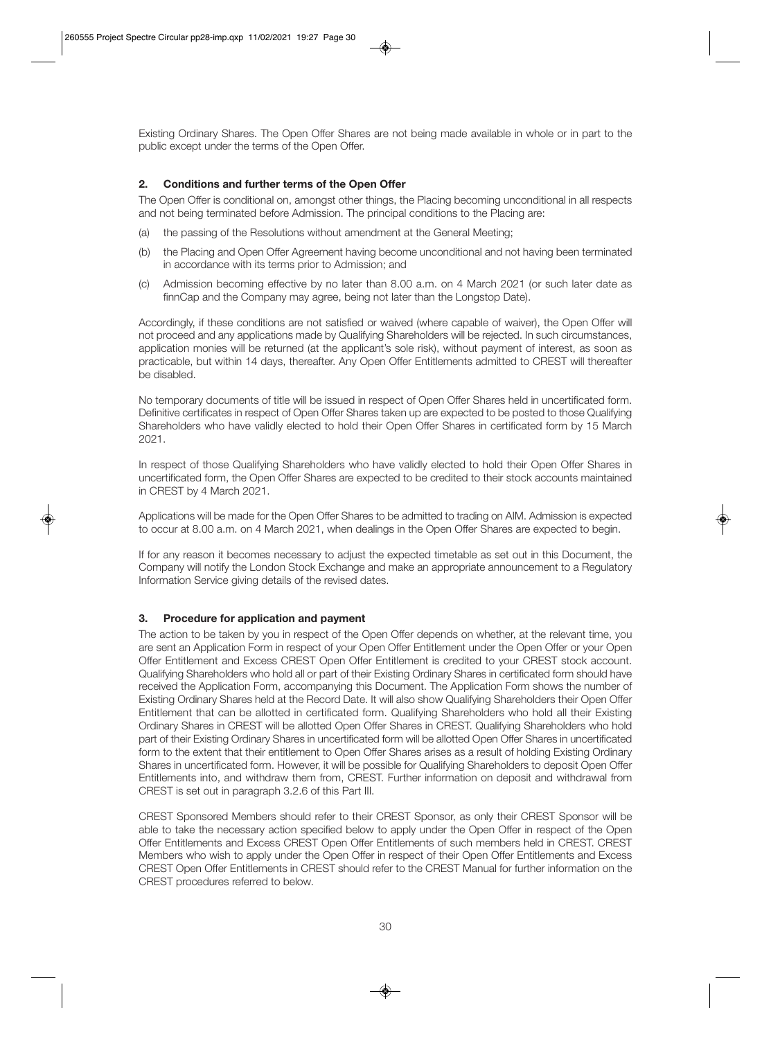Existing Ordinary Shares. The Open Offer Shares are not being made available in whole or in part to the public except under the terms of the Open Offer.

# **2. Conditions and further terms of the Open Offer**

The Open Offer is conditional on, amongst other things, the Placing becoming unconditional in all respects and not being terminated before Admission. The principal conditions to the Placing are:

- (a) the passing of the Resolutions without amendment at the General Meeting;
- (b) the Placing and Open Offer Agreement having become unconditional and not having been terminated in accordance with its terms prior to Admission; and
- (c) Admission becoming effective by no later than 8.00 a.m. on 4 March 2021 (or such later date as finnCap and the Company may agree, being not later than the Longstop Date).

Accordingly, if these conditions are not satisfied or waived (where capable of waiver), the Open Offer will not proceed and any applications made by Qualifying Shareholders will be rejected. In such circumstances, application monies will be returned (at the applicant's sole risk), without payment of interest, as soon as practicable, but within 14 days, thereafter. Any Open Offer Entitlements admitted to CREST will thereafter be disabled.

No temporary documents of title will be issued in respect of Open Offer Shares held in uncertificated form. Definitive certificates in respect of Open Offer Shares taken up are expected to be posted to those Qualifying Shareholders who have validly elected to hold their Open Offer Shares in certificated form by 15 March 2021.

In respect of those Qualifying Shareholders who have validly elected to hold their Open Offer Shares in uncertificated form, the Open Offer Shares are expected to be credited to their stock accounts maintained in CREST by 4 March 2021.

Applications will be made for the Open Offer Shares to be admitted to trading on AIM. Admission is expected to occur at 8.00 a.m. on 4 March 2021, when dealings in the Open Offer Shares are expected to begin.

If for any reason it becomes necessary to adjust the expected timetable as set out in this Document, the Company will notify the London Stock Exchange and make an appropriate announcement to a Regulatory Information Service giving details of the revised dates.

# **3. Procedure for application and payment**

The action to be taken by you in respect of the Open Offer depends on whether, at the relevant time, you are sent an Application Form in respect of your Open Offer Entitlement under the Open Offer or your Open Offer Entitlement and Excess CREST Open Offer Entitlement is credited to your CREST stock account. Qualifying Shareholders who hold all or part of their Existing Ordinary Shares in certificated form should have received the Application Form, accompanying this Document. The Application Form shows the number of Existing Ordinary Shares held at the Record Date. It will also show Qualifying Shareholders their Open Offer Entitlement that can be allotted in certificated form. Qualifying Shareholders who hold all their Existing Ordinary Shares in CREST will be allotted Open Offer Shares in CREST. Qualifying Shareholders who hold part of their Existing Ordinary Shares in uncertificated form will be allotted Open Offer Shares in uncertificated form to the extent that their entitlement to Open Offer Shares arises as a result of holding Existing Ordinary Shares in uncertificated form. However, it will be possible for Qualifying Shareholders to deposit Open Offer Entitlements into, and withdraw them from, CREST. Further information on deposit and withdrawal from CREST is set out in paragraph 3.2.6 of this Part III.

CREST Sponsored Members should refer to their CREST Sponsor, as only their CREST Sponsor will be able to take the necessary action specified below to apply under the Open Offer in respect of the Open Offer Entitlements and Excess CREST Open Offer Entitlements of such members held in CREST. CREST Members who wish to apply under the Open Offer in respect of their Open Offer Entitlements and Excess CREST Open Offer Entitlements in CREST should refer to the CREST Manual for further information on the CREST procedures referred to below.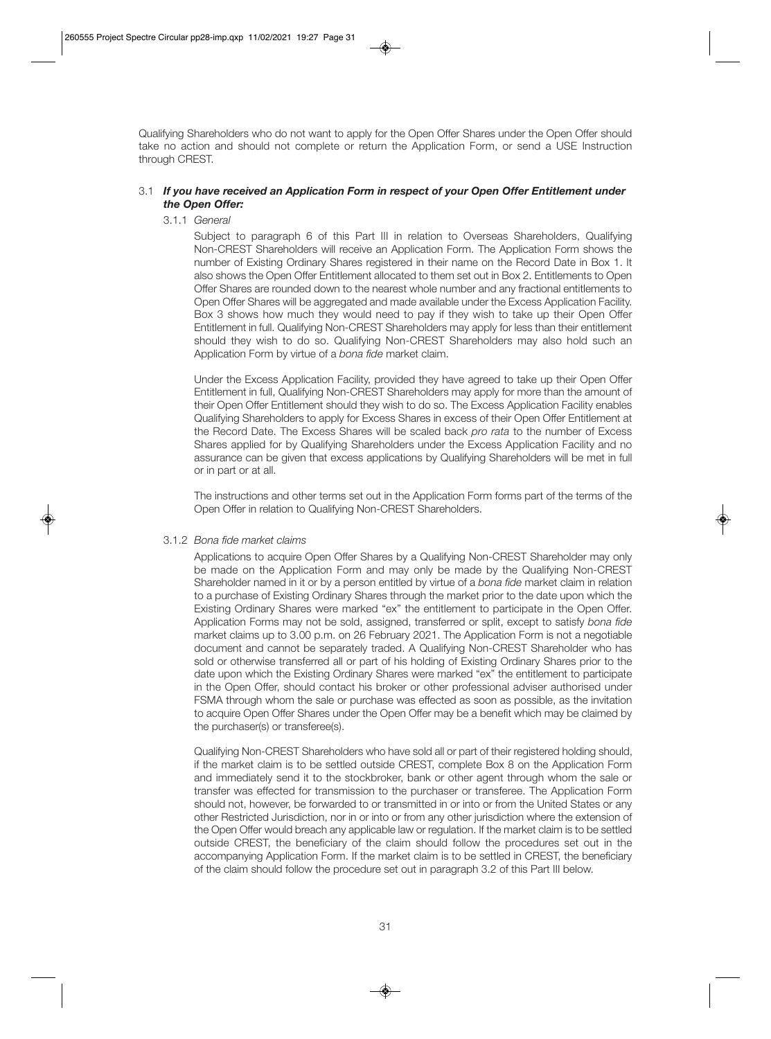Qualifying Shareholders who do not want to apply for the Open Offer Shares under the Open Offer should take no action and should not complete or return the Application Form, or send a USE Instruction through CREST.

# 3.1 *If you have received an Application Form in respect of your Open Offer Entitlement under the Open Offer:*

# 3.1.1 *General*

 Subject to paragraph 6 of this Part III in relation to Overseas Shareholders, Qualifying Non-CREST Shareholders will receive an Application Form. The Application Form shows the number of Existing Ordinary Shares registered in their name on the Record Date in Box 1. It also shows the Open Offer Entitlement allocated to them set out in Box 2. Entitlements to Open Offer Shares are rounded down to the nearest whole number and any fractional entitlements to Open Offer Shares will be aggregated and made available under the Excess Application Facility. Box 3 shows how much they would need to pay if they wish to take up their Open Offer Entitlement in full. Qualifying Non-CREST Shareholders may apply for less than their entitlement should they wish to do so. Qualifying Non-CREST Shareholders may also hold such an Application Form by virtue of a *bona fide* market claim.

 Under the Excess Application Facility, provided they have agreed to take up their Open Offer Entitlement in full, Qualifying Non-CREST Shareholders may apply for more than the amount of their Open Offer Entitlement should they wish to do so. The Excess Application Facility enables Qualifying Shareholders to apply for Excess Shares in excess of their Open Offer Entitlement at the Record Date. The Excess Shares will be scaled back *pro rata* to the number of Excess Shares applied for by Qualifying Shareholders under the Excess Application Facility and no assurance can be given that excess applications by Qualifying Shareholders will be met in full or in part or at all.

 The instructions and other terms set out in the Application Form forms part of the terms of the Open Offer in relation to Qualifying Non-CREST Shareholders.

#### 3.1.2 *Bona fide market claims*

 Applications to acquire Open Offer Shares by a Qualifying Non-CREST Shareholder may only be made on the Application Form and may only be made by the Qualifying Non-CREST Shareholder named in it or by a person entitled by virtue of a *bona fide* market claim in relation to a purchase of Existing Ordinary Shares through the market prior to the date upon which the Existing Ordinary Shares were marked "ex" the entitlement to participate in the Open Offer. Application Forms may not be sold, assigned, transferred or split, except to satisfy *bona fide* market claims up to 3.00 p.m. on 26 February 2021. The Application Form is not a negotiable document and cannot be separately traded. A Qualifying Non-CREST Shareholder who has sold or otherwise transferred all or part of his holding of Existing Ordinary Shares prior to the date upon which the Existing Ordinary Shares were marked "ex" the entitlement to participate in the Open Offer, should contact his broker or other professional adviser authorised under FSMA through whom the sale or purchase was effected as soon as possible, as the invitation to acquire Open Offer Shares under the Open Offer may be a benefit which may be claimed by the purchaser(s) or transferee(s).

 Qualifying Non-CREST Shareholders who have sold all or part of their registered holding should, if the market claim is to be settled outside CREST, complete Box 8 on the Application Form and immediately send it to the stockbroker, bank or other agent through whom the sale or transfer was effected for transmission to the purchaser or transferee. The Application Form should not, however, be forwarded to or transmitted in or into or from the United States or any other Restricted Jurisdiction, nor in or into or from any other jurisdiction where the extension of the Open Offer would breach any applicable law or regulation. If the market claim is to be settled outside CREST, the beneficiary of the claim should follow the procedures set out in the accompanying Application Form. If the market claim is to be settled in CREST, the beneficiary of the claim should follow the procedure set out in paragraph 3.2 of this Part III below.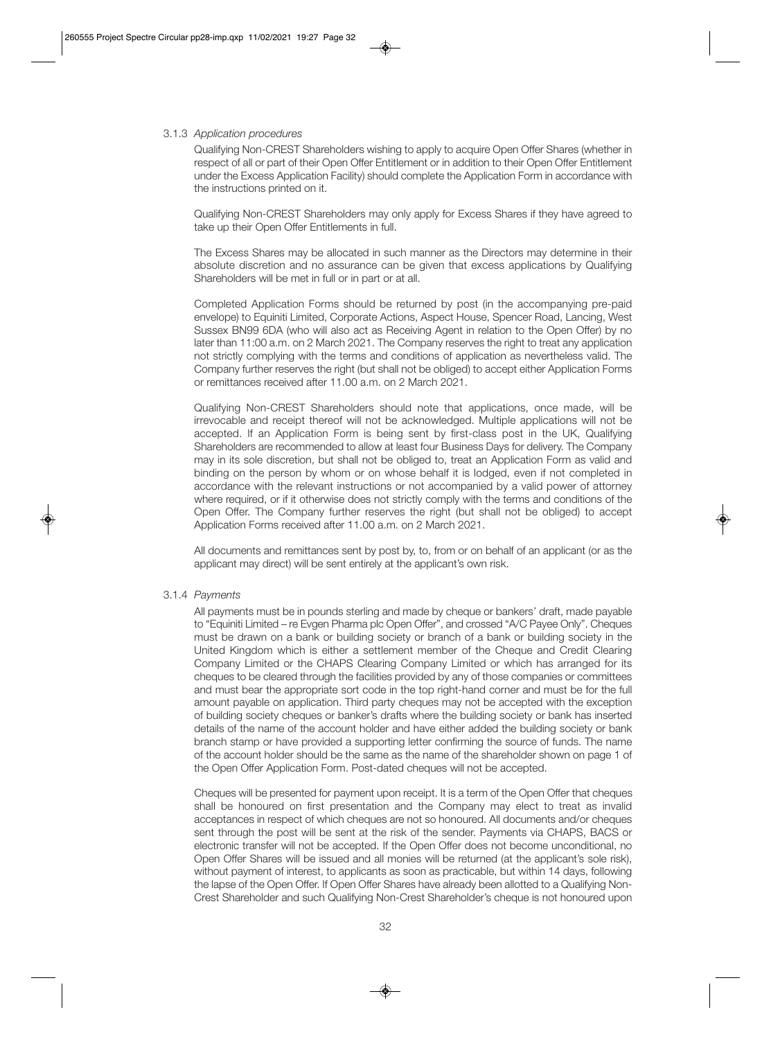#### 3.1.3 *Application procedures*

 Qualifying Non-CREST Shareholders wishing to apply to acquire Open Offer Shares (whether in respect of all or part of their Open Offer Entitlement or in addition to their Open Offer Entitlement under the Excess Application Facility) should complete the Application Form in accordance with the instructions printed on it.

 Qualifying Non-CREST Shareholders may only apply for Excess Shares if they have agreed to take up their Open Offer Entitlements in full.

 The Excess Shares may be allocated in such manner as the Directors may determine in their absolute discretion and no assurance can be given that excess applications by Qualifying Shareholders will be met in full or in part or at all.

 Completed Application Forms should be returned by post (in the accompanying pre-paid envelope) to Equiniti Limited, Corporate Actions, Aspect House, Spencer Road, Lancing, West Sussex BN99 6DA (who will also act as Receiving Agent in relation to the Open Offer) by no later than 11:00 a.m. on 2 March 2021. The Company reserves the right to treat any application not strictly complying with the terms and conditions of application as nevertheless valid. The Company further reserves the right (but shall not be obliged) to accept either Application Forms or remittances received after 11.00 a.m. on 2 March 2021.

 Qualifying Non-CREST Shareholders should note that applications, once made, will be irrevocable and receipt thereof will not be acknowledged. Multiple applications will not be accepted. If an Application Form is being sent by first-class post in the UK, Qualifying Shareholders are recommended to allow at least four Business Days for delivery. The Company may in its sole discretion, but shall not be obliged to, treat an Application Form as valid and binding on the person by whom or on whose behalf it is lodged, even if not completed in accordance with the relevant instructions or not accompanied by a valid power of attorney where required, or if it otherwise does not strictly comply with the terms and conditions of the Open Offer. The Company further reserves the right (but shall not be obliged) to accept Application Forms received after 11.00 a.m. on 2 March 2021.

 All documents and remittances sent by post by, to, from or on behalf of an applicant (or as the applicant may direct) will be sent entirely at the applicant's own risk.

#### 3.1.4 *Payments*

 All payments must be in pounds sterling and made by cheque or bankers' draft, made payable to "Equiniti Limited – re Evgen Pharma plc Open Offer", and crossed "A/C Payee Only". Cheques must be drawn on a bank or building society or branch of a bank or building society in the United Kingdom which is either a settlement member of the Cheque and Credit Clearing Company Limited or the CHAPS Clearing Company Limited or which has arranged for its cheques to be cleared through the facilities provided by any of those companies or committees and must bear the appropriate sort code in the top right-hand corner and must be for the full amount payable on application. Third party cheques may not be accepted with the exception of building society cheques or banker's drafts where the building society or bank has inserted details of the name of the account holder and have either added the building society or bank branch stamp or have provided a supporting letter confirming the source of funds. The name of the account holder should be the same as the name of the shareholder shown on page 1 of the Open Offer Application Form. Post-dated cheques will not be accepted.

 Cheques will be presented for payment upon receipt. It is a term of the Open Offer that cheques shall be honoured on first presentation and the Company may elect to treat as invalid acceptances in respect of which cheques are not so honoured. All documents and/or cheques sent through the post will be sent at the risk of the sender. Payments via CHAPS, BACS or electronic transfer will not be accepted. If the Open Offer does not become unconditional, no Open Offer Shares will be issued and all monies will be returned (at the applicant's sole risk), without payment of interest, to applicants as soon as practicable, but within 14 days, following the lapse of the Open Offer. If Open Offer Shares have already been allotted to a Qualifying Non-Crest Shareholder and such Qualifying Non-Crest Shareholder's cheque is not honoured upon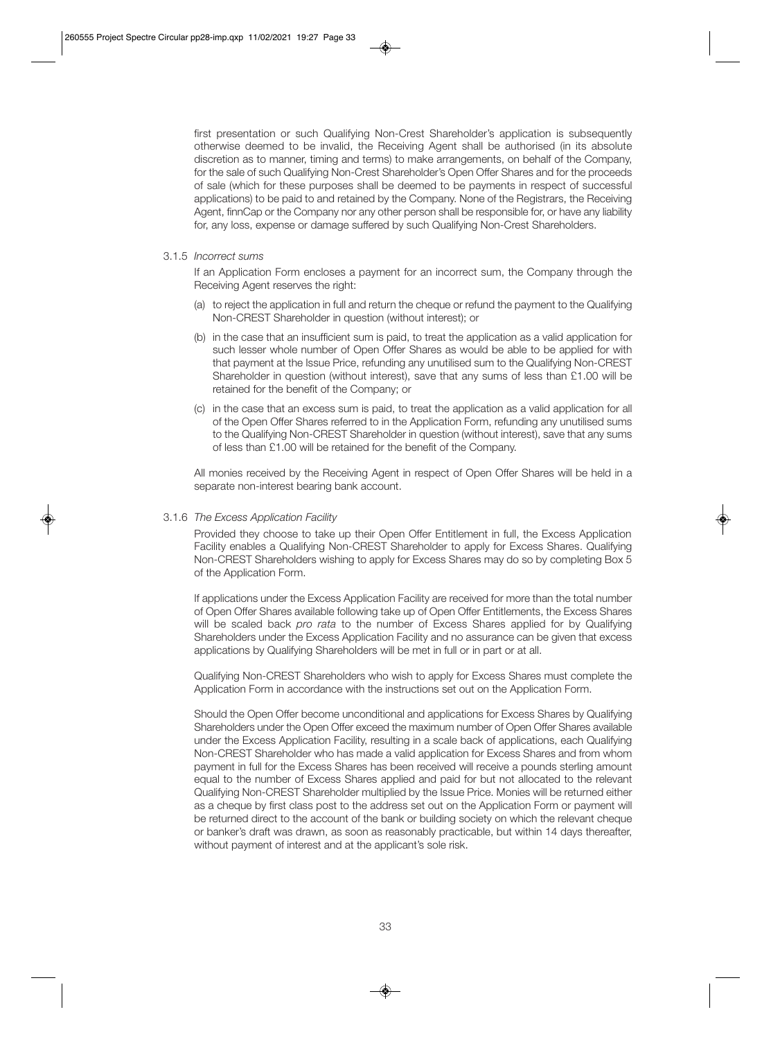first presentation or such Qualifying Non-Crest Shareholder's application is subsequently otherwise deemed to be invalid, the Receiving Agent shall be authorised (in its absolute discretion as to manner, timing and terms) to make arrangements, on behalf of the Company, for the sale of such Qualifying Non-Crest Shareholder's Open Offer Shares and for the proceeds of sale (which for these purposes shall be deemed to be payments in respect of successful applications) to be paid to and retained by the Company. None of the Registrars, the Receiving Agent, finnCap or the Company nor any other person shall be responsible for, or have any liability for, any loss, expense or damage suffered by such Qualifying Non-Crest Shareholders.

#### 3.1.5 *Incorrect sums*

 If an Application Form encloses a payment for an incorrect sum, the Company through the Receiving Agent reserves the right:

- (a) to reject the application in full and return the cheque or refund the payment to the Qualifying Non-CREST Shareholder in question (without interest); or
- (b) in the case that an insufficient sum is paid, to treat the application as a valid application for such lesser whole number of Open Offer Shares as would be able to be applied for with that payment at the Issue Price, refunding any unutilised sum to the Qualifying Non-CREST Shareholder in question (without interest), save that any sums of less than £1.00 will be retained for the benefit of the Company; or
- (c) in the case that an excess sum is paid, to treat the application as a valid application for all of the Open Offer Shares referred to in the Application Form, refunding any unutilised sums to the Qualifying Non-CREST Shareholder in question (without interest), save that any sums of less than £1.00 will be retained for the benefit of the Company.

 All monies received by the Receiving Agent in respect of Open Offer Shares will be held in a separate non-interest bearing bank account.

#### 3.1.6 *The Excess Application Facility*

 Provided they choose to take up their Open Offer Entitlement in full, the Excess Application Facility enables a Qualifying Non-CREST Shareholder to apply for Excess Shares. Qualifying Non-CREST Shareholders wishing to apply for Excess Shares may do so by completing Box 5 of the Application Form.

 If applications under the Excess Application Facility are received for more than the total number of Open Offer Shares available following take up of Open Offer Entitlements, the Excess Shares will be scaled back *pro rata* to the number of Excess Shares applied for by Qualifying Shareholders under the Excess Application Facility and no assurance can be given that excess applications by Qualifying Shareholders will be met in full or in part or at all.

 Qualifying Non-CREST Shareholders who wish to apply for Excess Shares must complete the Application Form in accordance with the instructions set out on the Application Form.

 Should the Open Offer become unconditional and applications for Excess Shares by Qualifying Shareholders under the Open Offer exceed the maximum number of Open Offer Shares available under the Excess Application Facility, resulting in a scale back of applications, each Qualifying Non-CREST Shareholder who has made a valid application for Excess Shares and from whom payment in full for the Excess Shares has been received will receive a pounds sterling amount equal to the number of Excess Shares applied and paid for but not allocated to the relevant Qualifying Non-CREST Shareholder multiplied by the Issue Price. Monies will be returned either as a cheque by first class post to the address set out on the Application Form or payment will be returned direct to the account of the bank or building society on which the relevant cheque or banker's draft was drawn, as soon as reasonably practicable, but within 14 days thereafter, without payment of interest and at the applicant's sole risk.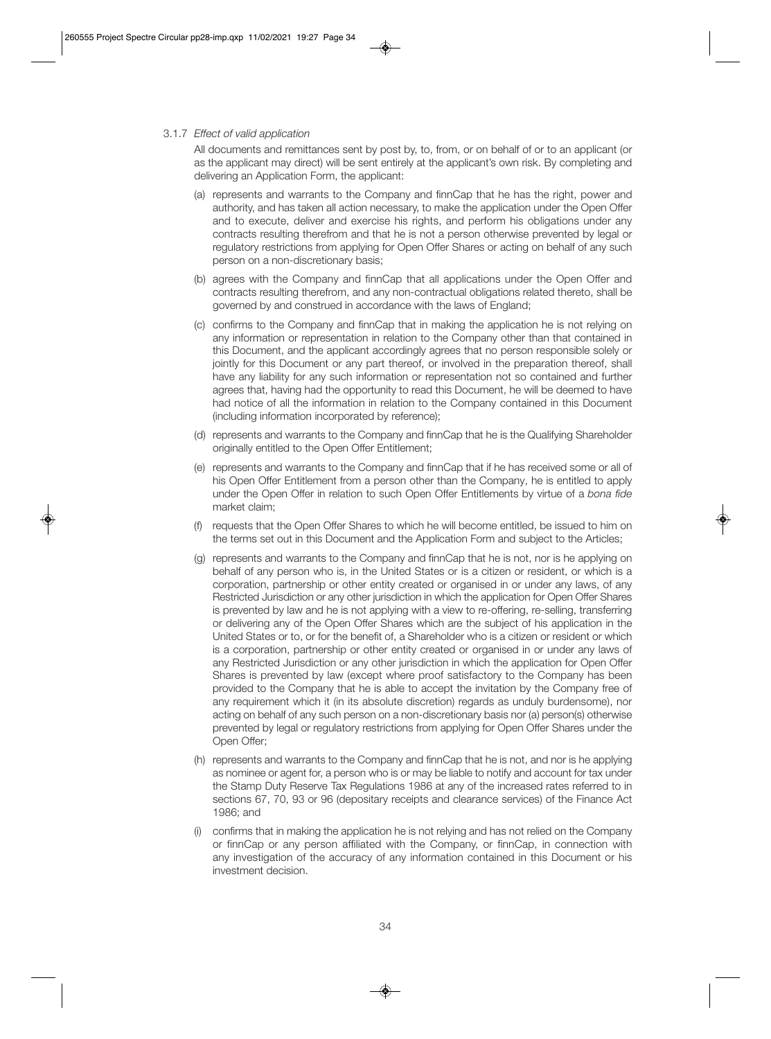#### 3.1.7 *Effect of valid application*

 All documents and remittances sent by post by, to, from, or on behalf of or to an applicant (or as the applicant may direct) will be sent entirely at the applicant's own risk. By completing and delivering an Application Form, the applicant:

- (a) represents and warrants to the Company and finnCap that he has the right, power and authority, and has taken all action necessary, to make the application under the Open Offer and to execute, deliver and exercise his rights, and perform his obligations under any contracts resulting therefrom and that he is not a person otherwise prevented by legal or regulatory restrictions from applying for Open Offer Shares or acting on behalf of any such person on a non-discretionary basis;
- (b) agrees with the Company and finnCap that all applications under the Open Offer and contracts resulting therefrom, and any non-contractual obligations related thereto, shall be governed by and construed in accordance with the laws of England;
- (c) confirms to the Company and finnCap that in making the application he is not relying on any information or representation in relation to the Company other than that contained in this Document, and the applicant accordingly agrees that no person responsible solely or jointly for this Document or any part thereof, or involved in the preparation thereof, shall have any liability for any such information or representation not so contained and further agrees that, having had the opportunity to read this Document, he will be deemed to have had notice of all the information in relation to the Company contained in this Document (including information incorporated by reference);
- (d) represents and warrants to the Company and finnCap that he is the Qualifying Shareholder originally entitled to the Open Offer Entitlement;
- (e) represents and warrants to the Company and finnCap that if he has received some or all of his Open Offer Entitlement from a person other than the Company, he is entitled to apply under the Open Offer in relation to such Open Offer Entitlements by virtue of a *bona fide* market claim;
- (f) requests that the Open Offer Shares to which he will become entitled, be issued to him on the terms set out in this Document and the Application Form and subject to the Articles;
- (g) represents and warrants to the Company and finnCap that he is not, nor is he applying on behalf of any person who is, in the United States or is a citizen or resident, or which is a corporation, partnership or other entity created or organised in or under any laws, of any Restricted Jurisdiction or any other jurisdiction in which the application for Open Offer Shares is prevented by law and he is not applying with a view to re-offering, re-selling, transferring or delivering any of the Open Offer Shares which are the subject of his application in the United States or to, or for the benefit of, a Shareholder who is a citizen or resident or which is a corporation, partnership or other entity created or organised in or under any laws of any Restricted Jurisdiction or any other jurisdiction in which the application for Open Offer Shares is prevented by law (except where proof satisfactory to the Company has been provided to the Company that he is able to accept the invitation by the Company free of any requirement which it (in its absolute discretion) regards as unduly burdensome), nor acting on behalf of any such person on a non-discretionary basis nor (a) person(s) otherwise prevented by legal or regulatory restrictions from applying for Open Offer Shares under the Open Offer;
- (h) represents and warrants to the Company and finnCap that he is not, and nor is he applying as nominee or agent for, a person who is or may be liable to notify and account for tax under the Stamp Duty Reserve Tax Regulations 1986 at any of the increased rates referred to in sections 67, 70, 93 or 96 (depositary receipts and clearance services) of the Finance Act 1986; and
- (i) confirms that in making the application he is not relying and has not relied on the Company or finnCap or any person affiliated with the Company, or finnCap, in connection with any investigation of the accuracy of any information contained in this Document or his investment decision.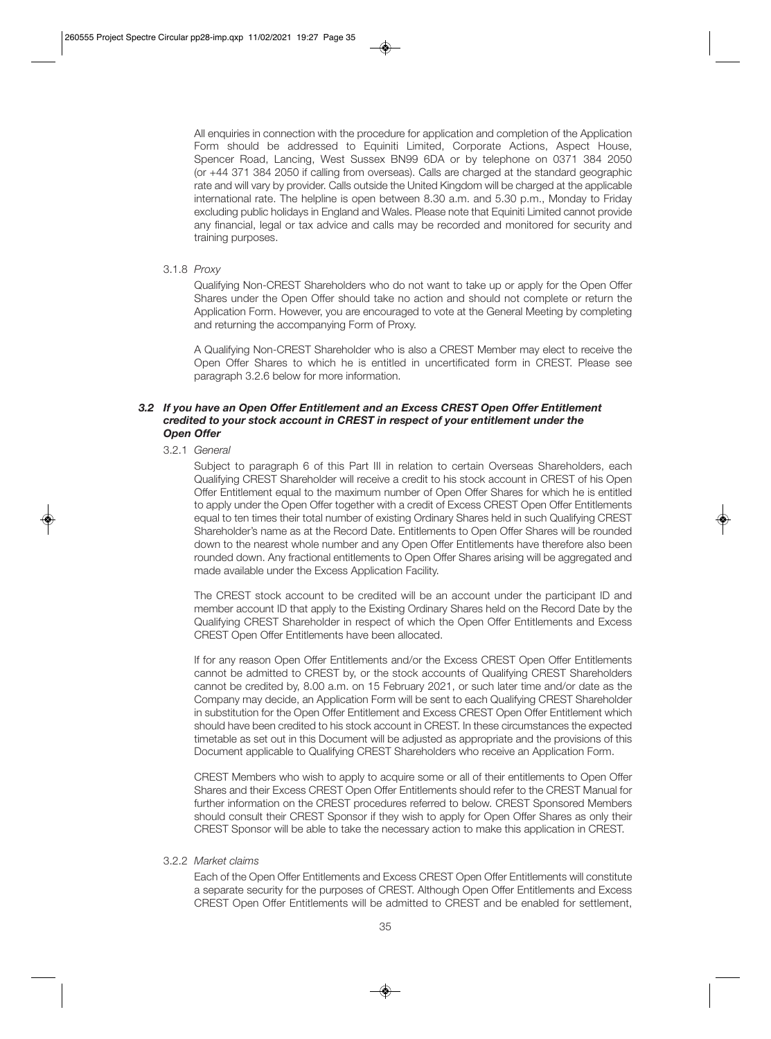All enquiries in connection with the procedure for application and completion of the Application Form should be addressed to Equiniti Limited, Corporate Actions, Aspect House, Spencer Road, Lancing, West Sussex BN99 6DA or by telephone on 0371 384 2050 (or +44 371 384 2050 if calling from overseas). Calls are charged at the standard geographic rate and will vary by provider. Calls outside the United Kingdom will be charged at the applicable international rate. The helpline is open between 8.30 a.m. and 5.30 p.m., Monday to Friday excluding public holidays in England and Wales. Please note that Equiniti Limited cannot provide any financial, legal or tax advice and calls may be recorded and monitored for security and training purposes.

#### 3.1.8 *Proxy*

 Qualifying Non-CREST Shareholders who do not want to take up or apply for the Open Offer Shares under the Open Offer should take no action and should not complete or return the Application Form. However, you are encouraged to vote at the General Meeting by completing and returning the accompanying Form of Proxy.

 A Qualifying Non-CREST Shareholder who is also a CREST Member may elect to receive the Open Offer Shares to which he is entitled in uncertificated form in CREST. Please see paragraph 3.2.6 below for more information.

# *3.2 If you have an Open Offer Entitlement and an Excess CREST Open Offer Entitlement credited to your stock account in CREST in respect of your entitlement under the Open Offer*

#### 3.2.1 *General*

 Subject to paragraph 6 of this Part III in relation to certain Overseas Shareholders, each Qualifying CREST Shareholder will receive a credit to his stock account in CREST of his Open Offer Entitlement equal to the maximum number of Open Offer Shares for which he is entitled to apply under the Open Offer together with a credit of Excess CREST Open Offer Entitlements equal to ten times their total number of existing Ordinary Shares held in such Qualifying CREST Shareholder's name as at the Record Date. Entitlements to Open Offer Shares will be rounded down to the nearest whole number and any Open Offer Entitlements have therefore also been rounded down. Any fractional entitlements to Open Offer Shares arising will be aggregated and made available under the Excess Application Facility.

 The CREST stock account to be credited will be an account under the participant ID and member account ID that apply to the Existing Ordinary Shares held on the Record Date by the Qualifying CREST Shareholder in respect of which the Open Offer Entitlements and Excess CREST Open Offer Entitlements have been allocated.

 If for any reason Open Offer Entitlements and/or the Excess CREST Open Offer Entitlements cannot be admitted to CREST by, or the stock accounts of Qualifying CREST Shareholders cannot be credited by, 8.00 a.m. on 15 February 2021, or such later time and/or date as the Company may decide, an Application Form will be sent to each Qualifying CREST Shareholder in substitution for the Open Offer Entitlement and Excess CREST Open Offer Entitlement which should have been credited to his stock account in CREST. In these circumstances the expected timetable as set out in this Document will be adjusted as appropriate and the provisions of this Document applicable to Qualifying CREST Shareholders who receive an Application Form.

 CREST Members who wish to apply to acquire some or all of their entitlements to Open Offer Shares and their Excess CREST Open Offer Entitlements should refer to the CREST Manual for further information on the CREST procedures referred to below. CREST Sponsored Members should consult their CREST Sponsor if they wish to apply for Open Offer Shares as only their CREST Sponsor will be able to take the necessary action to make this application in CREST.

#### 3.2.2 *Market claims*

 Each of the Open Offer Entitlements and Excess CREST Open Offer Entitlements will constitute a separate security for the purposes of CREST. Although Open Offer Entitlements and Excess CREST Open Offer Entitlements will be admitted to CREST and be enabled for settlement,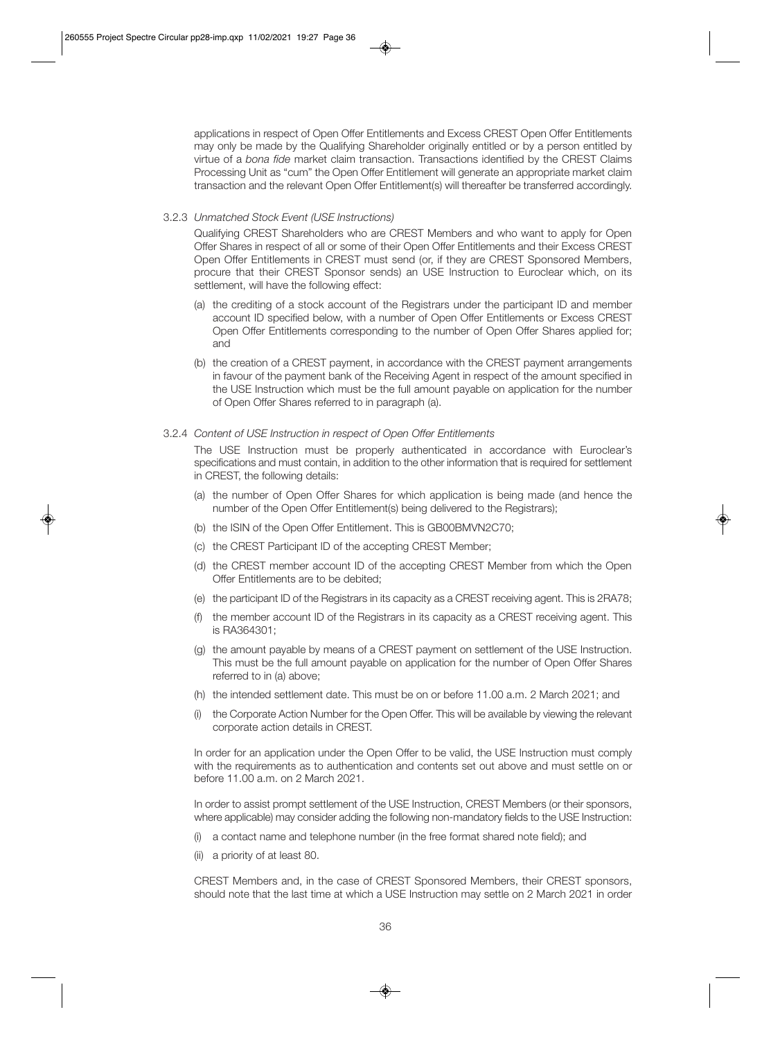applications in respect of Open Offer Entitlements and Excess CREST Open Offer Entitlements may only be made by the Qualifying Shareholder originally entitled or by a person entitled by virtue of a *bona fide* market claim transaction. Transactions identified by the CREST Claims Processing Unit as "cum" the Open Offer Entitlement will generate an appropriate market claim transaction and the relevant Open Offer Entitlement(s) will thereafter be transferred accordingly.

#### 3.2.3 *Unmatched Stock Event (USE Instructions)*

 Qualifying CREST Shareholders who are CREST Members and who want to apply for Open Offer Shares in respect of all or some of their Open Offer Entitlements and their Excess CREST Open Offer Entitlements in CREST must send (or, if they are CREST Sponsored Members, procure that their CREST Sponsor sends) an USE Instruction to Euroclear which, on its settlement, will have the following effect:

- (a) the crediting of a stock account of the Registrars under the participant ID and member account ID specified below, with a number of Open Offer Entitlements or Excess CREST Open Offer Entitlements corresponding to the number of Open Offer Shares applied for; and
- (b) the creation of a CREST payment, in accordance with the CREST payment arrangements in favour of the payment bank of the Receiving Agent in respect of the amount specified in the USE Instruction which must be the full amount payable on application for the number of Open Offer Shares referred to in paragraph (a).

#### 3.2.4 *Content of USE Instruction in respect of Open Offer Entitlements*

 The USE Instruction must be properly authenticated in accordance with Euroclear's specifications and must contain, in addition to the other information that is required for settlement in CREST, the following details:

- (a) the number of Open Offer Shares for which application is being made (and hence the number of the Open Offer Entitlement(s) being delivered to the Registrars);
- (b) the ISIN of the Open Offer Entitlement. This is GB00BMVN2C70;
- (c) the CREST Participant ID of the accepting CREST Member;
- (d) the CREST member account ID of the accepting CREST Member from which the Open Offer Entitlements are to be debited;
- (e) the participant ID of the Registrars in its capacity as a CREST receiving agent. This is 2RA78;
- (f) the member account ID of the Registrars in its capacity as a CREST receiving agent. This is RA364301;
- (g) the amount payable by means of a CREST payment on settlement of the USE Instruction. This must be the full amount payable on application for the number of Open Offer Shares referred to in (a) above;
- (h) the intended settlement date. This must be on or before 11.00 a.m. 2 March 2021; and
- (i) the Corporate Action Number for the Open Offer. This will be available by viewing the relevant corporate action details in CREST.

 In order for an application under the Open Offer to be valid, the USE Instruction must comply with the requirements as to authentication and contents set out above and must settle on or before 11.00 a.m. on 2 March 2021.

 In order to assist prompt settlement of the USE Instruction, CREST Members (or their sponsors, where applicable) may consider adding the following non-mandatory fields to the USE Instruction:

- (i) a contact name and telephone number (in the free format shared note field); and
- (ii) a priority of at least 80.

 CREST Members and, in the case of CREST Sponsored Members, their CREST sponsors, should note that the last time at which a USE Instruction may settle on 2 March 2021 in order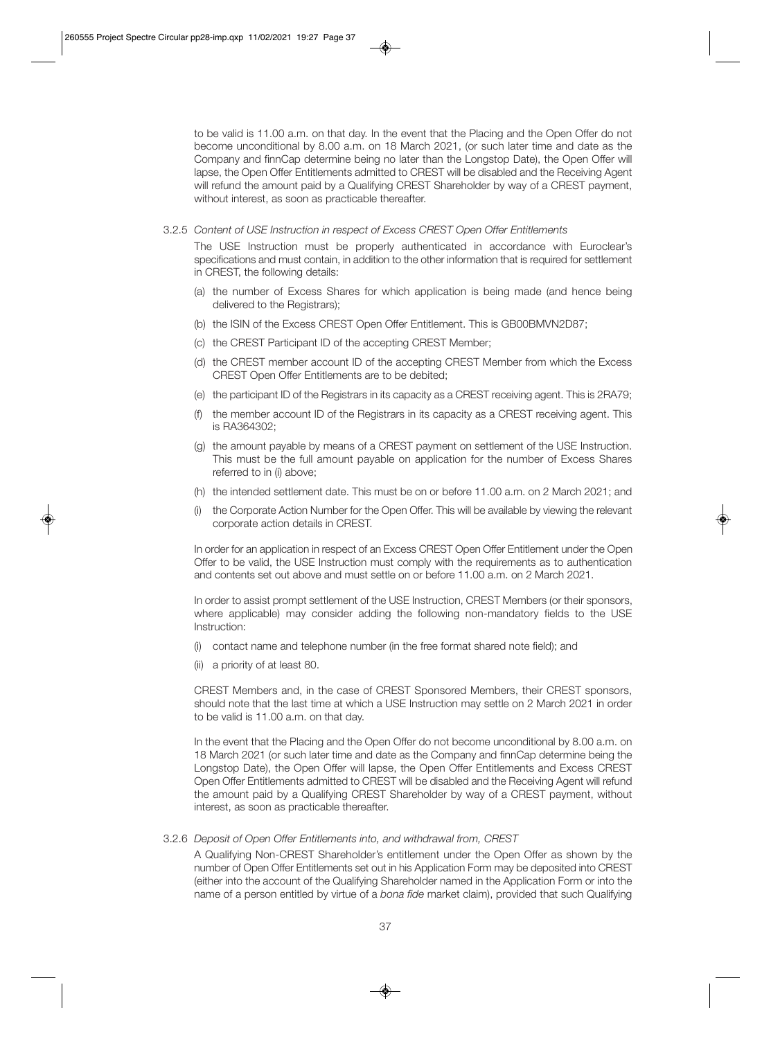to be valid is 11.00 a.m. on that day. In the event that the Placing and the Open Offer do not become unconditional by 8.00 a.m. on 18 March 2021, (or such later time and date as the Company and finnCap determine being no later than the Longstop Date), the Open Offer will lapse, the Open Offer Entitlements admitted to CREST will be disabled and the Receiving Agent will refund the amount paid by a Qualifying CREST Shareholder by way of a CREST payment, without interest, as soon as practicable thereafter.

3.2.5 *Content of USE Instruction in respect of Excess CREST Open Offer Entitlements* 

 The USE Instruction must be properly authenticated in accordance with Euroclear's specifications and must contain, in addition to the other information that is required for settlement in CREST, the following details:

- (a) the number of Excess Shares for which application is being made (and hence being delivered to the Registrars);
- (b) the ISIN of the Excess CREST Open Offer Entitlement. This is GB00BMVN2D87;
- (c) the CREST Participant ID of the accepting CREST Member;
- (d) the CREST member account ID of the accepting CREST Member from which the Excess CREST Open Offer Entitlements are to be debited;
- (e) the participant ID of the Registrars in its capacity as a CREST receiving agent. This is 2RA79;
- (f) the member account ID of the Registrars in its capacity as a CREST receiving agent. This is RA364302;
- (g) the amount payable by means of a CREST payment on settlement of the USE Instruction. This must be the full amount payable on application for the number of Excess Shares referred to in (i) above;
- (h) the intended settlement date. This must be on or before 11.00 a.m. on 2 March 2021; and
- (i) the Corporate Action Number for the Open Offer. This will be available by viewing the relevant corporate action details in CREST.

 In order for an application in respect of an Excess CREST Open Offer Entitlement under the Open Offer to be valid, the USE Instruction must comply with the requirements as to authentication and contents set out above and must settle on or before 11.00 a.m. on 2 March 2021.

 In order to assist prompt settlement of the USE Instruction, CREST Members (or their sponsors, where applicable) may consider adding the following non-mandatory fields to the USE Instruction:

- (i) contact name and telephone number (in the free format shared note field); and
- (ii) a priority of at least 80.

 CREST Members and, in the case of CREST Sponsored Members, their CREST sponsors, should note that the last time at which a USE Instruction may settle on 2 March 2021 in order to be valid is 11.00 a.m. on that day.

 In the event that the Placing and the Open Offer do not become unconditional by 8.00 a.m. on 18 March 2021 (or such later time and date as the Company and finnCap determine being the Longstop Date), the Open Offer will lapse, the Open Offer Entitlements and Excess CREST Open Offer Entitlements admitted to CREST will be disabled and the Receiving Agent will refund the amount paid by a Qualifying CREST Shareholder by way of a CREST payment, without interest, as soon as practicable thereafter.

#### 3.2.6 *Deposit of Open Offer Entitlements into, and withdrawal from, CREST*

 A Qualifying Non-CREST Shareholder's entitlement under the Open Offer as shown by the number of Open Offer Entitlements set out in his Application Form may be deposited into CREST (either into the account of the Qualifying Shareholder named in the Application Form or into the name of a person entitled by virtue of a *bona fide* market claim), provided that such Qualifying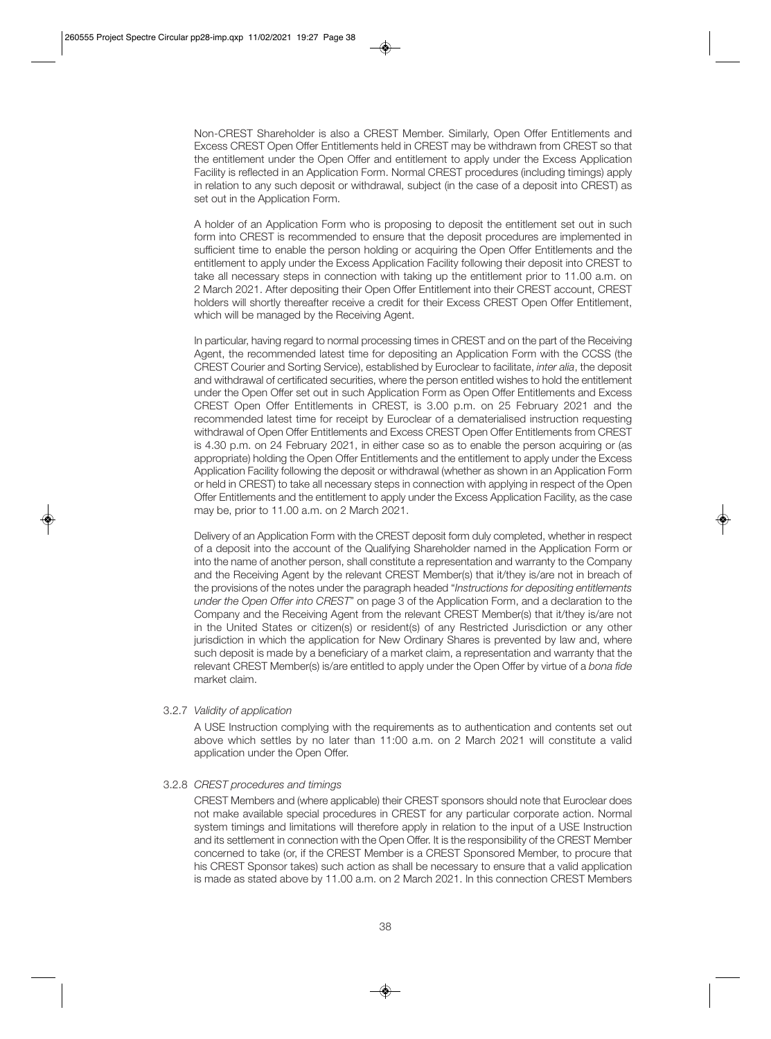Non-CREST Shareholder is also a CREST Member. Similarly, Open Offer Entitlements and Excess CREST Open Offer Entitlements held in CREST may be withdrawn from CREST so that the entitlement under the Open Offer and entitlement to apply under the Excess Application Facility is reflected in an Application Form. Normal CREST procedures (including timings) apply in relation to any such deposit or withdrawal, subject (in the case of a deposit into CREST) as set out in the Application Form.

 A holder of an Application Form who is proposing to deposit the entitlement set out in such form into CREST is recommended to ensure that the deposit procedures are implemented in sufficient time to enable the person holding or acquiring the Open Offer Entitlements and the entitlement to apply under the Excess Application Facility following their deposit into CREST to take all necessary steps in connection with taking up the entitlement prior to 11.00 a.m. on 2 March 2021. After depositing their Open Offer Entitlement into their CREST account, CREST holders will shortly thereafter receive a credit for their Excess CREST Open Offer Entitlement, which will be managed by the Receiving Agent.

 In particular, having regard to normal processing times in CREST and on the part of the Receiving Agent, the recommended latest time for depositing an Application Form with the CCSS (the CREST Courier and Sorting Service), established by Euroclear to facilitate, *inter alia*, the deposit and withdrawal of certificated securities, where the person entitled wishes to hold the entitlement under the Open Offer set out in such Application Form as Open Offer Entitlements and Excess CREST Open Offer Entitlements in CREST, is 3.00 p.m. on 25 February 2021 and the recommended latest time for receipt by Euroclear of a dematerialised instruction requesting withdrawal of Open Offer Entitlements and Excess CREST Open Offer Entitlements from CREST is 4.30 p.m. on 24 February 2021, in either case so as to enable the person acquiring or (as appropriate) holding the Open Offer Entitlements and the entitlement to apply under the Excess Application Facility following the deposit or withdrawal (whether as shown in an Application Form or held in CREST) to take all necessary steps in connection with applying in respect of the Open Offer Entitlements and the entitlement to apply under the Excess Application Facility, as the case may be, prior to 11.00 a.m. on 2 March 2021.

 Delivery of an Application Form with the CREST deposit form duly completed, whether in respect of a deposit into the account of the Qualifying Shareholder named in the Application Form or into the name of another person, shall constitute a representation and warranty to the Company and the Receiving Agent by the relevant CREST Member(s) that it/they is/are not in breach of the provisions of the notes under the paragraph headed "*Instructions for depositing entitlements under the Open Offer into CREST*" on page 3 of the Application Form, and a declaration to the Company and the Receiving Agent from the relevant CREST Member(s) that it/they is/are not in the United States or citizen(s) or resident(s) of any Restricted Jurisdiction or any other jurisdiction in which the application for New Ordinary Shares is prevented by law and, where such deposit is made by a beneficiary of a market claim, a representation and warranty that the relevant CREST Member(s) is/are entitled to apply under the Open Offer by virtue of a *bona fide* market claim.

#### 3.2.7 *Validity of application*

 A USE Instruction complying with the requirements as to authentication and contents set out above which settles by no later than 11:00 a.m. on 2 March 2021 will constitute a valid application under the Open Offer.

#### 3.2.8 *CREST procedures and timings*

 CREST Members and (where applicable) their CREST sponsors should note that Euroclear does not make available special procedures in CREST for any particular corporate action. Normal system timings and limitations will therefore apply in relation to the input of a USE Instruction and its settlement in connection with the Open Offer. It is the responsibility of the CREST Member concerned to take (or, if the CREST Member is a CREST Sponsored Member, to procure that his CREST Sponsor takes) such action as shall be necessary to ensure that a valid application is made as stated above by 11.00 a.m. on 2 March 2021. In this connection CREST Members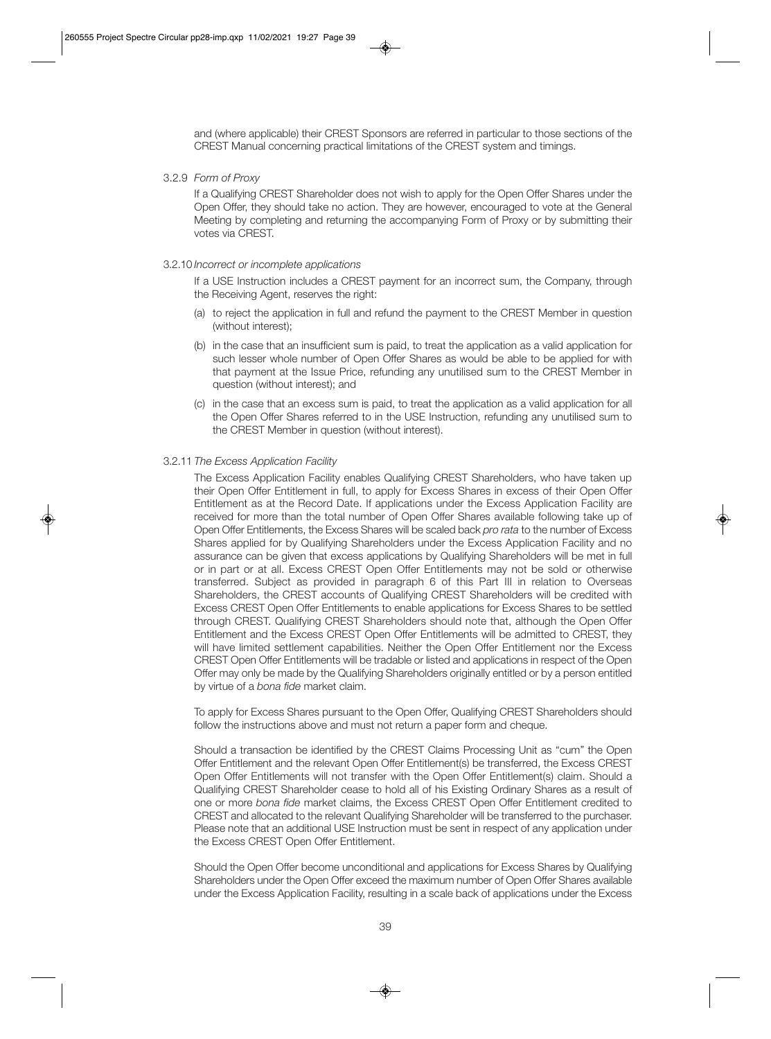and (where applicable) their CREST Sponsors are referred in particular to those sections of the CREST Manual concerning practical limitations of the CREST system and timings.

3.2.9 *Form of Proxy* 

 If a Qualifying CREST Shareholder does not wish to apply for the Open Offer Shares under the Open Offer, they should take no action. They are however, encouraged to vote at the General Meeting by completing and returning the accompanying Form of Proxy or by submitting their votes via CREST.

#### 3.2.10 *Incorrect or incomplete applications*

 If a USE Instruction includes a CREST payment for an incorrect sum, the Company, through the Receiving Agent, reserves the right:

- (a) to reject the application in full and refund the payment to the CREST Member in question (without interest);
- (b) in the case that an insufficient sum is paid, to treat the application as a valid application for such lesser whole number of Open Offer Shares as would be able to be applied for with that payment at the Issue Price, refunding any unutilised sum to the CREST Member in question (without interest); and
- (c) in the case that an excess sum is paid, to treat the application as a valid application for all the Open Offer Shares referred to in the USE Instruction, refunding any unutilised sum to the CREST Member in question (without interest).

#### 3.2.11 *The Excess Application Facility*

 The Excess Application Facility enables Qualifying CREST Shareholders, who have taken up their Open Offer Entitlement in full, to apply for Excess Shares in excess of their Open Offer Entitlement as at the Record Date. If applications under the Excess Application Facility are received for more than the total number of Open Offer Shares available following take up of Open Offer Entitlements, the Excess Shares will be scaled back *pro rata* to the number of Excess Shares applied for by Qualifying Shareholders under the Excess Application Facility and no assurance can be given that excess applications by Qualifying Shareholders will be met in full or in part or at all. Excess CREST Open Offer Entitlements may not be sold or otherwise transferred. Subject as provided in paragraph 6 of this Part III in relation to Overseas Shareholders, the CREST accounts of Qualifying CREST Shareholders will be credited with Excess CREST Open Offer Entitlements to enable applications for Excess Shares to be settled through CREST. Qualifying CREST Shareholders should note that, although the Open Offer Entitlement and the Excess CREST Open Offer Entitlements will be admitted to CREST, they will have limited settlement capabilities. Neither the Open Offer Entitlement nor the Excess CREST Open Offer Entitlements will be tradable or listed and applications in respect of the Open Offer may only be made by the Qualifying Shareholders originally entitled or by a person entitled by virtue of a *bona fide* market claim.

 To apply for Excess Shares pursuant to the Open Offer, Qualifying CREST Shareholders should follow the instructions above and must not return a paper form and cheque.

 Should a transaction be identified by the CREST Claims Processing Unit as "cum" the Open Offer Entitlement and the relevant Open Offer Entitlement(s) be transferred, the Excess CREST Open Offer Entitlements will not transfer with the Open Offer Entitlement(s) claim. Should a Qualifying CREST Shareholder cease to hold all of his Existing Ordinary Shares as a result of one or more *bona fide* market claims, the Excess CREST Open Offer Entitlement credited to CREST and allocated to the relevant Qualifying Shareholder will be transferred to the purchaser. Please note that an additional USE Instruction must be sent in respect of any application under the Excess CREST Open Offer Entitlement.

 Should the Open Offer become unconditional and applications for Excess Shares by Qualifying Shareholders under the Open Offer exceed the maximum number of Open Offer Shares available under the Excess Application Facility, resulting in a scale back of applications under the Excess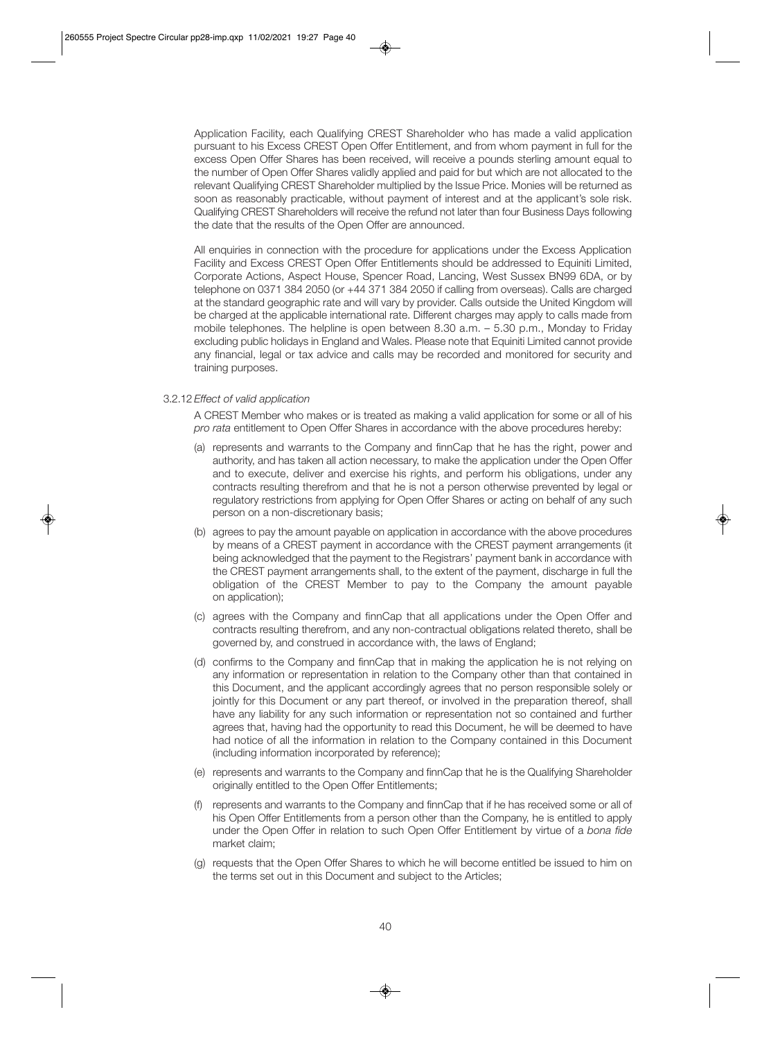Application Facility, each Qualifying CREST Shareholder who has made a valid application pursuant to his Excess CREST Open Offer Entitlement, and from whom payment in full for the excess Open Offer Shares has been received, will receive a pounds sterling amount equal to the number of Open Offer Shares validly applied and paid for but which are not allocated to the relevant Qualifying CREST Shareholder multiplied by the Issue Price. Monies will be returned as soon as reasonably practicable, without payment of interest and at the applicant's sole risk. Qualifying CREST Shareholders will receive the refund not later than four Business Days following the date that the results of the Open Offer are announced.

 All enquiries in connection with the procedure for applications under the Excess Application Facility and Excess CREST Open Offer Entitlements should be addressed to Equiniti Limited, Corporate Actions, Aspect House, Spencer Road, Lancing, West Sussex BN99 6DA, or by telephone on 0371 384 2050 (or +44 371 384 2050 if calling from overseas). Calls are charged at the standard geographic rate and will vary by provider. Calls outside the United Kingdom will be charged at the applicable international rate. Different charges may apply to calls made from mobile telephones. The helpline is open between 8.30 a.m. – 5.30 p.m., Monday to Friday excluding public holidays in England and Wales. Please note that Equiniti Limited cannot provide any financial, legal or tax advice and calls may be recorded and monitored for security and training purposes.

#### 3.2.12 *Effect of valid application*

 A CREST Member who makes or is treated as making a valid application for some or all of his *pro rata* entitlement to Open Offer Shares in accordance with the above procedures hereby:

- (a) represents and warrants to the Company and finnCap that he has the right, power and authority, and has taken all action necessary, to make the application under the Open Offer and to execute, deliver and exercise his rights, and perform his obligations, under any contracts resulting therefrom and that he is not a person otherwise prevented by legal or regulatory restrictions from applying for Open Offer Shares or acting on behalf of any such person on a non-discretionary basis;
- (b) agrees to pay the amount payable on application in accordance with the above procedures by means of a CREST payment in accordance with the CREST payment arrangements (it being acknowledged that the payment to the Registrars' payment bank in accordance with the CREST payment arrangements shall, to the extent of the payment, discharge in full the obligation of the CREST Member to pay to the Company the amount payable on application);
- (c) agrees with the Company and finnCap that all applications under the Open Offer and contracts resulting therefrom, and any non-contractual obligations related thereto, shall be governed by, and construed in accordance with, the laws of England;
- (d) confirms to the Company and finnCap that in making the application he is not relying on any information or representation in relation to the Company other than that contained in this Document, and the applicant accordingly agrees that no person responsible solely or jointly for this Document or any part thereof, or involved in the preparation thereof, shall have any liability for any such information or representation not so contained and further agrees that, having had the opportunity to read this Document, he will be deemed to have had notice of all the information in relation to the Company contained in this Document (including information incorporated by reference);
- (e) represents and warrants to the Company and finnCap that he is the Qualifying Shareholder originally entitled to the Open Offer Entitlements;
- (f) represents and warrants to the Company and finnCap that if he has received some or all of his Open Offer Entitlements from a person other than the Company, he is entitled to apply under the Open Offer in relation to such Open Offer Entitlement by virtue of a *bona fide* market claim;
- (g) requests that the Open Offer Shares to which he will become entitled be issued to him on the terms set out in this Document and subject to the Articles;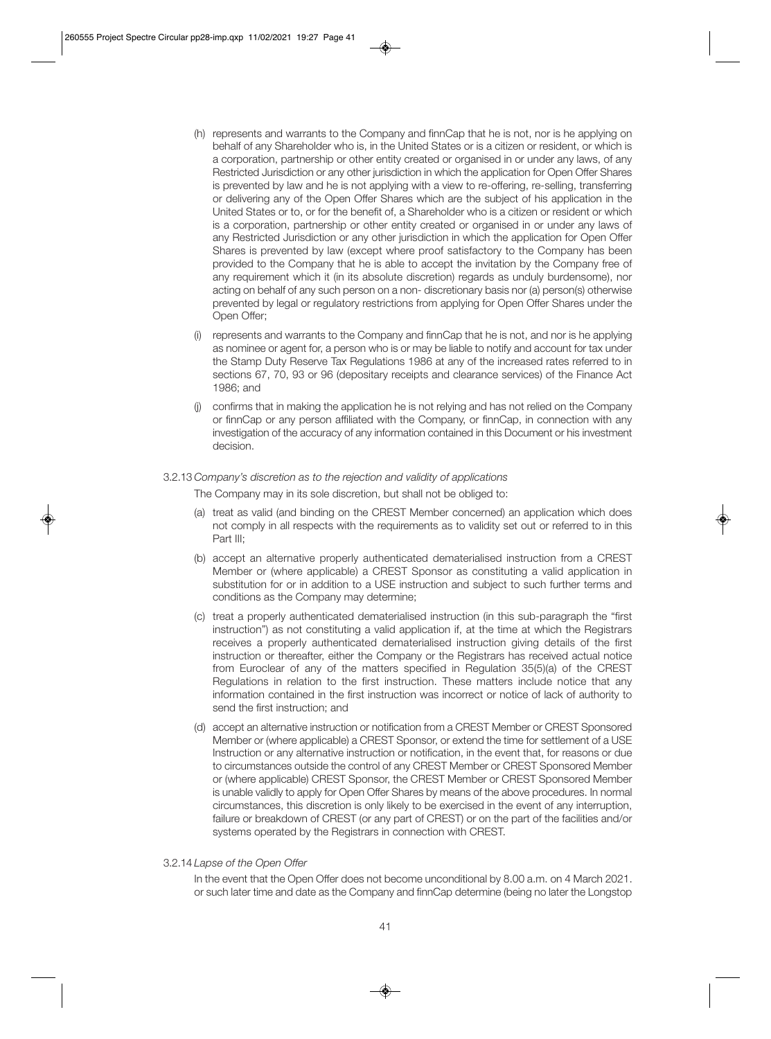- (h) represents and warrants to the Company and finnCap that he is not, nor is he applying on behalf of any Shareholder who is, in the United States or is a citizen or resident, or which is a corporation, partnership or other entity created or organised in or under any laws, of any Restricted Jurisdiction or any other jurisdiction in which the application for Open Offer Shares is prevented by law and he is not applying with a view to re-offering, re-selling, transferring or delivering any of the Open Offer Shares which are the subject of his application in the United States or to, or for the benefit of, a Shareholder who is a citizen or resident or which is a corporation, partnership or other entity created or organised in or under any laws of any Restricted Jurisdiction or any other jurisdiction in which the application for Open Offer Shares is prevented by law (except where proof satisfactory to the Company has been provided to the Company that he is able to accept the invitation by the Company free of any requirement which it (in its absolute discretion) regards as unduly burdensome), nor acting on behalf of any such person on a non- discretionary basis nor (a) person(s) otherwise prevented by legal or regulatory restrictions from applying for Open Offer Shares under the Open Offer;
- (i) represents and warrants to the Company and finnCap that he is not, and nor is he applying as nominee or agent for, a person who is or may be liable to notify and account for tax under the Stamp Duty Reserve Tax Regulations 1986 at any of the increased rates referred to in sections 67, 70, 93 or 96 (depositary receipts and clearance services) of the Finance Act 1986; and
- (j) confirms that in making the application he is not relying and has not relied on the Company or finnCap or any person affiliated with the Company, or finnCap, in connection with any investigation of the accuracy of any information contained in this Document or his investment decision.

#### 3.2.13 *Company's discretion as to the rejection and validity of applications*

The Company may in its sole discretion, but shall not be obliged to:

- (a) treat as valid (and binding on the CREST Member concerned) an application which does not comply in all respects with the requirements as to validity set out or referred to in this Part III;
- (b) accept an alternative properly authenticated dematerialised instruction from a CREST Member or (where applicable) a CREST Sponsor as constituting a valid application in substitution for or in addition to a USE instruction and subject to such further terms and conditions as the Company may determine;
- (c) treat a properly authenticated dematerialised instruction (in this sub-paragraph the "first instruction") as not constituting a valid application if, at the time at which the Registrars receives a properly authenticated dematerialised instruction giving details of the first instruction or thereafter, either the Company or the Registrars has received actual notice from Euroclear of any of the matters specified in Regulation 35(5)(a) of the CREST Regulations in relation to the first instruction. These matters include notice that any information contained in the first instruction was incorrect or notice of lack of authority to send the first instruction; and
- (d) accept an alternative instruction or notification from a CREST Member or CREST Sponsored Member or (where applicable) a CREST Sponsor, or extend the time for settlement of a USE Instruction or any alternative instruction or notification, in the event that, for reasons or due to circumstances outside the control of any CREST Member or CREST Sponsored Member or (where applicable) CREST Sponsor, the CREST Member or CREST Sponsored Member is unable validly to apply for Open Offer Shares by means of the above procedures. In normal circumstances, this discretion is only likely to be exercised in the event of any interruption, failure or breakdown of CREST (or any part of CREST) or on the part of the facilities and/or systems operated by the Registrars in connection with CREST.
- 3.2.14 *Lapse of the Open Offer*

 In the event that the Open Offer does not become unconditional by 8.00 a.m. on 4 March 2021. or such later time and date as the Company and finnCap determine (being no later the Longstop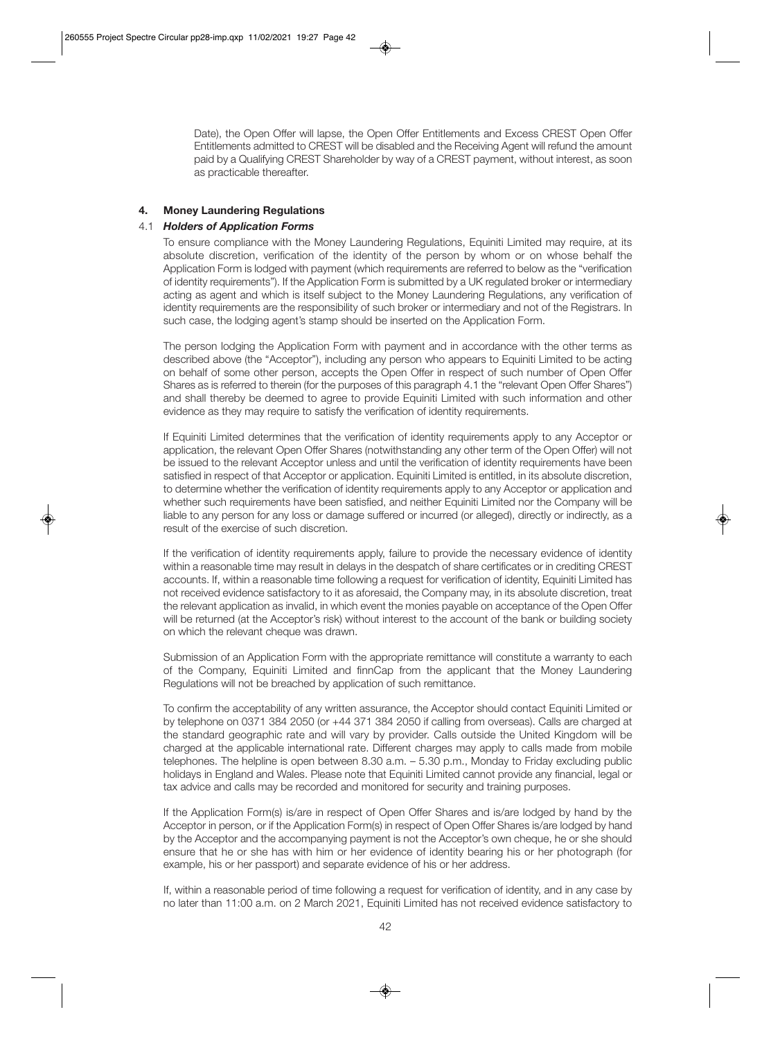Date), the Open Offer will lapse, the Open Offer Entitlements and Excess CREST Open Offer Entitlements admitted to CREST will be disabled and the Receiving Agent will refund the amount paid by a Qualifying CREST Shareholder by way of a CREST payment, without interest, as soon as practicable thereafter.

# **4. Money Laundering Regulations**

# 4.1 *Holders of Application Forms*

 To ensure compliance with the Money Laundering Regulations, Equiniti Limited may require, at its absolute discretion, verification of the identity of the person by whom or on whose behalf the Application Form is lodged with payment (which requirements are referred to below as the "verification of identity requirements"). If the Application Form is submitted by a UK regulated broker or intermediary acting as agent and which is itself subject to the Money Laundering Regulations, any verification of identity requirements are the responsibility of such broker or intermediary and not of the Registrars. In such case, the lodging agent's stamp should be inserted on the Application Form.

 The person lodging the Application Form with payment and in accordance with the other terms as described above (the "Acceptor"), including any person who appears to Equiniti Limited to be acting on behalf of some other person, accepts the Open Offer in respect of such number of Open Offer Shares as is referred to therein (for the purposes of this paragraph 4.1 the "relevant Open Offer Shares") and shall thereby be deemed to agree to provide Equiniti Limited with such information and other evidence as they may require to satisfy the verification of identity requirements.

 If Equiniti Limited determines that the verification of identity requirements apply to any Acceptor or application, the relevant Open Offer Shares (notwithstanding any other term of the Open Offer) will not be issued to the relevant Acceptor unless and until the verification of identity requirements have been satisfied in respect of that Acceptor or application. Equiniti Limited is entitled, in its absolute discretion, to determine whether the verification of identity requirements apply to any Acceptor or application and whether such requirements have been satisfied, and neither Equiniti Limited nor the Company will be liable to any person for any loss or damage suffered or incurred (or alleged), directly or indirectly, as a result of the exercise of such discretion.

 If the verification of identity requirements apply, failure to provide the necessary evidence of identity within a reasonable time may result in delays in the despatch of share certificates or in crediting CREST accounts. If, within a reasonable time following a request for verification of identity, Equiniti Limited has not received evidence satisfactory to it as aforesaid, the Company may, in its absolute discretion, treat the relevant application as invalid, in which event the monies payable on acceptance of the Open Offer will be returned (at the Acceptor's risk) without interest to the account of the bank or building society on which the relevant cheque was drawn.

 Submission of an Application Form with the appropriate remittance will constitute a warranty to each of the Company, Equiniti Limited and finnCap from the applicant that the Money Laundering Regulations will not be breached by application of such remittance.

 To confirm the acceptability of any written assurance, the Acceptor should contact Equiniti Limited or by telephone on 0371 384 2050 (or +44 371 384 2050 if calling from overseas). Calls are charged at the standard geographic rate and will vary by provider. Calls outside the United Kingdom will be charged at the applicable international rate. Different charges may apply to calls made from mobile telephones. The helpline is open between 8.30 a.m. – 5.30 p.m., Monday to Friday excluding public holidays in England and Wales. Please note that Equiniti Limited cannot provide any financial, legal or tax advice and calls may be recorded and monitored for security and training purposes.

 If the Application Form(s) is/are in respect of Open Offer Shares and is/are lodged by hand by the Acceptor in person, or if the Application Form(s) in respect of Open Offer Shares is/are lodged by hand by the Acceptor and the accompanying payment is not the Acceptor's own cheque, he or she should ensure that he or she has with him or her evidence of identity bearing his or her photograph (for example, his or her passport) and separate evidence of his or her address.

 If, within a reasonable period of time following a request for verification of identity, and in any case by no later than 11:00 a.m. on 2 March 2021, Equiniti Limited has not received evidence satisfactory to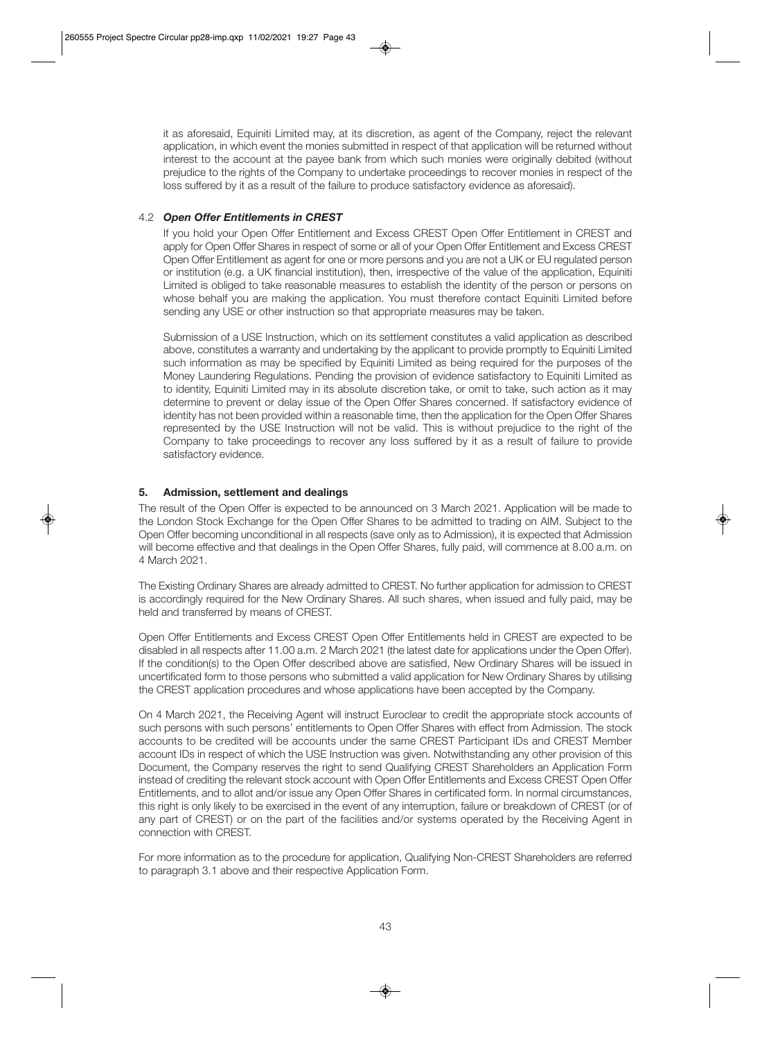it as aforesaid, Equiniti Limited may, at its discretion, as agent of the Company, reject the relevant application, in which event the monies submitted in respect of that application will be returned without interest to the account at the payee bank from which such monies were originally debited (without prejudice to the rights of the Company to undertake proceedings to recover monies in respect of the loss suffered by it as a result of the failure to produce satisfactory evidence as aforesaid).

# 4.2 *Open Offer Entitlements in CREST*

 If you hold your Open Offer Entitlement and Excess CREST Open Offer Entitlement in CREST and apply for Open Offer Shares in respect of some or all of your Open Offer Entitlement and Excess CREST Open Offer Entitlement as agent for one or more persons and you are not a UK or EU regulated person or institution (e.g. a UK financial institution), then, irrespective of the value of the application, Equiniti Limited is obliged to take reasonable measures to establish the identity of the person or persons on whose behalf you are making the application. You must therefore contact Equiniti Limited before sending any USE or other instruction so that appropriate measures may be taken.

 Submission of a USE Instruction, which on its settlement constitutes a valid application as described above, constitutes a warranty and undertaking by the applicant to provide promptly to Equiniti Limited such information as may be specified by Equiniti Limited as being required for the purposes of the Money Laundering Regulations. Pending the provision of evidence satisfactory to Equiniti Limited as to identity, Equiniti Limited may in its absolute discretion take, or omit to take, such action as it may determine to prevent or delay issue of the Open Offer Shares concerned. If satisfactory evidence of identity has not been provided within a reasonable time, then the application for the Open Offer Shares represented by the USE Instruction will not be valid. This is without prejudice to the right of the Company to take proceedings to recover any loss suffered by it as a result of failure to provide satisfactory evidence.

# **5. Admission, settlement and dealings**

The result of the Open Offer is expected to be announced on 3 March 2021. Application will be made to the London Stock Exchange for the Open Offer Shares to be admitted to trading on AIM. Subject to the Open Offer becoming unconditional in all respects (save only as to Admission), it is expected that Admission will become effective and that dealings in the Open Offer Shares, fully paid, will commence at 8.00 a.m. on 4 March 2021.

The Existing Ordinary Shares are already admitted to CREST. No further application for admission to CREST is accordingly required for the New Ordinary Shares. All such shares, when issued and fully paid, may be held and transferred by means of CREST.

Open Offer Entitlements and Excess CREST Open Offer Entitlements held in CREST are expected to be disabled in all respects after 11.00 a.m. 2 March 2021 (the latest date for applications under the Open Offer). If the condition(s) to the Open Offer described above are satisfied, New Ordinary Shares will be issued in uncertificated form to those persons who submitted a valid application for New Ordinary Shares by utilising the CREST application procedures and whose applications have been accepted by the Company.

On 4 March 2021, the Receiving Agent will instruct Euroclear to credit the appropriate stock accounts of such persons with such persons' entitlements to Open Offer Shares with effect from Admission. The stock accounts to be credited will be accounts under the same CREST Participant IDs and CREST Member account IDs in respect of which the USE Instruction was given. Notwithstanding any other provision of this Document, the Company reserves the right to send Qualifying CREST Shareholders an Application Form instead of crediting the relevant stock account with Open Offer Entitlements and Excess CREST Open Offer Entitlements, and to allot and/or issue any Open Offer Shares in certificated form. In normal circumstances, this right is only likely to be exercised in the event of any interruption, failure or breakdown of CREST (or of any part of CREST) or on the part of the facilities and/or systems operated by the Receiving Agent in connection with CREST.

For more information as to the procedure for application, Qualifying Non-CREST Shareholders are referred to paragraph 3.1 above and their respective Application Form.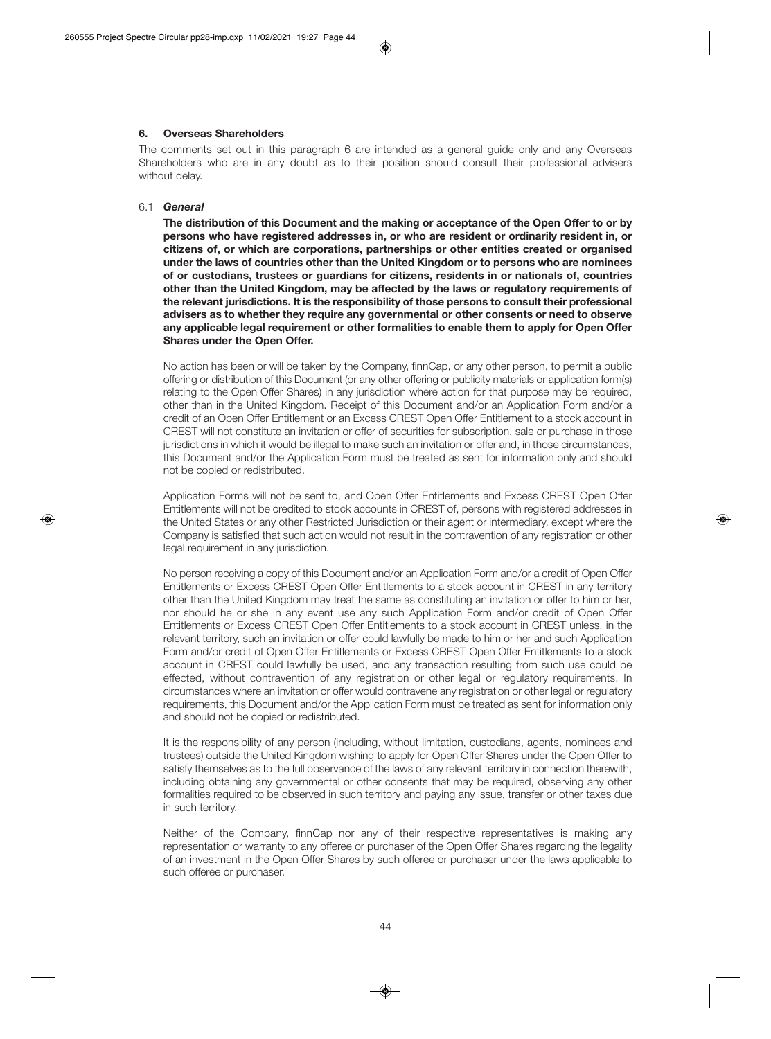# **6. Overseas Shareholders**

The comments set out in this paragraph 6 are intended as a general guide only and any Overseas Shareholders who are in any doubt as to their position should consult their professional advisers without delay.

#### 6.1 *General*

 **The distribution of this Document and the making or acceptance of the Open Offer to or by persons who have registered addresses in, or who are resident or ordinarily resident in, or citizens of, or which are corporations, partnerships or other entities created or organised under the laws of countries other than the United Kingdom or to persons who are nominees of or custodians, trustees or guardians for citizens, residents in or nationals of, countries other than the United Kingdom, may be affected by the laws or regulatory requirements of the relevant jurisdictions. It is the responsibility of those persons to consult their professional advisers as to whether they require any governmental or other consents or need to observe any applicable legal requirement or other formalities to enable them to apply for Open Offer Shares under the Open Offer.** 

 No action has been or will be taken by the Company, finnCap, or any other person, to permit a public offering or distribution of this Document (or any other offering or publicity materials or application form(s) relating to the Open Offer Shares) in any jurisdiction where action for that purpose may be required, other than in the United Kingdom. Receipt of this Document and/or an Application Form and/or a credit of an Open Offer Entitlement or an Excess CREST Open Offer Entitlement to a stock account in CREST will not constitute an invitation or offer of securities for subscription, sale or purchase in those jurisdictions in which it would be illegal to make such an invitation or offer and, in those circumstances, this Document and/or the Application Form must be treated as sent for information only and should not be copied or redistributed.

 Application Forms will not be sent to, and Open Offer Entitlements and Excess CREST Open Offer Entitlements will not be credited to stock accounts in CREST of, persons with registered addresses in the United States or any other Restricted Jurisdiction or their agent or intermediary, except where the Company is satisfied that such action would not result in the contravention of any registration or other legal requirement in any jurisdiction.

 No person receiving a copy of this Document and/or an Application Form and/or a credit of Open Offer Entitlements or Excess CREST Open Offer Entitlements to a stock account in CREST in any territory other than the United Kingdom may treat the same as constituting an invitation or offer to him or her, nor should he or she in any event use any such Application Form and/or credit of Open Offer Entitlements or Excess CREST Open Offer Entitlements to a stock account in CREST unless, in the relevant territory, such an invitation or offer could lawfully be made to him or her and such Application Form and/or credit of Open Offer Entitlements or Excess CREST Open Offer Entitlements to a stock account in CREST could lawfully be used, and any transaction resulting from such use could be effected, without contravention of any registration or other legal or regulatory requirements. In circumstances where an invitation or offer would contravene any registration or other legal or regulatory requirements, this Document and/or the Application Form must be treated as sent for information only and should not be copied or redistributed.

It is the responsibility of any person (including, without limitation, custodians, agents, nominees and trustees) outside the United Kingdom wishing to apply for Open Offer Shares under the Open Offer to satisfy themselves as to the full observance of the laws of any relevant territory in connection therewith, including obtaining any governmental or other consents that may be required, observing any other formalities required to be observed in such territory and paying any issue, transfer or other taxes due in such territory.

 Neither of the Company, finnCap nor any of their respective representatives is making any representation or warranty to any offeree or purchaser of the Open Offer Shares regarding the legality of an investment in the Open Offer Shares by such offeree or purchaser under the laws applicable to such offeree or purchaser.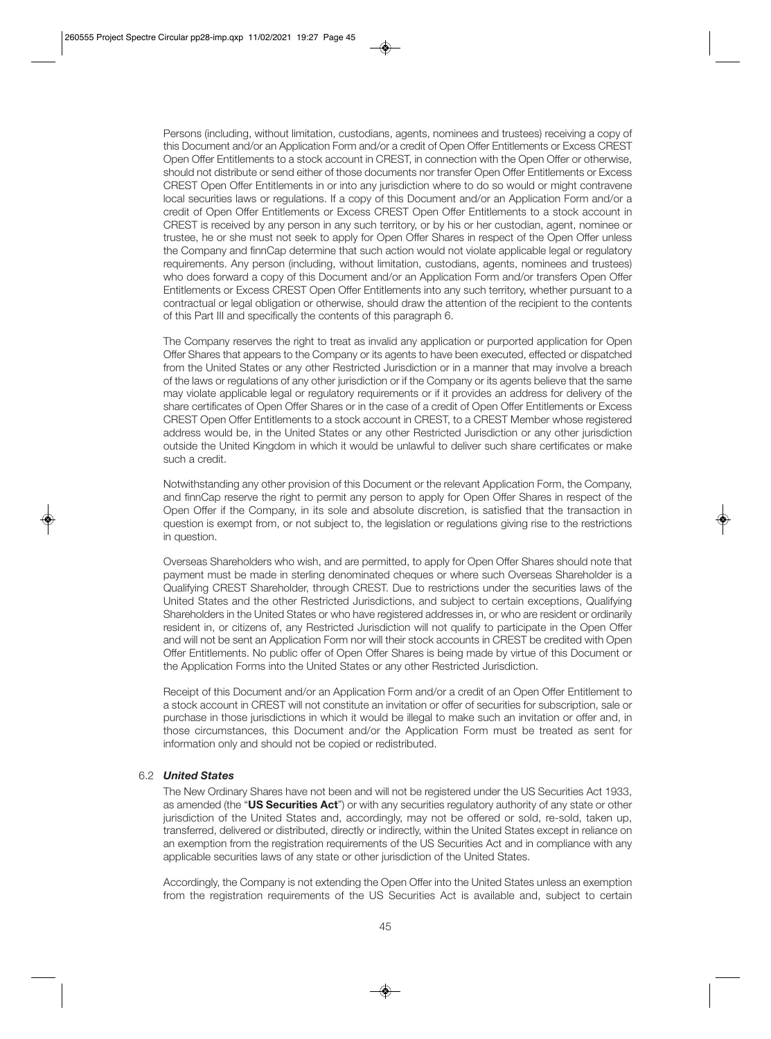Persons (including, without limitation, custodians, agents, nominees and trustees) receiving a copy of this Document and/or an Application Form and/or a credit of Open Offer Entitlements or Excess CREST Open Offer Entitlements to a stock account in CREST, in connection with the Open Offer or otherwise, should not distribute or send either of those documents nor transfer Open Offer Entitlements or Excess CREST Open Offer Entitlements in or into any jurisdiction where to do so would or might contravene local securities laws or regulations. If a copy of this Document and/or an Application Form and/or a credit of Open Offer Entitlements or Excess CREST Open Offer Entitlements to a stock account in CREST is received by any person in any such territory, or by his or her custodian, agent, nominee or trustee, he or she must not seek to apply for Open Offer Shares in respect of the Open Offer unless the Company and finnCap determine that such action would not violate applicable legal or regulatory requirements. Any person (including, without limitation, custodians, agents, nominees and trustees) who does forward a copy of this Document and/or an Application Form and/or transfers Open Offer Entitlements or Excess CREST Open Offer Entitlements into any such territory, whether pursuant to a contractual or legal obligation or otherwise, should draw the attention of the recipient to the contents of this Part III and specifically the contents of this paragraph 6.

 The Company reserves the right to treat as invalid any application or purported application for Open Offer Shares that appears to the Company or its agents to have been executed, effected or dispatched from the United States or any other Restricted Jurisdiction or in a manner that may involve a breach of the laws or regulations of any other jurisdiction or if the Company or its agents believe that the same may violate applicable legal or regulatory requirements or if it provides an address for delivery of the share certificates of Open Offer Shares or in the case of a credit of Open Offer Entitlements or Excess CREST Open Offer Entitlements to a stock account in CREST, to a CREST Member whose registered address would be, in the United States or any other Restricted Jurisdiction or any other jurisdiction outside the United Kingdom in which it would be unlawful to deliver such share certificates or make such a credit.

 Notwithstanding any other provision of this Document or the relevant Application Form, the Company, and finnCap reserve the right to permit any person to apply for Open Offer Shares in respect of the Open Offer if the Company, in its sole and absolute discretion, is satisfied that the transaction in question is exempt from, or not subject to, the legislation or regulations giving rise to the restrictions in question.

 Overseas Shareholders who wish, and are permitted, to apply for Open Offer Shares should note that payment must be made in sterling denominated cheques or where such Overseas Shareholder is a Qualifying CREST Shareholder, through CREST. Due to restrictions under the securities laws of the United States and the other Restricted Jurisdictions, and subject to certain exceptions, Qualifying Shareholders in the United States or who have registered addresses in, or who are resident or ordinarily resident in, or citizens of, any Restricted Jurisdiction will not qualify to participate in the Open Offer and will not be sent an Application Form nor will their stock accounts in CREST be credited with Open Offer Entitlements. No public offer of Open Offer Shares is being made by virtue of this Document or the Application Forms into the United States or any other Restricted Jurisdiction.

 Receipt of this Document and/or an Application Form and/or a credit of an Open Offer Entitlement to a stock account in CREST will not constitute an invitation or offer of securities for subscription, sale or purchase in those jurisdictions in which it would be illegal to make such an invitation or offer and, in those circumstances, this Document and/or the Application Form must be treated as sent for information only and should not be copied or redistributed.

# 6.2 *United States*

 The New Ordinary Shares have not been and will not be registered under the US Securities Act 1933, as amended (the "**US Securities Act**") or with any securities regulatory authority of any state or other jurisdiction of the United States and, accordingly, may not be offered or sold, re-sold, taken up, transferred, delivered or distributed, directly or indirectly, within the United States except in reliance on an exemption from the registration requirements of the US Securities Act and in compliance with any applicable securities laws of any state or other jurisdiction of the United States.

 Accordingly, the Company is not extending the Open Offer into the United States unless an exemption from the registration requirements of the US Securities Act is available and, subject to certain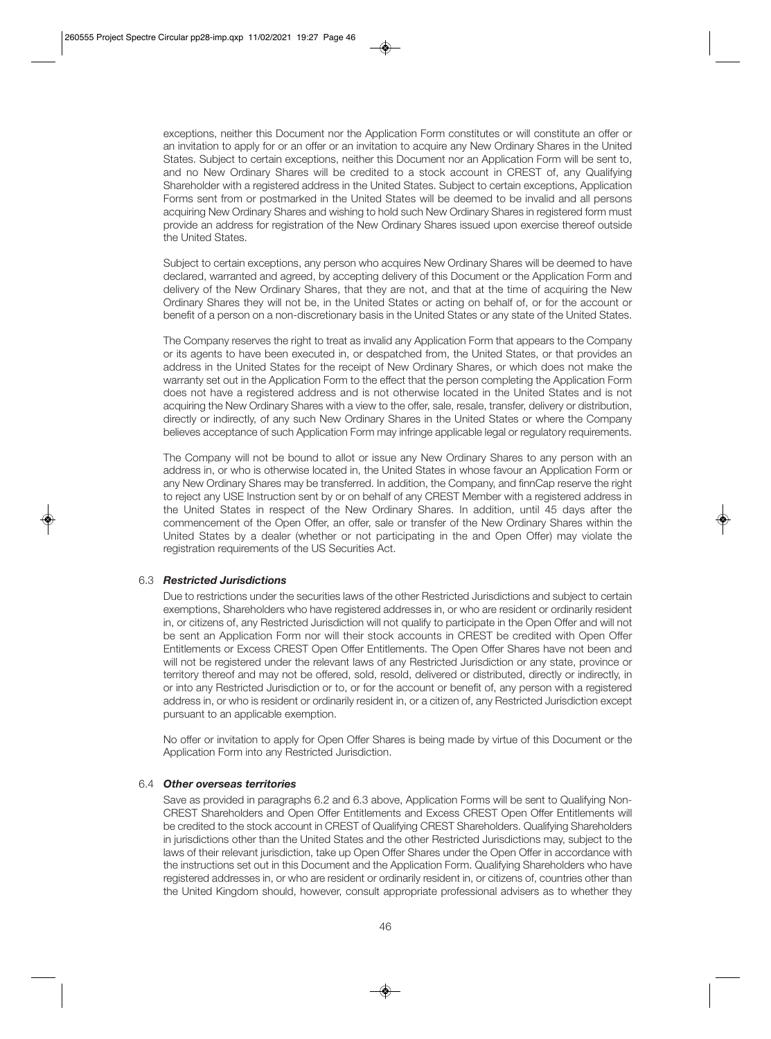exceptions, neither this Document nor the Application Form constitutes or will constitute an offer or an invitation to apply for or an offer or an invitation to acquire any New Ordinary Shares in the United States. Subject to certain exceptions, neither this Document nor an Application Form will be sent to, and no New Ordinary Shares will be credited to a stock account in CREST of, any Qualifying Shareholder with a registered address in the United States. Subject to certain exceptions, Application Forms sent from or postmarked in the United States will be deemed to be invalid and all persons acquiring New Ordinary Shares and wishing to hold such New Ordinary Shares in registered form must provide an address for registration of the New Ordinary Shares issued upon exercise thereof outside the United States.

 Subject to certain exceptions, any person who acquires New Ordinary Shares will be deemed to have declared, warranted and agreed, by accepting delivery of this Document or the Application Form and delivery of the New Ordinary Shares, that they are not, and that at the time of acquiring the New Ordinary Shares they will not be, in the United States or acting on behalf of, or for the account or benefit of a person on a non-discretionary basis in the United States or any state of the United States.

 The Company reserves the right to treat as invalid any Application Form that appears to the Company or its agents to have been executed in, or despatched from, the United States, or that provides an address in the United States for the receipt of New Ordinary Shares, or which does not make the warranty set out in the Application Form to the effect that the person completing the Application Form does not have a registered address and is not otherwise located in the United States and is not acquiring the New Ordinary Shares with a view to the offer, sale, resale, transfer, delivery or distribution, directly or indirectly, of any such New Ordinary Shares in the United States or where the Company believes acceptance of such Application Form may infringe applicable legal or regulatory requirements.

 The Company will not be bound to allot or issue any New Ordinary Shares to any person with an address in, or who is otherwise located in, the United States in whose favour an Application Form or any New Ordinary Shares may be transferred. In addition, the Company, and finnCap reserve the right to reject any USE Instruction sent by or on behalf of any CREST Member with a registered address in the United States in respect of the New Ordinary Shares. In addition, until 45 days after the commencement of the Open Offer, an offer, sale or transfer of the New Ordinary Shares within the United States by a dealer (whether or not participating in the and Open Offer) may violate the registration requirements of the US Securities Act.

# 6.3 *Restricted Jurisdictions*

 Due to restrictions under the securities laws of the other Restricted Jurisdictions and subject to certain exemptions, Shareholders who have registered addresses in, or who are resident or ordinarily resident in, or citizens of, any Restricted Jurisdiction will not qualify to participate in the Open Offer and will not be sent an Application Form nor will their stock accounts in CREST be credited with Open Offer Entitlements or Excess CREST Open Offer Entitlements. The Open Offer Shares have not been and will not be registered under the relevant laws of any Restricted Jurisdiction or any state, province or territory thereof and may not be offered, sold, resold, delivered or distributed, directly or indirectly, in or into any Restricted Jurisdiction or to, or for the account or benefit of, any person with a registered address in, or who is resident or ordinarily resident in, or a citizen of, any Restricted Jurisdiction except pursuant to an applicable exemption.

 No offer or invitation to apply for Open Offer Shares is being made by virtue of this Document or the Application Form into any Restricted Jurisdiction.

#### 6.4 *Other overseas territories*

 Save as provided in paragraphs 6.2 and 6.3 above, Application Forms will be sent to Qualifying Non-CREST Shareholders and Open Offer Entitlements and Excess CREST Open Offer Entitlements will be credited to the stock account in CREST of Qualifying CREST Shareholders. Qualifying Shareholders in jurisdictions other than the United States and the other Restricted Jurisdictions may, subject to the laws of their relevant jurisdiction, take up Open Offer Shares under the Open Offer in accordance with the instructions set out in this Document and the Application Form. Qualifying Shareholders who have registered addresses in, or who are resident or ordinarily resident in, or citizens of, countries other than the United Kingdom should, however, consult appropriate professional advisers as to whether they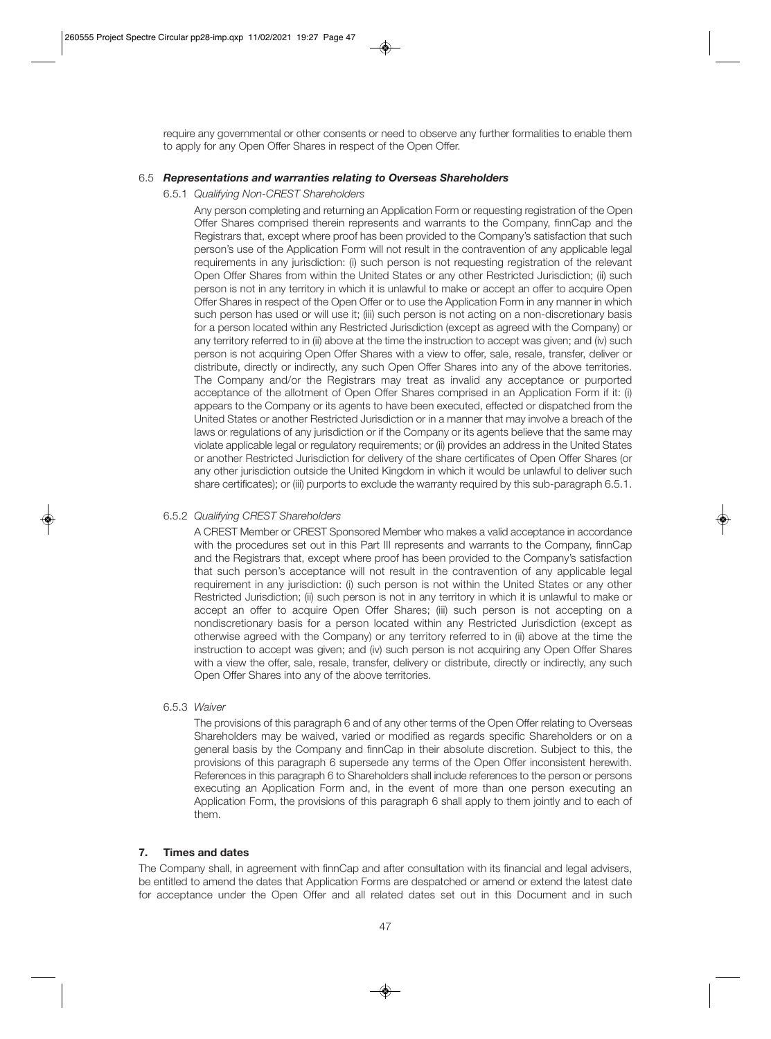require any governmental or other consents or need to observe any further formalities to enable them to apply for any Open Offer Shares in respect of the Open Offer.

#### 6.5 *Representations and warranties relating to Overseas Shareholders*

6.5.1 *Qualifying Non-CREST Shareholders* 

 Any person completing and returning an Application Form or requesting registration of the Open Offer Shares comprised therein represents and warrants to the Company, finnCap and the Registrars that, except where proof has been provided to the Company's satisfaction that such person's use of the Application Form will not result in the contravention of any applicable legal requirements in any jurisdiction: (i) such person is not requesting registration of the relevant Open Offer Shares from within the United States or any other Restricted Jurisdiction; (ii) such person is not in any territory in which it is unlawful to make or accept an offer to acquire Open Offer Shares in respect of the Open Offer or to use the Application Form in any manner in which such person has used or will use it; (iii) such person is not acting on a non-discretionary basis for a person located within any Restricted Jurisdiction (except as agreed with the Company) or any territory referred to in (ii) above at the time the instruction to accept was given; and (iv) such person is not acquiring Open Offer Shares with a view to offer, sale, resale, transfer, deliver or distribute, directly or indirectly, any such Open Offer Shares into any of the above territories. The Company and/or the Registrars may treat as invalid any acceptance or purported acceptance of the allotment of Open Offer Shares comprised in an Application Form if it: (i) appears to the Company or its agents to have been executed, effected or dispatched from the United States or another Restricted Jurisdiction or in a manner that may involve a breach of the laws or regulations of any jurisdiction or if the Company or its agents believe that the same may violate applicable legal or regulatory requirements; or (ii) provides an address in the United States or another Restricted Jurisdiction for delivery of the share certificates of Open Offer Shares (or any other jurisdiction outside the United Kingdom in which it would be unlawful to deliver such share certificates); or (iii) purports to exclude the warranty required by this sub-paragraph 6.5.1.

# 6.5.2 *Qualifying CREST Shareholders*

 A CREST Member or CREST Sponsored Member who makes a valid acceptance in accordance with the procedures set out in this Part III represents and warrants to the Company, finnCap and the Registrars that, except where proof has been provided to the Company's satisfaction that such person's acceptance will not result in the contravention of any applicable legal requirement in any jurisdiction: (i) such person is not within the United States or any other Restricted Jurisdiction; (ii) such person is not in any territory in which it is unlawful to make or accept an offer to acquire Open Offer Shares; (iii) such person is not accepting on a nondiscretionary basis for a person located within any Restricted Jurisdiction (except as otherwise agreed with the Company) or any territory referred to in (ii) above at the time the instruction to accept was given; and (iv) such person is not acquiring any Open Offer Shares with a view the offer, sale, resale, transfer, delivery or distribute, directly or indirectly, any such Open Offer Shares into any of the above territories.

#### 6.5.3 *Waiver*

 The provisions of this paragraph 6 and of any other terms of the Open Offer relating to Overseas Shareholders may be waived, varied or modified as regards specific Shareholders or on a general basis by the Company and finnCap in their absolute discretion. Subject to this, the provisions of this paragraph 6 supersede any terms of the Open Offer inconsistent herewith. References in this paragraph 6 to Shareholders shall include references to the person or persons executing an Application Form and, in the event of more than one person executing an Application Form, the provisions of this paragraph 6 shall apply to them jointly and to each of them.

#### **7. Times and dates**

The Company shall, in agreement with finnCap and after consultation with its financial and legal advisers, be entitled to amend the dates that Application Forms are despatched or amend or extend the latest date for acceptance under the Open Offer and all related dates set out in this Document and in such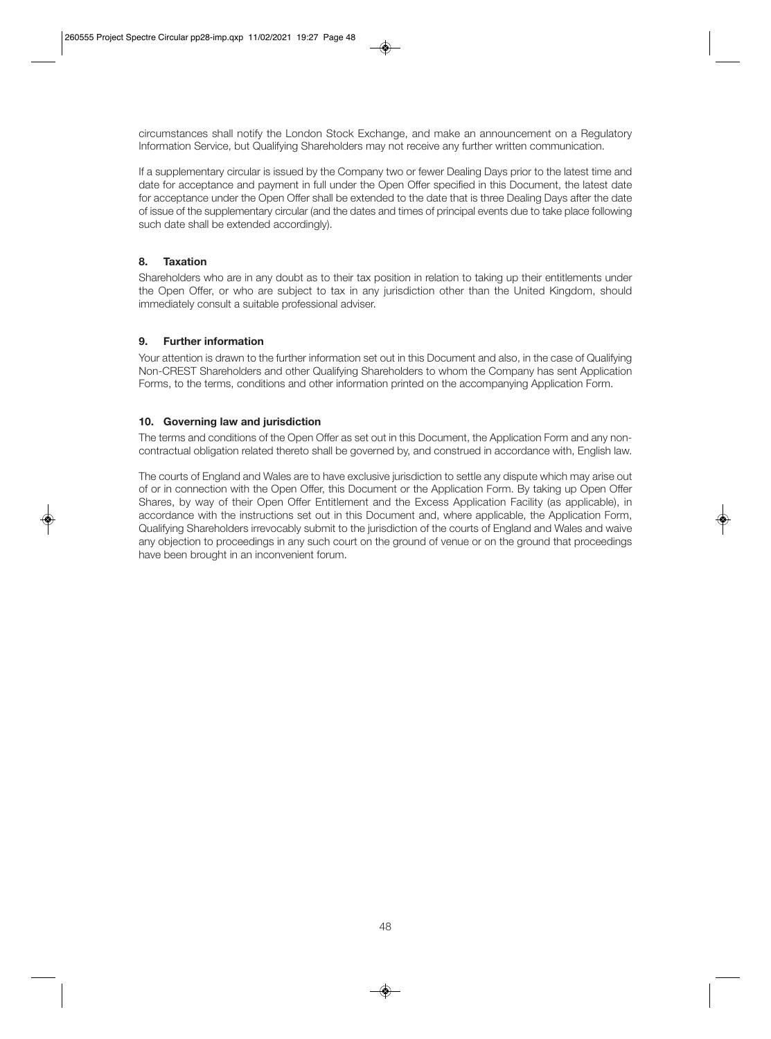circumstances shall notify the London Stock Exchange, and make an announcement on a Regulatory Information Service, but Qualifying Shareholders may not receive any further written communication.

If a supplementary circular is issued by the Company two or fewer Dealing Days prior to the latest time and date for acceptance and payment in full under the Open Offer specified in this Document, the latest date for acceptance under the Open Offer shall be extended to the date that is three Dealing Days after the date of issue of the supplementary circular (and the dates and times of principal events due to take place following such date shall be extended accordingly).

# **8. Taxation**

Shareholders who are in any doubt as to their tax position in relation to taking up their entitlements under the Open Offer, or who are subject to tax in any jurisdiction other than the United Kingdom, should immediately consult a suitable professional adviser.

# **9. Further information**

Your attention is drawn to the further information set out in this Document and also, in the case of Qualifying Non-CREST Shareholders and other Qualifying Shareholders to whom the Company has sent Application Forms, to the terms, conditions and other information printed on the accompanying Application Form.

# **10. Governing law and jurisdiction**

The terms and conditions of the Open Offer as set out in this Document, the Application Form and any noncontractual obligation related thereto shall be governed by, and construed in accordance with, English law.

The courts of England and Wales are to have exclusive jurisdiction to settle any dispute which may arise out of or in connection with the Open Offer, this Document or the Application Form. By taking up Open Offer Shares, by way of their Open Offer Entitlement and the Excess Application Facility (as applicable), in accordance with the instructions set out in this Document and, where applicable, the Application Form, Qualifying Shareholders irrevocably submit to the jurisdiction of the courts of England and Wales and waive any objection to proceedings in any such court on the ground of venue or on the ground that proceedings have been brought in an inconvenient forum.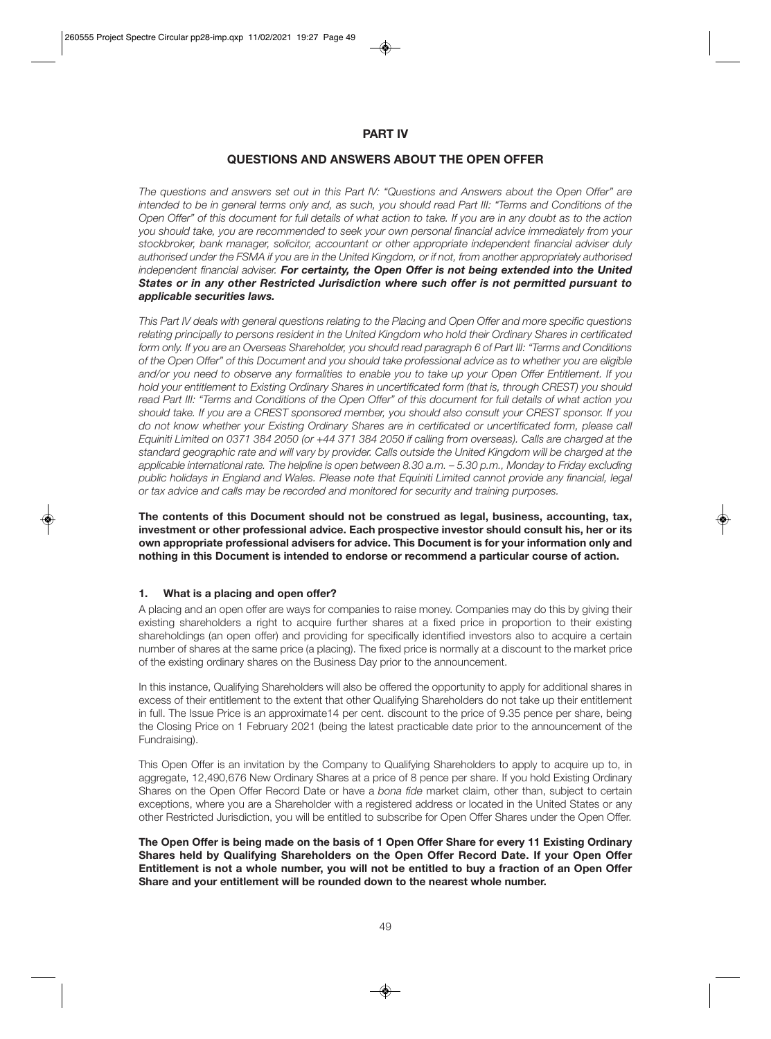# **PART IV**

# **QUESTIONS AND ANSWERS ABOUT THE OPEN OFFER**

*The questions and answers set out in this Part IV: "Questions and Answers about the Open Offer" are intended to be in general terms only and, as such, you should read Part III: "Terms and Conditions of the Open Offer" of this document for full details of what action to take. If you are in any doubt as to the action you should take, you are recommended to seek your own personal financial advice immediately from your stockbroker, bank manager, solicitor, accountant or other appropriate independent financial adviser duly authorised under the FSMA if you are in the United Kingdom, or if not, from another appropriately authorised independent financial adviser. For certainty, the Open Offer is not being extended into the United States or in any other Restricted Jurisdiction where such offer is not permitted pursuant to applicable securities laws.*

*This Part IV deals with general questions relating to the Placing and Open Offer and more specific questions relating principally to persons resident in the United Kingdom who hold their Ordinary Shares in certificated form only. If you are an Overseas Shareholder, you should read paragraph 6 of Part III: "Terms and Conditions of the Open Offer" of this Document and you should take professional advice as to whether you are eligible and/or you need to observe any formalities to enable you to take up your Open Offer Entitlement. If you hold your entitlement to Existing Ordinary Shares in uncertificated form (that is, through CREST) you should read Part III: "Terms and Conditions of the Open Offer" of this document for full details of what action you should take. If you are a CREST sponsored member, you should also consult your CREST sponsor. If you do not know whether your Existing Ordinary Shares are in certificated or uncertificated form, please call Equiniti Limited on 0371 384 2050 (or +44 371 384 2050 if calling from overseas). Calls are charged at the standard geographic rate and will vary by provider. Calls outside the United Kingdom will be charged at the applicable international rate. The helpline is open between 8.30 a.m. – 5.30 p.m., Monday to Friday excluding public holidays in England and Wales. Please note that Equiniti Limited cannot provide any financial, legal or tax advice and calls may be recorded and monitored for security and training purposes.* 

**The contents of this Document should not be construed as legal, business, accounting, tax, investment or other professional advice. Each prospective investor should consult his, her or its own appropriate professional advisers for advice. This Document is for your information only and nothing in this Document is intended to endorse or recommend a particular course of action.** 

# **1. What is a placing and open offer?**

A placing and an open offer are ways for companies to raise money. Companies may do this by giving their existing shareholders a right to acquire further shares at a fixed price in proportion to their existing shareholdings (an open offer) and providing for specifically identified investors also to acquire a certain number of shares at the same price (a placing). The fixed price is normally at a discount to the market price of the existing ordinary shares on the Business Day prior to the announcement.

In this instance, Qualifying Shareholders will also be offered the opportunity to apply for additional shares in excess of their entitlement to the extent that other Qualifying Shareholders do not take up their entitlement in full. The Issue Price is an approximate14 per cent. discount to the price of 9.35 pence per share, being the Closing Price on 1 February 2021 (being the latest practicable date prior to the announcement of the Fundraising).

This Open Offer is an invitation by the Company to Qualifying Shareholders to apply to acquire up to, in aggregate, 12,490,676 New Ordinary Shares at a price of 8 pence per share. If you hold Existing Ordinary Shares on the Open Offer Record Date or have a *bona fide* market claim, other than, subject to certain exceptions, where you are a Shareholder with a registered address or located in the United States or any other Restricted Jurisdiction, you will be entitled to subscribe for Open Offer Shares under the Open Offer.

**The Open Offer is being made on the basis of 1 Open Offer Share for every 11 Existing Ordinary Shares held by Qualifying Shareholders on the Open Offer Record Date. If your Open Offer Entitlement is not a whole number, you will not be entitled to buy a fraction of an Open Offer Share and your entitlement will be rounded down to the nearest whole number.**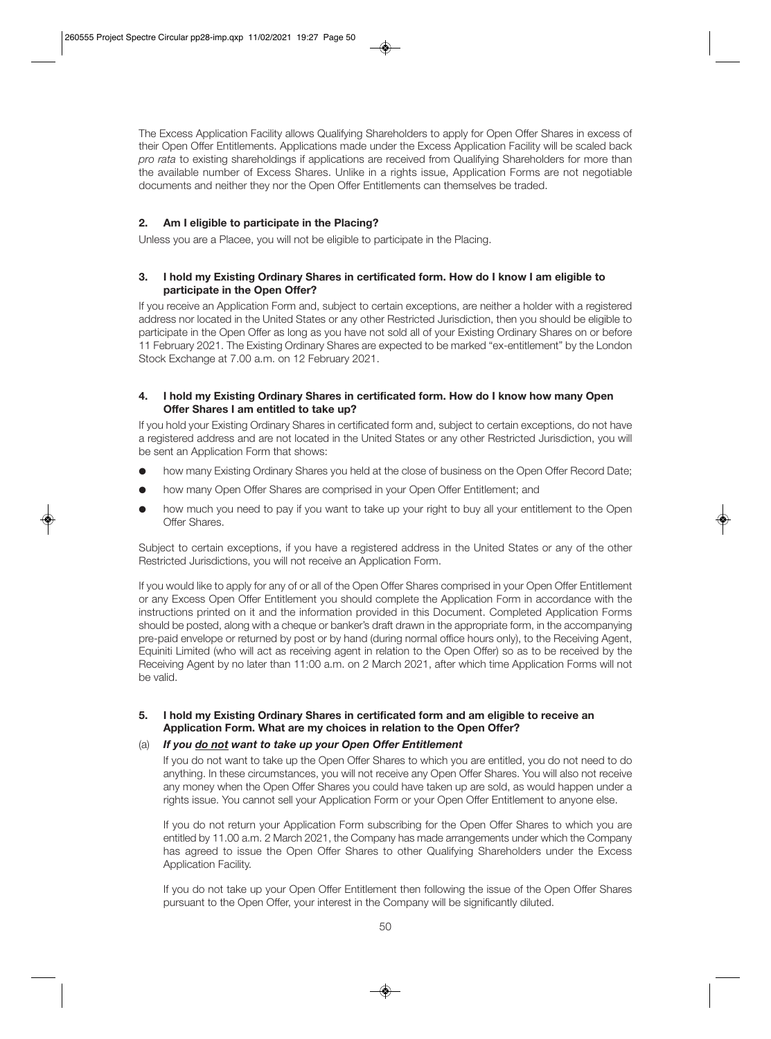The Excess Application Facility allows Qualifying Shareholders to apply for Open Offer Shares in excess of their Open Offer Entitlements. Applications made under the Excess Application Facility will be scaled back *pro rata* to existing shareholdings if applications are received from Qualifying Shareholders for more than the available number of Excess Shares. Unlike in a rights issue, Application Forms are not negotiable documents and neither they nor the Open Offer Entitlements can themselves be traded.

# **2. Am I eligible to participate in the Placing?**

Unless you are a Placee, you will not be eligible to participate in the Placing.

# **3. I hold my Existing Ordinary Shares in certificated form. How do I know I am eligible to participate in the Open Offer?**

If you receive an Application Form and, subject to certain exceptions, are neither a holder with a registered address nor located in the United States or any other Restricted Jurisdiction, then you should be eligible to participate in the Open Offer as long as you have not sold all of your Existing Ordinary Shares on or before 11 February 2021. The Existing Ordinary Shares are expected to be marked "ex-entitlement" by the London Stock Exchange at 7.00 a.m. on 12 February 2021.

# **4. I hold my Existing Ordinary Shares in certificated form. How do I know how many Open Offer Shares I am entitled to take up?**

If you hold your Existing Ordinary Shares in certificated form and, subject to certain exceptions, do not have a registered address and are not located in the United States or any other Restricted Jurisdiction, you will be sent an Application Form that shows:

- how many Existing Ordinary Shares you held at the close of business on the Open Offer Record Date;
- how many Open Offer Shares are comprised in your Open Offer Entitlement; and
- how much you need to pay if you want to take up your right to buy all your entitlement to the Open Offer Shares.

Subject to certain exceptions, if you have a registered address in the United States or any of the other Restricted Jurisdictions, you will not receive an Application Form.

If you would like to apply for any of or all of the Open Offer Shares comprised in your Open Offer Entitlement or any Excess Open Offer Entitlement you should complete the Application Form in accordance with the instructions printed on it and the information provided in this Document. Completed Application Forms should be posted, along with a cheque or banker's draft drawn in the appropriate form, in the accompanying pre-paid envelope or returned by post or by hand (during normal office hours only), to the Receiving Agent, Equiniti Limited (who will act as receiving agent in relation to the Open Offer) so as to be received by the Receiving Agent by no later than 11:00 a.m. on 2 March 2021, after which time Application Forms will not be valid.

# **5. I hold my Existing Ordinary Shares in certificated form and am eligible to receive an Application Form. What are my choices in relation to the Open Offer?**

# (a) *If you do not want to take up your Open Offer Entitlement*

 If you do not want to take up the Open Offer Shares to which you are entitled, you do not need to do anything. In these circumstances, you will not receive any Open Offer Shares. You will also not receive any money when the Open Offer Shares you could have taken up are sold, as would happen under a rights issue. You cannot sell your Application Form or your Open Offer Entitlement to anyone else.

 If you do not return your Application Form subscribing for the Open Offer Shares to which you are entitled by 11.00 a.m. 2 March 2021, the Company has made arrangements under which the Company has agreed to issue the Open Offer Shares to other Qualifying Shareholders under the Excess Application Facility.

 If you do not take up your Open Offer Entitlement then following the issue of the Open Offer Shares pursuant to the Open Offer, your interest in the Company will be significantly diluted.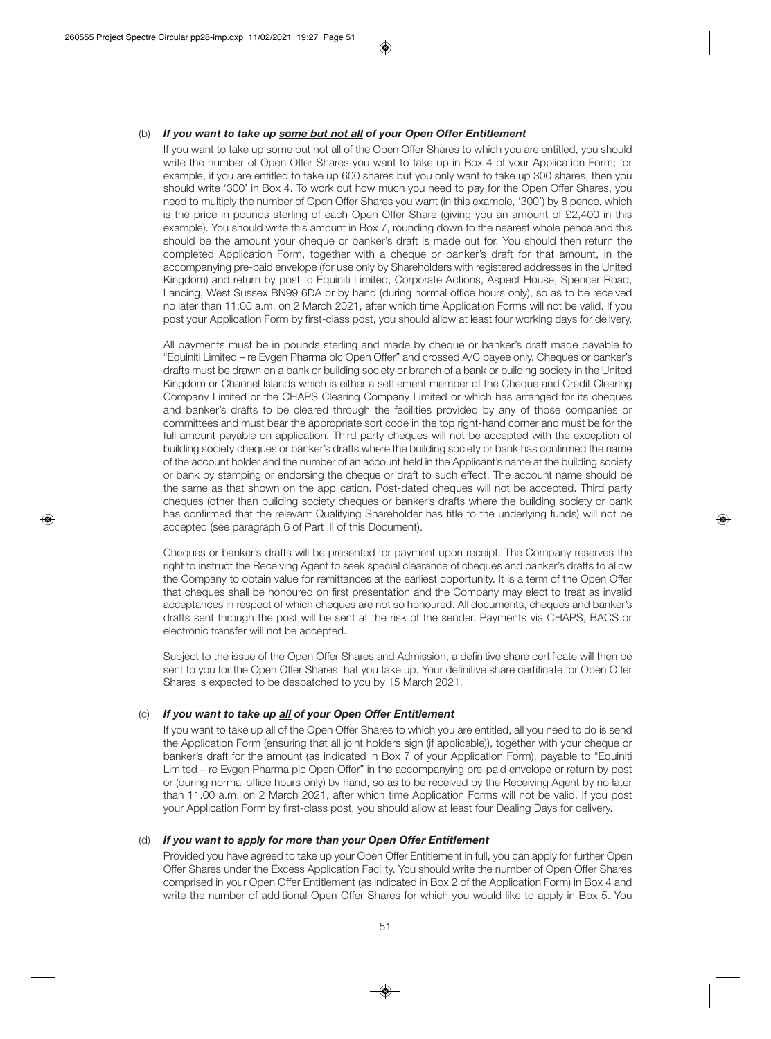# (b) *If you want to take up some but not all of your Open Offer Entitlement*

 If you want to take up some but not all of the Open Offer Shares to which you are entitled, you should write the number of Open Offer Shares you want to take up in Box 4 of your Application Form; for example, if you are entitled to take up 600 shares but you only want to take up 300 shares, then you should write '300' in Box 4. To work out how much you need to pay for the Open Offer Shares, you need to multiply the number of Open Offer Shares you want (in this example, '300') by 8 pence, which is the price in pounds sterling of each Open Offer Share (giving you an amount of £2,400 in this example). You should write this amount in Box 7, rounding down to the nearest whole pence and this should be the amount your cheque or banker's draft is made out for. You should then return the completed Application Form, together with a cheque or banker's draft for that amount, in the accompanying pre-paid envelope (for use only by Shareholders with registered addresses in the United Kingdom) and return by post to Equiniti Limited, Corporate Actions, Aspect House, Spencer Road, Lancing, West Sussex BN99 6DA or by hand (during normal office hours only), so as to be received no later than 11:00 a.m. on 2 March 2021, after which time Application Forms will not be valid. If you post your Application Form by first-class post, you should allow at least four working days for delivery.

 All payments must be in pounds sterling and made by cheque or banker's draft made payable to "Equiniti Limited – re Evgen Pharma plc Open Offer" and crossed A/C payee only. Cheques or banker's drafts must be drawn on a bank or building society or branch of a bank or building society in the United Kingdom or Channel Islands which is either a settlement member of the Cheque and Credit Clearing Company Limited or the CHAPS Clearing Company Limited or which has arranged for its cheques and banker's drafts to be cleared through the facilities provided by any of those companies or committees and must bear the appropriate sort code in the top right-hand corner and must be for the full amount payable on application. Third party cheques will not be accepted with the exception of building society cheques or banker's drafts where the building society or bank has confirmed the name of the account holder and the number of an account held in the Applicant's name at the building society or bank by stamping or endorsing the cheque or draft to such effect. The account name should be the same as that shown on the application. Post-dated cheques will not be accepted. Third party cheques (other than building society cheques or banker's drafts where the building society or bank has confirmed that the relevant Qualifying Shareholder has title to the underlying funds) will not be accepted (see paragraph 6 of Part III of this Document).

 Cheques or banker's drafts will be presented for payment upon receipt. The Company reserves the right to instruct the Receiving Agent to seek special clearance of cheques and banker's drafts to allow the Company to obtain value for remittances at the earliest opportunity. It is a term of the Open Offer that cheques shall be honoured on first presentation and the Company may elect to treat as invalid acceptances in respect of which cheques are not so honoured. All documents, cheques and banker's drafts sent through the post will be sent at the risk of the sender. Payments via CHAPS, BACS or electronic transfer will not be accepted.

 Subject to the issue of the Open Offer Shares and Admission, a definitive share certificate will then be sent to you for the Open Offer Shares that you take up. Your definitive share certificate for Open Offer Shares is expected to be despatched to you by 15 March 2021.

# (c) *If you want to take up all of your Open Offer Entitlement*

 If you want to take up all of the Open Offer Shares to which you are entitled, all you need to do is send the Application Form (ensuring that all joint holders sign (if applicable)), together with your cheque or banker's draft for the amount (as indicated in Box 7 of your Application Form), payable to "Equiniti Limited – re Evgen Pharma plc Open Offer" in the accompanying pre-paid envelope or return by post or (during normal office hours only) by hand, so as to be received by the Receiving Agent by no later than 11.00 a.m. on 2 March 2021, after which time Application Forms will not be valid. If you post your Application Form by first-class post, you should allow at least four Dealing Days for delivery.

# (d) *If you want to apply for more than your Open Offer Entitlement*

 Provided you have agreed to take up your Open Offer Entitlement in full, you can apply for further Open Offer Shares under the Excess Application Facility. You should write the number of Open Offer Shares comprised in your Open Offer Entitlement (as indicated in Box 2 of the Application Form) in Box 4 and write the number of additional Open Offer Shares for which you would like to apply in Box 5. You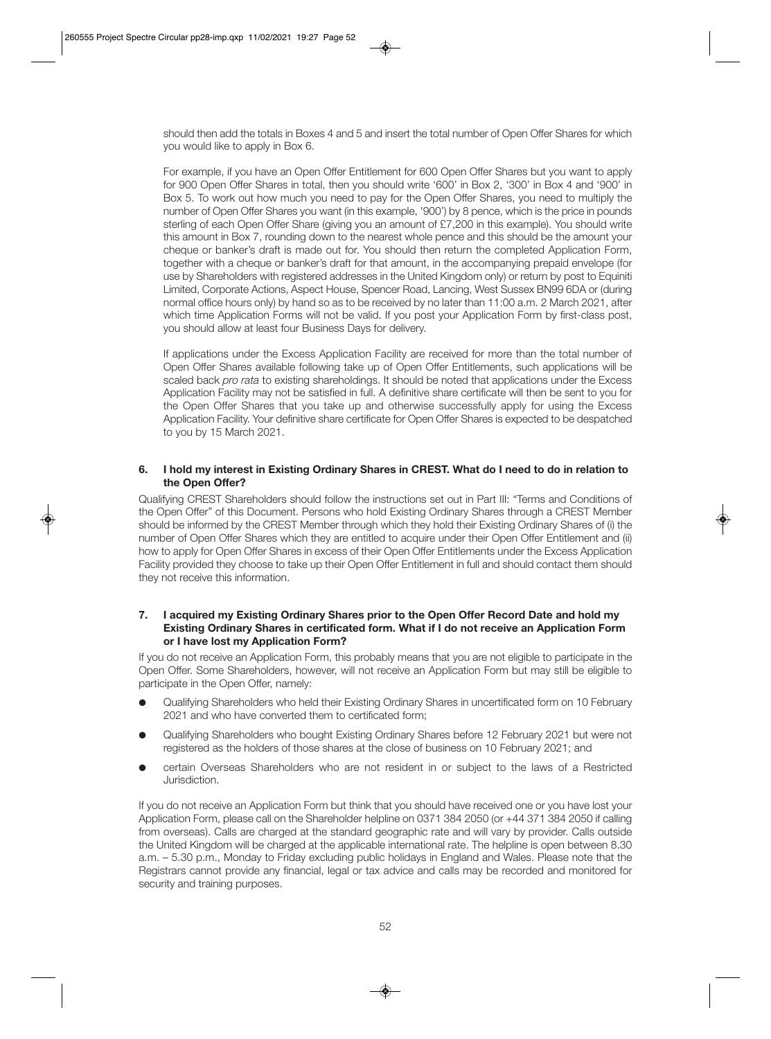should then add the totals in Boxes 4 and 5 and insert the total number of Open Offer Shares for which you would like to apply in Box 6.

 For example, if you have an Open Offer Entitlement for 600 Open Offer Shares but you want to apply for 900 Open Offer Shares in total, then you should write '600' in Box 2, '300' in Box 4 and '900' in Box 5. To work out how much you need to pay for the Open Offer Shares, you need to multiply the number of Open Offer Shares you want (in this example, '900') by 8 pence, which is the price in pounds sterling of each Open Offer Share (giving you an amount of £7,200 in this example). You should write this amount in Box 7, rounding down to the nearest whole pence and this should be the amount your cheque or banker's draft is made out for. You should then return the completed Application Form, together with a cheque or banker's draft for that amount, in the accompanying prepaid envelope (for use by Shareholders with registered addresses in the United Kingdom only) or return by post to Equiniti Limited, Corporate Actions, Aspect House, Spencer Road, Lancing, West Sussex BN99 6DA or (during normal office hours only) by hand so as to be received by no later than 11:00 a.m. 2 March 2021, after which time Application Forms will not be valid. If you post your Application Form by first-class post, you should allow at least four Business Days for delivery.

 If applications under the Excess Application Facility are received for more than the total number of Open Offer Shares available following take up of Open Offer Entitlements, such applications will be scaled back *pro rata* to existing shareholdings. It should be noted that applications under the Excess Application Facility may not be satisfied in full. A definitive share certificate will then be sent to you for the Open Offer Shares that you take up and otherwise successfully apply for using the Excess Application Facility. Your definitive share certificate for Open Offer Shares is expected to be despatched to you by 15 March 2021.

#### **6. I hold my interest in Existing Ordinary Shares in CREST. What do I need to do in relation to the Open Offer?**

Qualifying CREST Shareholders should follow the instructions set out in Part III: "Terms and Conditions of the Open Offer" of this Document. Persons who hold Existing Ordinary Shares through a CREST Member should be informed by the CREST Member through which they hold their Existing Ordinary Shares of (i) the number of Open Offer Shares which they are entitled to acquire under their Open Offer Entitlement and (ii) how to apply for Open Offer Shares in excess of their Open Offer Entitlements under the Excess Application Facility provided they choose to take up their Open Offer Entitlement in full and should contact them should they not receive this information.

#### **7. I acquired my Existing Ordinary Shares prior to the Open Offer Record Date and hold my Existing Ordinary Shares in certificated form. What if I do not receive an Application Form or I have lost my Application Form?**

If you do not receive an Application Form, this probably means that you are not eligible to participate in the Open Offer. Some Shareholders, however, will not receive an Application Form but may still be eligible to participate in the Open Offer, namely:

- l Qualifying Shareholders who held their Existing Ordinary Shares in uncertificated form on 10 February 2021 and who have converted them to certificated form;
- l Qualifying Shareholders who bought Existing Ordinary Shares before 12 February 2021 but were not registered as the holders of those shares at the close of business on 10 February 2021; and
- certain Overseas Shareholders who are not resident in or subject to the laws of a Restricted Jurisdiction.

If you do not receive an Application Form but think that you should have received one or you have lost your Application Form, please call on the Shareholder helpline on 0371 384 2050 (or +44 371 384 2050 if calling from overseas). Calls are charged at the standard geographic rate and will vary by provider. Calls outside the United Kingdom will be charged at the applicable international rate. The helpline is open between 8.30 a.m. – 5.30 p.m., Monday to Friday excluding public holidays in England and Wales. Please note that the Registrars cannot provide any financial, legal or tax advice and calls may be recorded and monitored for security and training purposes.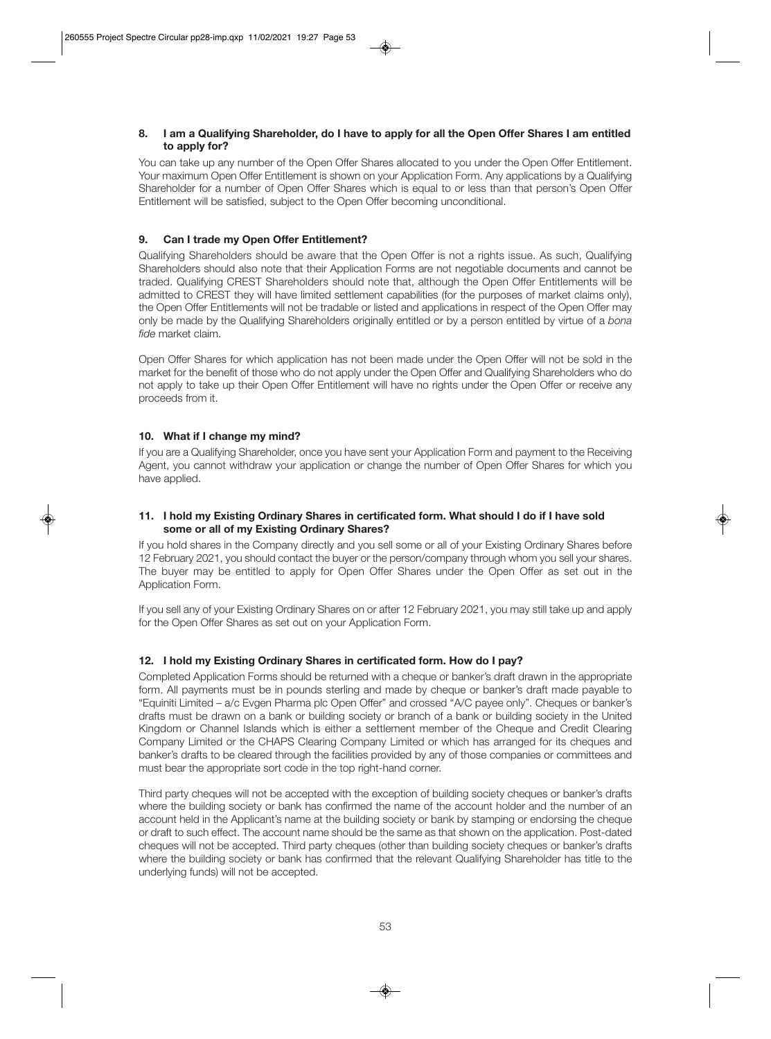# **8. I am a Qualifying Shareholder, do I have to apply for all the Open Offer Shares I am entitled to apply for?**

You can take up any number of the Open Offer Shares allocated to you under the Open Offer Entitlement. Your maximum Open Offer Entitlement is shown on your Application Form. Any applications by a Qualifying Shareholder for a number of Open Offer Shares which is equal to or less than that person's Open Offer Entitlement will be satisfied, subject to the Open Offer becoming unconditional.

# **9. Can I trade my Open Offer Entitlement?**

Qualifying Shareholders should be aware that the Open Offer is not a rights issue. As such, Qualifying Shareholders should also note that their Application Forms are not negotiable documents and cannot be traded. Qualifying CREST Shareholders should note that, although the Open Offer Entitlements will be admitted to CREST they will have limited settlement capabilities (for the purposes of market claims only), the Open Offer Entitlements will not be tradable or listed and applications in respect of the Open Offer may only be made by the Qualifying Shareholders originally entitled or by a person entitled by virtue of a *bona fide* market claim.

Open Offer Shares for which application has not been made under the Open Offer will not be sold in the market for the benefit of those who do not apply under the Open Offer and Qualifying Shareholders who do not apply to take up their Open Offer Entitlement will have no rights under the Open Offer or receive any proceeds from it.

# **10. What if I change my mind?**

If you are a Qualifying Shareholder, once you have sent your Application Form and payment to the Receiving Agent, you cannot withdraw your application or change the number of Open Offer Shares for which you have applied.

# **11. I hold my Existing Ordinary Shares in certificated form. What should I do if I have sold some or all of my Existing Ordinary Shares?**

If you hold shares in the Company directly and you sell some or all of your Existing Ordinary Shares before 12 February 2021, you should contact the buyer or the person/company through whom you sell your shares. The buyer may be entitled to apply for Open Offer Shares under the Open Offer as set out in the Application Form.

If you sell any of your Existing Ordinary Shares on or after 12 February 2021, you may still take up and apply for the Open Offer Shares as set out on your Application Form.

# **12. I hold my Existing Ordinary Shares in certificated form. How do I pay?**

Completed Application Forms should be returned with a cheque or banker's draft drawn in the appropriate form. All payments must be in pounds sterling and made by cheque or banker's draft made payable to "Equiniti Limited – a/c Evgen Pharma plc Open Offer" and crossed "A/C payee only". Cheques or banker's drafts must be drawn on a bank or building society or branch of a bank or building society in the United Kingdom or Channel Islands which is either a settlement member of the Cheque and Credit Clearing Company Limited or the CHAPS Clearing Company Limited or which has arranged for its cheques and banker's drafts to be cleared through the facilities provided by any of those companies or committees and must bear the appropriate sort code in the top right-hand corner.

Third party cheques will not be accepted with the exception of building society cheques or banker's drafts where the building society or bank has confirmed the name of the account holder and the number of an account held in the Applicant's name at the building society or bank by stamping or endorsing the cheque or draft to such effect. The account name should be the same as that shown on the application. Post-dated cheques will not be accepted. Third party cheques (other than building society cheques or banker's drafts where the building society or bank has confirmed that the relevant Qualifying Shareholder has title to the underlying funds) will not be accepted.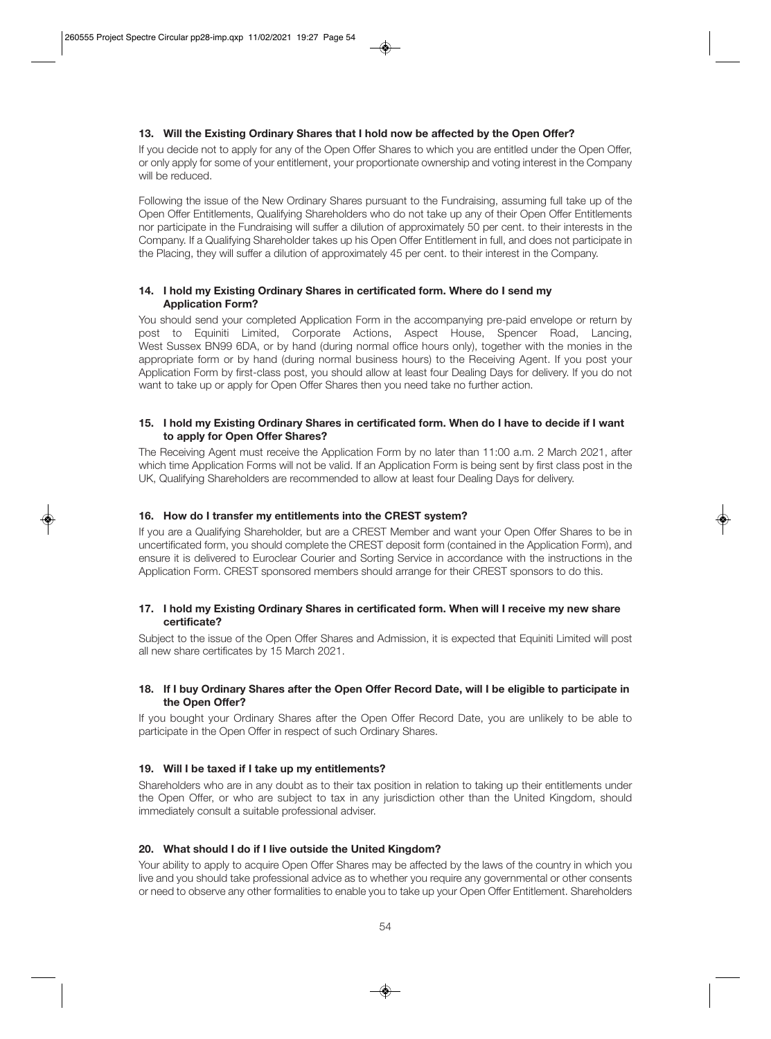# **13. Will the Existing Ordinary Shares that I hold now be affected by the Open Offer?**

If you decide not to apply for any of the Open Offer Shares to which you are entitled under the Open Offer, or only apply for some of your entitlement, your proportionate ownership and voting interest in the Company will be reduced.

Following the issue of the New Ordinary Shares pursuant to the Fundraising, assuming full take up of the Open Offer Entitlements, Qualifying Shareholders who do not take up any of their Open Offer Entitlements nor participate in the Fundraising will suffer a dilution of approximately 50 per cent. to their interests in the Company. If a Qualifying Shareholder takes up his Open Offer Entitlement in full, and does not participate in the Placing, they will suffer a dilution of approximately 45 per cent. to their interest in the Company.

### **14. I hold my Existing Ordinary Shares in certificated form. Where do I send my Application Form?**

You should send your completed Application Form in the accompanying pre-paid envelope or return by post to Equiniti Limited, Corporate Actions, Aspect House, Spencer Road, Lancing, West Sussex BN99 6DA, or by hand (during normal office hours only), together with the monies in the appropriate form or by hand (during normal business hours) to the Receiving Agent. If you post your Application Form by first-class post, you should allow at least four Dealing Days for delivery. If you do not want to take up or apply for Open Offer Shares then you need take no further action.

#### **15. I hold my Existing Ordinary Shares in certificated form. When do I have to decide if I want to apply for Open Offer Shares?**

The Receiving Agent must receive the Application Form by no later than 11:00 a.m. 2 March 2021, after which time Application Forms will not be valid. If an Application Form is being sent by first class post in the UK, Qualifying Shareholders are recommended to allow at least four Dealing Days for delivery.

#### **16. How do I transfer my entitlements into the CREST system?**

If you are a Qualifying Shareholder, but are a CREST Member and want your Open Offer Shares to be in uncertificated form, you should complete the CREST deposit form (contained in the Application Form), and ensure it is delivered to Euroclear Courier and Sorting Service in accordance with the instructions in the Application Form. CREST sponsored members should arrange for their CREST sponsors to do this.

#### **17. I hold my Existing Ordinary Shares in certificated form. When will I receive my new share certificate?**

Subject to the issue of the Open Offer Shares and Admission, it is expected that Equiniti Limited will post all new share certificates by 15 March 2021.

#### **18. If I buy Ordinary Shares after the Open Offer Record Date, will I be eligible to participate in the Open Offer?**

If you bought your Ordinary Shares after the Open Offer Record Date, you are unlikely to be able to participate in the Open Offer in respect of such Ordinary Shares.

# **19. Will I be taxed if I take up my entitlements?**

Shareholders who are in any doubt as to their tax position in relation to taking up their entitlements under the Open Offer, or who are subject to tax in any jurisdiction other than the United Kingdom, should immediately consult a suitable professional adviser.

# **20. What should I do if I live outside the United Kingdom?**

Your ability to apply to acquire Open Offer Shares may be affected by the laws of the country in which you live and you should take professional advice as to whether you require any governmental or other consents or need to observe any other formalities to enable you to take up your Open Offer Entitlement. Shareholders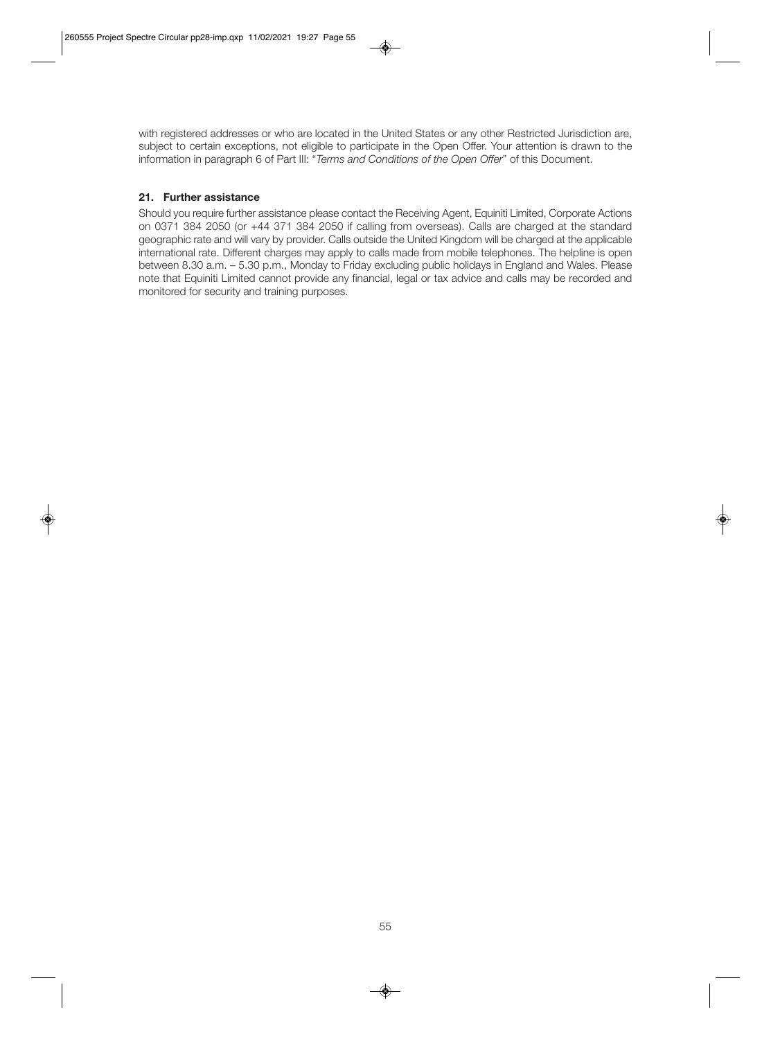with registered addresses or who are located in the United States or any other Restricted Jurisdiction are, subject to certain exceptions, not eligible to participate in the Open Offer. Your attention is drawn to the information in paragraph 6 of Part III: "*Terms and Conditions of the Open Offer*" of this Document.

# **21. Further assistance**

Should you require further assistance please contact the Receiving Agent, Equiniti Limited, Corporate Actions on 0371 384 2050 (or +44 371 384 2050 if calling from overseas). Calls are charged at the standard geographic rate and will vary by provider. Calls outside the United Kingdom will be charged at the applicable international rate. Different charges may apply to calls made from mobile telephones. The helpline is open between 8.30 a.m. – 5.30 p.m., Monday to Friday excluding public holidays in England and Wales. Please note that Equiniti Limited cannot provide any financial, legal or tax advice and calls may be recorded and monitored for security and training purposes.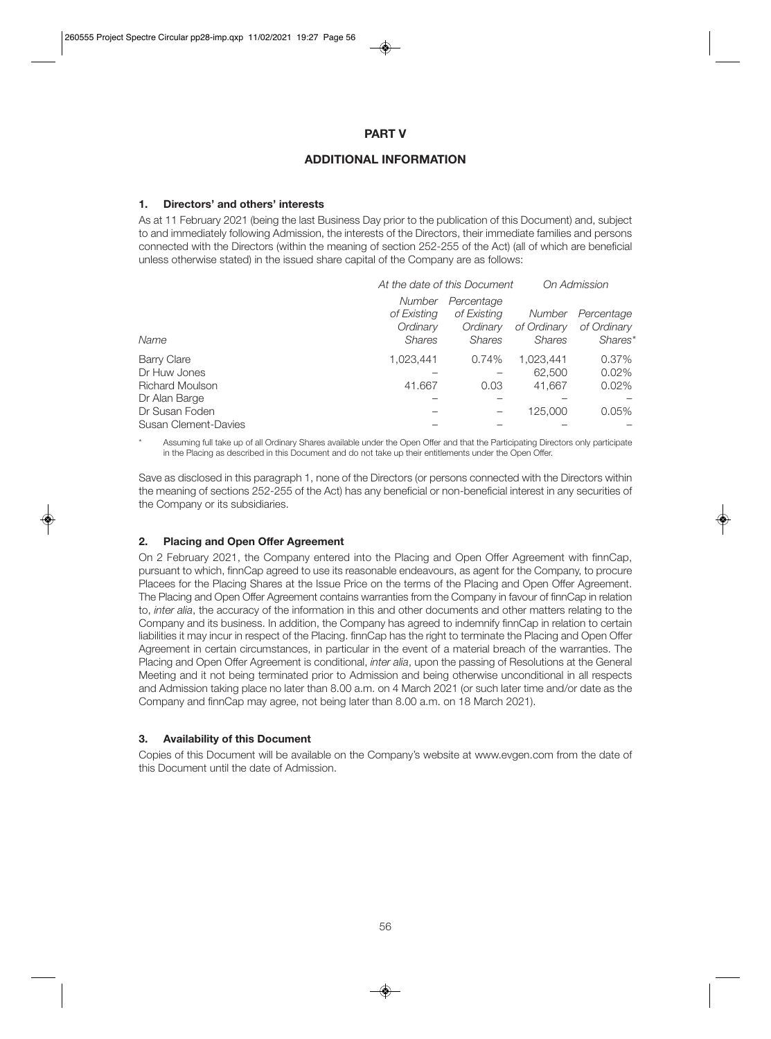# **PART V**

# **ADDITIONAL INFORMATION**

#### **1. Directors' and others' interests**

As at 11 February 2021 (being the last Business Day prior to the publication of this Document) and, subject to and immediately following Admission, the interests of the Directors, their immediate families and persons connected with the Directors (within the meaning of section 252-255 of the Act) (all of which are beneficial unless otherwise stated) in the issued share capital of the Company are as follows:

|                        | At the date of this Document |               |               | On Admission |  |
|------------------------|------------------------------|---------------|---------------|--------------|--|
|                        | Number                       | Percentage    |               |              |  |
|                        | of Existing                  | of Existing   | Number        | Percentage   |  |
|                        | Ordinary                     | Ordinary      | of Ordinary   | of Ordinary  |  |
| Name                   | <b>Shares</b>                | <b>Shares</b> | <b>Shares</b> | Shares*      |  |
| <b>Barry Clare</b>     | 1.023.441                    | 0.74%         | 1,023,441     | 0.37%        |  |
| Dr Huw Jones           |                              |               | 62,500        | 0.02%        |  |
| <b>Richard Moulson</b> | 41.667                       | 0.03          | 41,667        | 0.02%        |  |
| Dr Alan Barge          |                              |               |               |              |  |
| Dr Susan Foden         |                              |               | 125,000       | 0.05%        |  |
| Susan Clement-Davies   |                              |               |               |              |  |

Assuming full take up of all Ordinary Shares available under the Open Offer and that the Participating Directors only participate in the Placing as described in this Document and do not take up their entitlements under the Open Offer.

Save as disclosed in this paragraph 1, none of the Directors (or persons connected with the Directors within the meaning of sections 252-255 of the Act) has any beneficial or non-beneficial interest in any securities of the Company or its subsidiaries.

# **2. Placing and Open Offer Agreement**

On 2 February 2021, the Company entered into the Placing and Open Offer Agreement with finnCap, pursuant to which, finnCap agreed to use its reasonable endeavours, as agent for the Company, to procure Placees for the Placing Shares at the Issue Price on the terms of the Placing and Open Offer Agreement. The Placing and Open Offer Agreement contains warranties from the Company in favour of finnCap in relation to, *inter alia*, the accuracy of the information in this and other documents and other matters relating to the Company and its business. In addition, the Company has agreed to indemnify finnCap in relation to certain liabilities it may incur in respect of the Placing. finnCap has the right to terminate the Placing and Open Offer Agreement in certain circumstances, in particular in the event of a material breach of the warranties. The Placing and Open Offer Agreement is conditional, *inter alia*, upon the passing of Resolutions at the General Meeting and it not being terminated prior to Admission and being otherwise unconditional in all respects and Admission taking place no later than 8.00 a.m. on 4 March 2021 (or such later time and/or date as the Company and finnCap may agree, not being later than 8.00 a.m. on 18 March 2021).

# **3. Availability of this Document**

Copies of this Document will be available on the Company's website at www.evgen.com from the date of this Document until the date of Admission.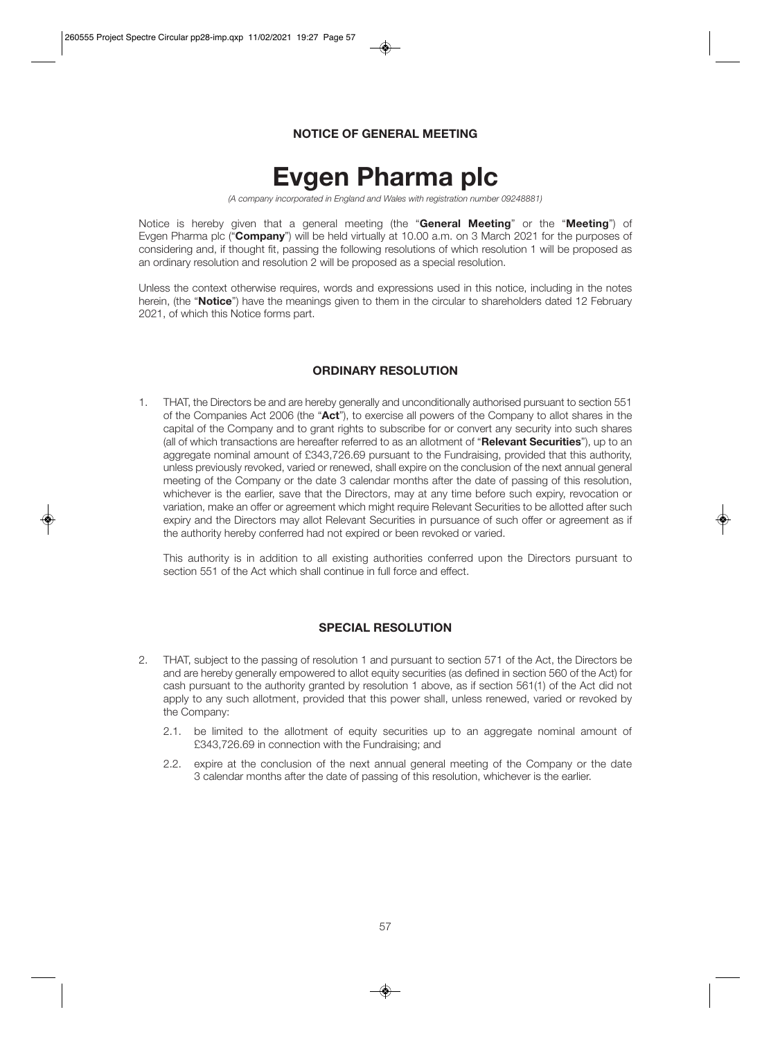# **NOTICE OF GENERAL MEETING**

# **Evgen Pharma plc**

*(A company incorporated in England and Wales with registration number 09248881)* 

Notice is hereby given that a general meeting (the "**General Meeting**" or the "**Meeting**") of Evgen Pharma plc ("**Company**") will be held virtually at 10.00 a.m. on 3 March 2021 for the purposes of considering and, if thought fit, passing the following resolutions of which resolution 1 will be proposed as an ordinary resolution and resolution 2 will be proposed as a special resolution.

Unless the context otherwise requires, words and expressions used in this notice, including in the notes herein, (the "**Notice**") have the meanings given to them in the circular to shareholders dated 12 February 2021, of which this Notice forms part.

# **ORDINARY RESOLUTION**

1. THAT, the Directors be and are hereby generally and unconditionally authorised pursuant to section 551 of the Companies Act 2006 (the "**Act**"), to exercise all powers of the Company to allot shares in the capital of the Company and to grant rights to subscribe for or convert any security into such shares (all of which transactions are hereafter referred to as an allotment of "**Relevant Securities**"), up to an aggregate nominal amount of £343,726.69 pursuant to the Fundraising, provided that this authority, unless previously revoked, varied or renewed, shall expire on the conclusion of the next annual general meeting of the Company or the date 3 calendar months after the date of passing of this resolution, whichever is the earlier, save that the Directors, may at any time before such expiry, revocation or variation, make an offer or agreement which might require Relevant Securities to be allotted after such expiry and the Directors may allot Relevant Securities in pursuance of such offer or agreement as if the authority hereby conferred had not expired or been revoked or varied.

 This authority is in addition to all existing authorities conferred upon the Directors pursuant to section 551 of the Act which shall continue in full force and effect.

# **SPECIAL RESOLUTION**

- 2. THAT, subject to the passing of resolution 1 and pursuant to section 571 of the Act, the Directors be and are hereby generally empowered to allot equity securities (as defined in section 560 of the Act) for cash pursuant to the authority granted by resolution 1 above, as if section 561(1) of the Act did not apply to any such allotment, provided that this power shall, unless renewed, varied or revoked by the Company:
	- 2.1. be limited to the allotment of equity securities up to an aggregate nominal amount of £343,726.69 in connection with the Fundraising; and
	- 2.2. expire at the conclusion of the next annual general meeting of the Company or the date 3 calendar months after the date of passing of this resolution, whichever is the earlier.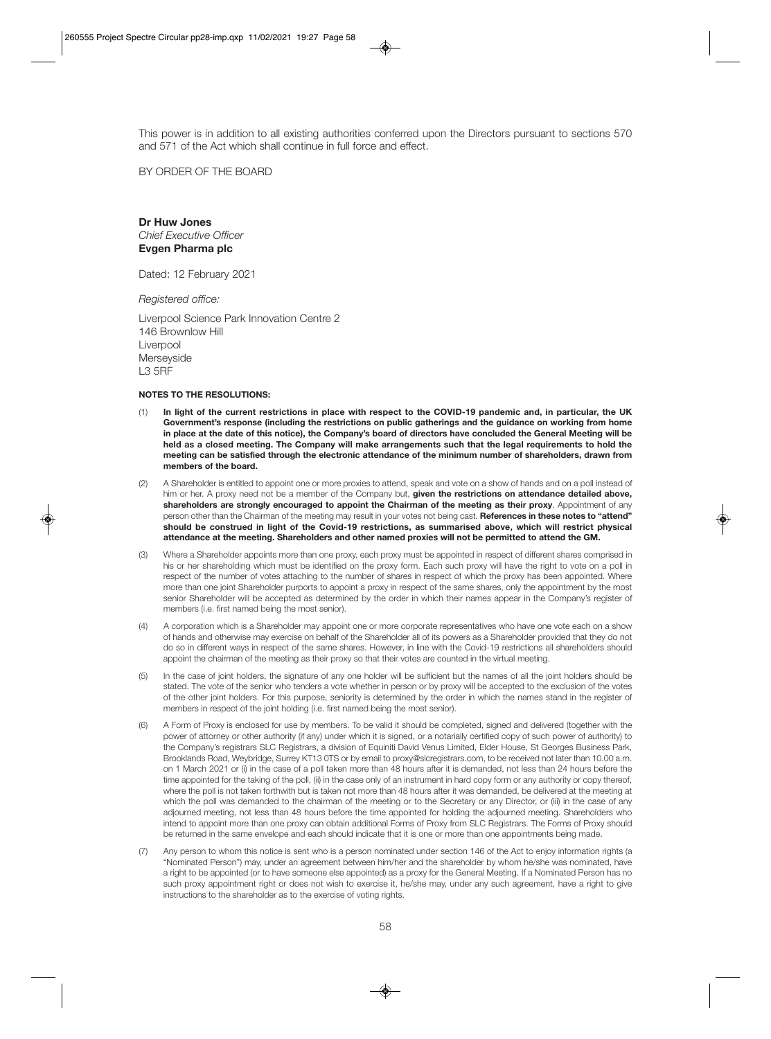This power is in addition to all existing authorities conferred upon the Directors pursuant to sections 570 and 571 of the Act which shall continue in full force and effect.

BY ORDER OF THE BOARD

**Dr Huw Jones**  *Chief Executive Officer*  **Evgen Pharma plc** 

Dated: 12 February 2021

*Registered office:* 

Liverpool Science Park Innovation Centre 2 146 Brownlow Hill Liverpool **Merseyside** L3 5RF

#### **NOTES TO THE RESOLUTIONS:**

- (1) **In light of the current restrictions in place with respect to the COVID-19 pandemic and, in particular, the UK Government's response (including the restrictions on public gatherings and the guidance on working from home in place at the date of this notice), the Company's board of directors have concluded the General Meeting will be held as a closed meeting. The Company will make arrangements such that the legal requirements to hold the meeting can be satisfied through the electronic attendance of the minimum number of shareholders, drawn from members of the board.**
- (2) A Shareholder is entitled to appoint one or more proxies to attend, speak and vote on a show of hands and on a poll instead of him or her. A proxy need not be a member of the Company but, **given the restrictions on attendance detailed above, shareholders are strongly encouraged to appoint the Chairman of the meeting as their proxy**. Appointment of any person other than the Chairman of the meeting may result in your votes not being cast. **References in these notes to "attend" should be construed in light of the Covid-19 restrictions, as summarised above, which will restrict physical attendance at the meeting. Shareholders and other named proxies will not be permitted to attend the GM.**
- (3) Where a Shareholder appoints more than one proxy, each proxy must be appointed in respect of different shares comprised in his or her shareholding which must be identified on the proxy form. Each such proxy will have the right to vote on a poll in respect of the number of votes attaching to the number of shares in respect of which the proxy has been appointed. Where more than one joint Shareholder purports to appoint a proxy in respect of the same shares, only the appointment by the most senior Shareholder will be accepted as determined by the order in which their names appear in the Company's register of members (i.e. first named being the most senior).
- (4) A corporation which is a Shareholder may appoint one or more corporate representatives who have one vote each on a show of hands and otherwise may exercise on behalf of the Shareholder all of its powers as a Shareholder provided that they do not do so in different ways in respect of the same shares. However, in line with the Covid-19 restrictions all shareholders should appoint the chairman of the meeting as their proxy so that their votes are counted in the virtual meeting.
- (5) In the case of joint holders, the signature of any one holder will be sufficient but the names of all the joint holders should be stated. The vote of the senior who tenders a vote whether in person or by proxy will be accepted to the exclusion of the votes of the other joint holders. For this purpose, seniority is determined by the order in which the names stand in the register of members in respect of the joint holding (i.e. first named being the most senior).
- (6) A Form of Proxy is enclosed for use by members. To be valid it should be completed, signed and delivered (together with the power of attorney or other authority (if any) under which it is signed, or a notarially certified copy of such power of authority) to the Company's registrars SLC Registrars, a division of Equiniti David Venus Limited, Elder House, St Georges Business Park, Brooklands Road, Weybridge, Surrey KT13 0TS or by email to proxy@slcregistrars.com, to be received not later than 10.00 a.m. on 1 March 2021 or (i) in the case of a poll taken more than 48 hours after it is demanded, not less than 24 hours before the time appointed for the taking of the poll, (ii) in the case only of an instrument in hard copy form or any authority or copy thereof, where the poll is not taken forthwith but is taken not more than 48 hours after it was demanded, be delivered at the meeting at which the poll was demanded to the chairman of the meeting or to the Secretary or any Director, or (iii) in the case of any adjourned meeting, not less than 48 hours before the time appointed for holding the adjourned meeting. Shareholders who intend to appoint more than one proxy can obtain additional Forms of Proxy from SLC Registrars. The Forms of Proxy should be returned in the same envelope and each should indicate that it is one or more than one appointments being made.
- (7) Any person to whom this notice is sent who is a person nominated under section 146 of the Act to enjoy information rights (a "Nominated Person") may, under an agreement between him/her and the shareholder by whom he/she was nominated, have a right to be appointed (or to have someone else appointed) as a proxy for the General Meeting. If a Nominated Person has no such proxy appointment right or does not wish to exercise it, he/she may, under any such agreement, have a right to give instructions to the shareholder as to the exercise of voting rights.